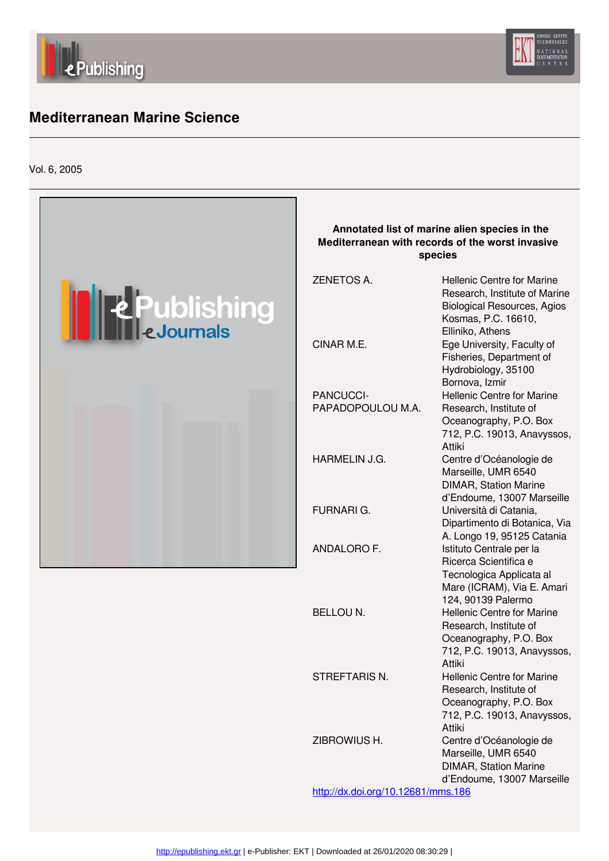



### l **[M](http://epublishing.ekt.gr)editerranean Marine Science**

Vol. 6, 2005



d'Endoume, 13007 Marseille <http://dx.doi.org/10.12681/mms.186>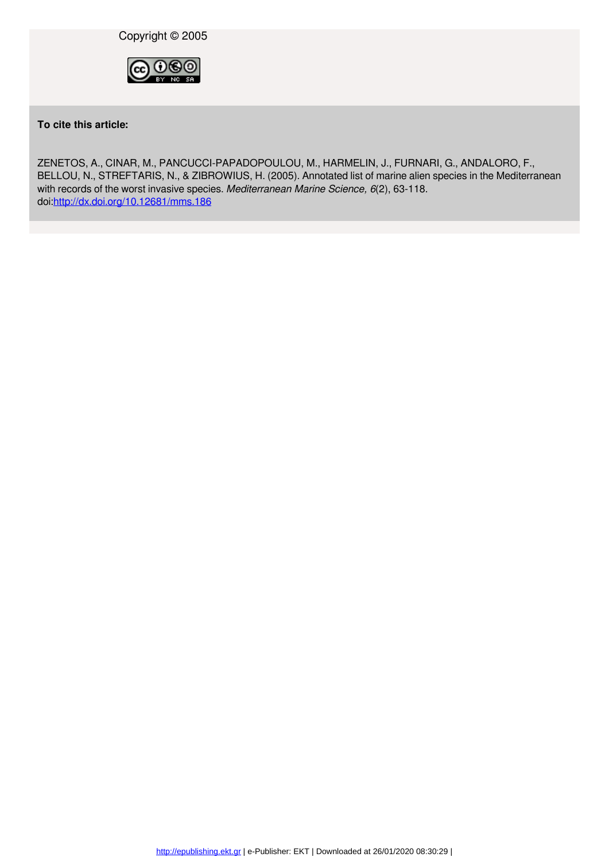

**To cite this article:**

ZENETOS, A., CINAR, M., PANCUCCI-PAPADOPOULOU, M., HARMELIN, J., FURNARI, G., ANDALORO, F., BELLOU, N., STREFTARIS, N., & ZIBROWIUS, H. (2005). Annotated list of marine alien species in the Mediterranean with records of the worst invasive species. *Mediterranean Marine Science, 6*(2), 63-118. doi[:http://dx.doi.org/10.12681/mms.186](http://dx.doi.org/10.12681/mms.186)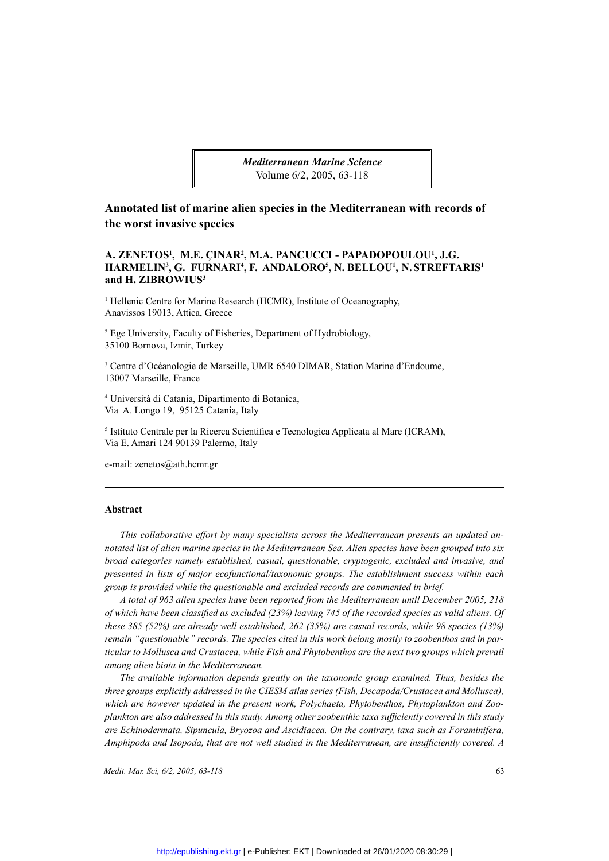*Mediterranean Marine Science* Volume 6/2, 2005, 63-118

**Annotated list of marine alien species in the Mediterranean with records of the worst invasive species**

## **A. ZENETOS<sup>1</sup><br>
HARMELIN<sup>3</sup>,<br>
and H. ZIBRO<br>
<sup>1</sup> Hellenic Centre<br>
Anavissos 19013<br>
<sup>2</sup> Ege University,** A. ZENETOS<sup>1</sup>, M.E. CINAR<sup>2</sup>, M.A. PANCUCCI - PAPADOPOULOU<sup>1</sup>, J.G. NAR<sup>2</sup>, M.A. PANCUCCI - PAPADOPOULOU<sup>1</sup>, J.G.<br>[ARI<sup>4</sup>, F. ANDALORO<sup>5</sup>, N. BELLOU<sup>1</sup>, N. STREFTA<br>Research (HCMR), Institute of Oceanography,<br>ece<br>isheries, Department of Hydrobiology, HARMELIN<sup>3</sup><br>and H. ZIBRO<br><sup>1</sup> Hellenic Centra<br>Anavissos 1901:<br><sup>2</sup> Ege University<br>35100 Bornova, **RMELIN<sup>3</sup>, G. FURNARI<sup>4</sup>, F. ANDALORO<sup>5</sup><br>
<b>H. ZIBROWIUS**<sup>3</sup><br>
lenic Centre for Marine Research (HCMR), Institute<br>
vissos 19013, Attica, Greece<br>
e University, Faculty of Fisheries, Department of Hyd<br>
00 Bornova, Izmir, Turk **ALORO<sup>5</sup>, N. BELLOU<sup>1</sup>, N. STREFTARIS<sup>1</sup>**<br>
(), Institute of Oceanography,<br>
nent of Hydrobiology,

<sup>1</sup> Hellenic Centre for Marine Research (HCMR), Institute of Oceanography, Anavissos 19013, Attica, Greece

**and H. ZIBROWIUS<sup>3</sup><br>
<sup>1</sup> Hellenic Centre for Mari<br>
Anavissos 19013, Attica,<br>
<sup>2</sup> Ege University, Faculty<br>
<sup>3</sup> Centre d'Océanologie de** 2 Ege University, Faculty of Fisheries, Department of Hydrobiology, 35100 Bornova, Izmir, Turkey

3 Centre d'Océanologie de Marseille, UMR 6540 DIMAR, Station Marine d'Endoume, 13007 Marseille, France

4 Università di Catania, Dipartimento di Botanica, Via A. Longo 19, 95125 Catania, Italy

5 Istituto Centrale per la Ricerca Scientifica e Tecnologica Applicata al Mare (ICRAM), Via E. Amari 124 90139 Palermo, Italy

e-mail: zenetos@ath.hcmr.gr

### **Abstract**

*This collaborative effort by many specialists across the Mediterranean presents an updated annotated list of alien marine species in the Mediterranean Sea. Alien species have been grouped into six broad categories namely established, casual, questionable, cryptogenic, excluded and invasive, and presented in lists of major ecofunctional/taxonomic groups. The establishment success within each group is provided while the questionable and excluded records are commented in brief.* 

*A total of 963 alien species have been reported from the Mediterranean until December 2005, 218 of which have been classified as excluded (23%) leaving 745 of the recorded species as valid aliens. Of these 385 (52%) are already well established, 262 (35%) are casual records, while 98 species (13%) remain "questionable" records. The species cited in this work belong mostly to zoobenthos and in particular to Mollusca and Crustacea, while Fish and Phytobenthos are the next two groups which prevail among alien biota in the Mediterranean.* 

*The available information depends greatly on the taxonomic group examined. Thus, besides the three groups explicitly addressed in the CIESM atlas series (Fish, Decapoda/Crustacea and Mollusca), which are however updated in the present work, Polychaeta, Phytobenthos, Phytoplankton and Zooplankton are also addressed in this study. Among other zoobenthic taxa sufficiently covered in this study are Echinodermata, Sipuncula, Bryozoa and Ascidiacea. On the contrary, taxa such as Foraminifera, Amphipoda and Isopoda, that are not well studied in the Mediterranean, are insufficiently covered. A*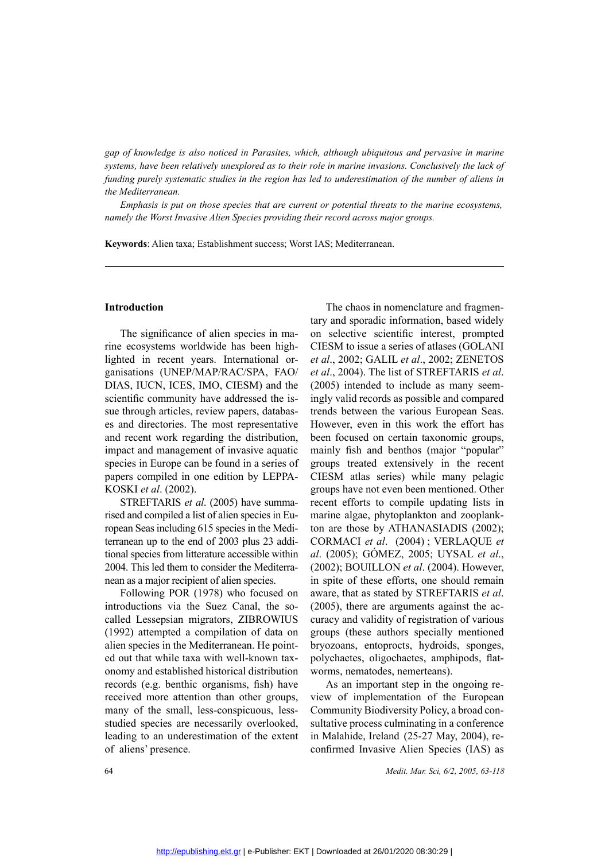*gap of knowledge is also noticed in Parasites, which, although ubiquitous and pervasive in marine systems, have been relatively unexplored as to their role in marine invasions. Conclusively the lack of funding purely systematic studies in the region has led to underestimation of the number of aliens in the Mediterranean.* 

*Emphasis is put on those species that are current or potential threats to the marine ecosystems, namely the Worst Invasive Alien Species providing their record across major groups.*

**Keywords**: Alien taxa; Establishment success; Worst IAS; Mediterranean.

### **Introduction**

The significance of alien species in marine ecosystems worldwide has been highlighted in recent years. International organisations (UNEP/MAP/RAC/SPA, FAO/ DIAS, IUCN, ICES, IMO, CIESM) and the scientific community have addressed the issue through articles, review papers, databases and directories. The most representative and recent work regarding the distribution, impact and management of invasive aquatic species in Europe can be found in a series of papers compiled in one edition by LEPPA-KOSKI *et al*. (2002).

STREFTARIS *et al*. (2005) have summarised and compiled a list of alien species in European Seas including 615 species in the Mediterranean up to the end of 2003 plus 23 additional species from litterature accessible within 2004. This led them to consider the Mediterranean as a major recipient of alien species.

Following POR (1978) who focused on introductions via the Suez Canal, the socalled Lessepsian migrators, ZIBROWIUS (1992) attempted a compilation of data on alien species in the Mediterranean. He pointed out that while taxa with well-known taxonomy and established historical distribution records (e.g. benthic organisms, fish) have received more attention than other groups, many of the small, less-conspicuous, lessstudied species are necessarily overlooked, leading to an underestimation of the extent of aliens' presence.

The chaos in nomenclature and fragmentary and sporadic information, based widely on selective scientific interest, prompted CIESM to issue a series of atlases (GOLANI *et al*., 2002; GALIL *et al*., 2002; ZENETOS *et al*., 2004). The list of STREFTARIS *et al*. (2005) intended to include as many seemingly valid records as possible and compared trends between the various European Seas. However, even in this work the effort has been focused on certain taxonomic groups, mainly fish and benthos (major "popular" groups treated extensively in the recent CIESM atlas series) while many pelagic groups have not even been mentioned. Other recent efforts to compile updating lists in marine algae, phytoplankton and zooplankton are those by ATHANASIADIS (2002); CORMACI *et al*. (2004) ; VERLAQUE *et al*. (2005); GÓMEZ, 2005; UYSAL *et al*., (2002); BOUILLON *et al*. (2004). However, in spite of these efforts, one should remain aware, that as stated by STREFTARIS *et al*. (2005), there are arguments against the accuracy and validity of registration of various groups (these authors specially mentioned bryozoans, entoprocts, hydroids, sponges, polychaetes, oligochaetes, amphipods, flatworms, nematodes, nemerteans).

As an important step in the ongoing review of implementation of the European Community Biodiversity Policy, a broad consultative process culminating in a conference in Malahide, Ireland (25-27 May, 2004), reconfirmed Invasive Alien Species (IAS) as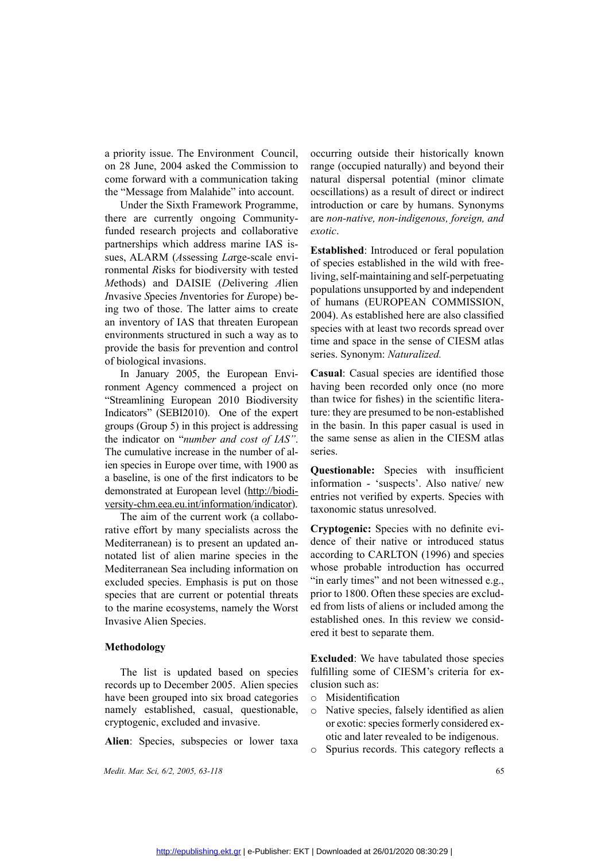a priority issue. The Environment Council, on 28 June, 2004 asked the Commission to come forward with a communication taking the "Message from Malahide" into account.

Under the Sixth Framework Programme, there are currently ongoing Communityfunded research projects and collaborative partnerships which address marine IAS issues, ALARM (*A*ssessing *La*rge-scale environmental *R*isks for biodiversity with tested *M*ethods) and DAISIE (*D*elivering *A*lien *I*nvasive *S*pecies *I*nventories for *E*urope) being two of those. The latter aims to create an inventory of IAS that threaten European environments structured in such a way as to provide the basis for prevention and control of biological invasions.

In January 2005, the European Environment Agency commenced a project on "Streamlining European 2010 Biodiversity Indicators" (SEBI2010). One of the expert groups (Group 5) in this project is addressing the indicator on "*number and cost of IAS"*. The cumulative increase in the number of alien species in Europe over time, with 1900 as a baseline, is one of the first indicators to be demonstrated at European level (http://biodiversity-chm.eea.eu.int/information/indicator).

The aim of the current work (a collaborative effort by many specialists across the Mediterranean) is to present an updated annotated list of alien marine species in the Mediterranean Sea including information on excluded species. Emphasis is put on those species that are current or potential threats to the marine ecosystems, namely the Worst Invasive Alien Species.

### **Methodology**

The list is updated based on species records up to December 2005. Alien species have been grouped into six broad categories namely established, casual, questionable, cryptogenic, excluded and invasive.

**Alien**: Species, subspecies or lower taxa

*Medit. Mar. Sci, 6/2, 2005, 63-118* 65

occurring outside their historically known range (occupied naturally) and beyond their natural dispersal potential (minor climate ocscillations) as a result of direct or indirect introduction or care by humans. Synonyms are *non-native, non-indigenous, foreign, and exotic*.

**Established**: Introduced or feral population of species established in the wild with freeliving, self-maintaining and self-perpetuating populations unsupported by and independent of humans (EUROPEAN COMMISSION, 2004). As established here are also classified species with at least two records spread over time and space in the sense of CIESM atlas series. Synonym: *Naturalized.*

**Casual**: Casual species are identified those having been recorded only once (no more than twice for fishes) in the scientific literature: they are presumed to be non-established in the basin. In this paper casual is used in the same sense as alien in the CIESM atlas series.

**Questionable:** Species with insufficient information - 'suspects'. Also native/ new entries not verified by experts. Species with taxonomic status unresolved.

across the **Cryptogenic:** Species with no definite evi-<br>pdated an-<br>dence of their native or introduced status<br>is in the according to CARLTON (1996) and species<br>rmation on whose probable introduction has occurred<br>it on thos dence of their native or introduced status according to CARLTON (1996) and species whose probable introduction has occurred "in early times" and not been witnessed e.g., prior to 1800. Often these species are excluded from lists of aliens or included among the established ones. In this review we considered it best to separate them.

> **Excluded**: We have tabulated those species fulfilling some of CIESM's criteria for exclusion such as:

- o Misidentification
- o Native species, falsely identified as alien or exotic: species formerly considered exotic and later revealed to be indigenous.
- o Spurius records. This category reflects a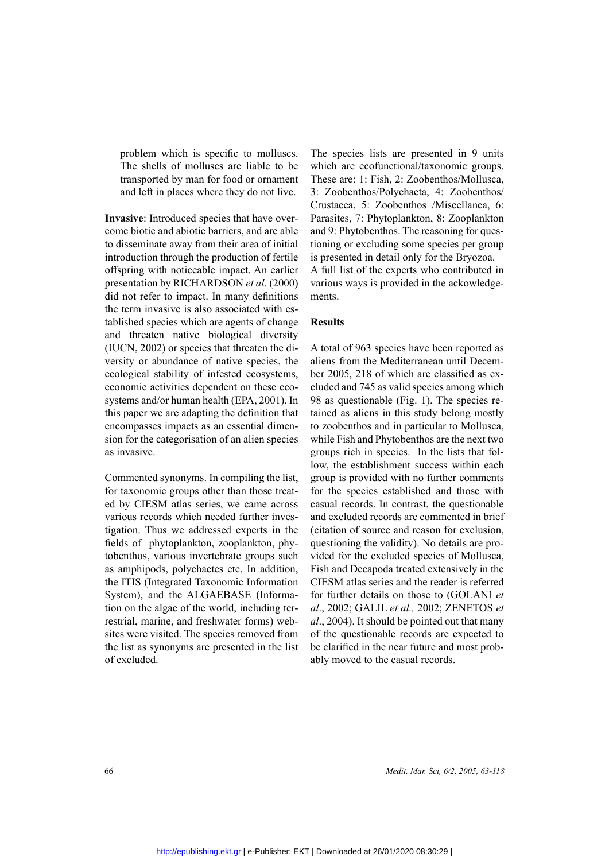problem which is specific to molluscs. The shells of molluscs are liable to be transported by man for food or ornament and left in places where they do not live.

**Invasive**: Introduced species that have overcome biotic and abiotic barriers, and are able to disseminate away from their area of initial introduction through the production of fertile offspring with noticeable impact. An earlier presentation by RICHARDSON *et al*. (2000) did not refer to impact. In many definitions the term invasive is also associated with established species which are agents of change and threaten native biological diversity (IUCN, 2002) or species that threaten the diversity or abundance of native species, the ecological stability of infested ecosystems, economic activities dependent on these ecosystems and/or human health (EPA, 2001). In this paper we are adapting the definition that encompasses impacts as an essential dimension for the categorisation of an alien species as invasive.

Commented synonyms. In compiling the list, for taxonomic groups other than those treated by CIESM atlas series, we came across various records which needed further investigation. Thus we addressed experts in the fields of phytoplankton, zooplankton, phytobenthos, various invertebrate groups such as amphipods, polychaetes etc. In addition, the ITIS (Integrated Taxonomic Information System), and the ALGAEBASE (Information on the algae of the world, including terrestrial, marine, and freshwater forms) websites were visited. The species removed from the list as synonyms are presented in the list of excluded.

The species lists are presented in 9 units which are ecofunctional/taxonomic groups. These are: 1: Fish, 2: Zoobenthos/Mollusca, 3: Zoobenthos/Polychaeta, 4: Zoobenthos/ Crustacea, 5: Zoobenthos /Miscellanea, 6: Parasites, 7: Phytoplankton, 8: Zooplankton and 9: Phytobenthos. The reasoning for questioning or excluding some species per group is presented in detail only for the Bryozoa. A full list of the experts who contributed in various ways is provided in the ackowledgements.

### **Results**

A total of 963 species have been reported as aliens from the Mediterranean until December 2005, 218 of which are classified as excluded and 745 as valid species among which 98 as questionable (Fig. 1). The species retained as aliens in this study belong mostly to zoobenthos and in particular to Mollusca, while Fish and Phytobenthos are the next two groups rich in species. In the lists that follow, the establishment success within each group is provided with no further comments for the species established and those with casual records. In contrast, the questionable and excluded records are commented in brief (citation of source and reason for exclusion, questioning the validity). No details are provided for the excluded species of Mollusca, Fish and Decapoda treated extensively in the CIESM atlas series and the reader is referred for further details on those to (GOLANI *et al*., 2002; GALIL *et al.,* 2002; ZENETOS *et al*., 2004). It should be pointed out that many of the questionable records are expected to be clarified in the near future and most probably moved to the casual records.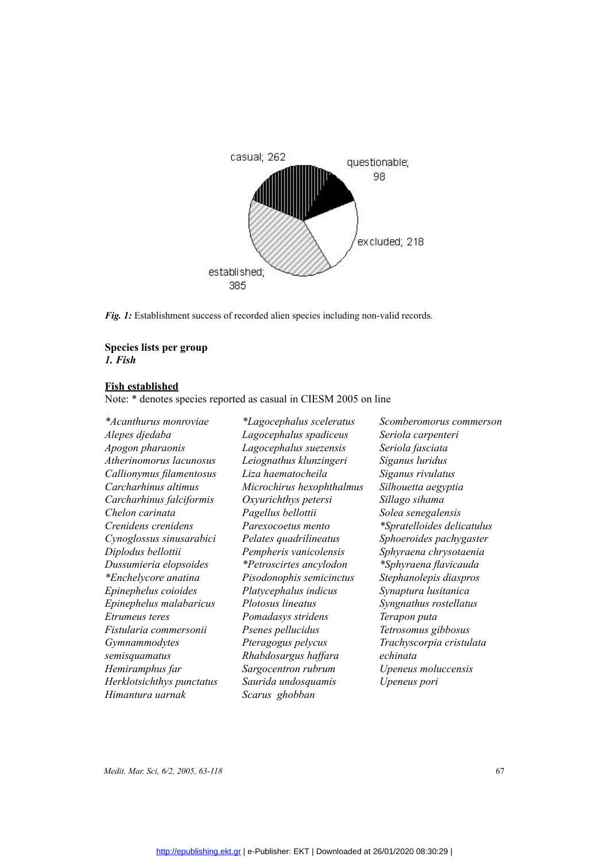

*Fig. 1:* Establishment success of recorded alien species including non-valid records.

### **Species lists per group**  *1. Fish*

### **Fish established**

Note: \* denotes species reported as casual in CIESM 2005 on line

*\*Acanthurus monroviae Alepes djedaba Apogon pharaonis Atherinomorus lacunosus Callionymus filamentosus Carcharhinus altimus Carcharhinus falciformis Chelon carinata Crenidens crenidens Cynoglossus sinusarabici Diplodus bellottii Dussumieria elopsoides \*Enchelycore anatina Epinephelus coioides Epinephelus malabaricus Etrumeus teres Fistularia commersonii Gymnammodytes semisquamatus Hemiramphus far Herklotsichthys punctatus Himantura uarnak*

*\*Lagocephalus sceleratus Lagocephalus spadiceus Lagocephalus suezensis Leiognathus klunzingeri Liza haematocheila Microchirus hexophthalmus Oxyurichthys petersi Pagellus bellottii Parexocoetus mento Pelates quadrilineatus Pempheris vanicolensis \*Petroscirtes ancylodon Pisodonophis semicinctus Platycephalus indicus Plotosus lineatus Pomadasys stridens Psenes pellucidus Pteragogus pelycus Rhabdosargus haffara Sargocentron rubrum Saurida undosquamis Scarus ghobban*

*Scomberomorus commerson Seriola carpenteri Seriola fasciata Siganus luridus Siganus rivulatus Silhouetta aegyptia Sillago sihama Solea senegalensis \*Spratelloides delicatulus Sphoeroides pachygaster Sphyraena chrysotaenia \*Sphyraena flavicauda Stephanolepis diaspros Synaptura lusitanica Syngnathus rostellatus Terapon puta Tetrosomus gibbosus Trachyscorpia cristulata echinata Upeneus moluccensis Upeneus pori*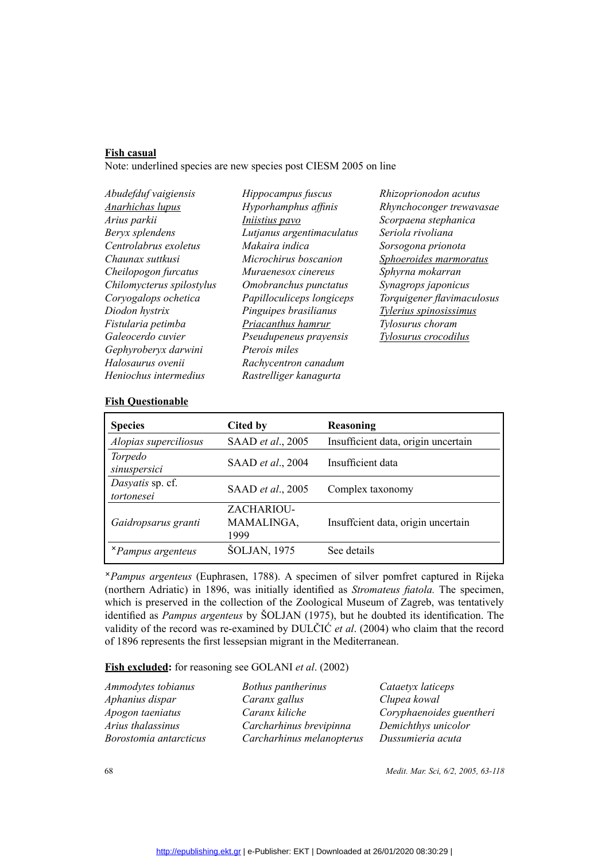### **Fish casual**

Note: underlined species are new species post CIESM 2005 on line

| Abudefduf vaigiensis      | Hippocampus fuscus        | Rhizoprionodon acutus      |
|---------------------------|---------------------------|----------------------------|
| <b>Anarhichas lupus</b>   | Hyporhamphus affinis      | Rhynchoconger trewavasae   |
| Arius parkii              | <i>Iniistius pavo</i>     | Scorpaena stephanica       |
| Beryx splendens           | Lutjanus argentimaculatus | Seriola rivoliana          |
| Centrolabrus exoletus     | Makaira indica            | Sorsogona prionota         |
| Chaunax suttkusi          | Microchirus boscanion     | Sphoeroides marmoratus     |
| Cheilopogon furcatus      | Muraenesox cinereus       | Sphyrna mokarran           |
| Chilomycterus spilostylus | Omobranchus punctatus     | Synagrops japonicus        |
| Coryogalops ochetica      | Papilloculiceps longiceps | Torquigener flavimaculosus |
| Diodon hystrix            | Pinguipes brasilianus     | Tylerius spinosissimus     |
| Fistularia petimba        | Priacanthus hamrur        | Tylosurus choram           |
| Galeocerdo cuvier         | Pseudupeneus prayensis    | Tylosurus crocodilus       |
| Gephyroberyx darwini      | Pterois miles             |                            |
| Halosaurus ovenii         | Rachycentron canadum      |                            |
| Heniochus intermedius     | Rastrelliger kanagurta    |                            |

### **Fish Questionable**

| <b>Species</b>                  | Cited by                         | Reasoning                           |
|---------------------------------|----------------------------------|-------------------------------------|
| Alopias superciliosus           | SAAD et al., 2005                | Insufficient data, origin uncertain |
| Torpedo<br>sinuspersici         | SAAD et al., 2004                | Insufficient data                   |
| Dasyatis sp. cf.<br>tortonesei  | SAAD et al., 2005                | Complex taxonomy                    |
| Gaidropsarus granti             | ZACHARIOU-<br>MAMALINGA,<br>1999 | Insuffcient data, origin uncertain  |
| <i><b>*Pampus argenteus</b></i> | <b>ŠOLJAN, 1975</b>              | See details                         |

*Pampus argenteus* (Euphrasen, 1788). A specimen of silver pomfret captured in Rijeka (northern Adriatic) in 1896, was initially identified as *Stromateus fiatola.* The specimen, which is preserved in the collection of the Zoological Museum of Zagreb, was tentatively identified as *Pampus argenteus* by ŠOLJAN (1975), but he doubted its identification. The validity of the record was re-examined by DULČIĆ *et al*. (2004) who claim that the record of 1896 represents the first lessepsian migrant in the Mediterranean.

### **Fish excluded:** for reasoning see GOLANI *et al*. (2002)

| Bothus pantherinus        | Cataetyx laticeps        |
|---------------------------|--------------------------|
| Caranx gallus             | Clupea kowal             |
| Caranx kiliche            | Coryphaenoides guentheri |
| Carcharhinus brevipinna   | Demichthys unicolor      |
| Carcharhinus melanopterus | Dussumieria acuta        |
|                           |                          |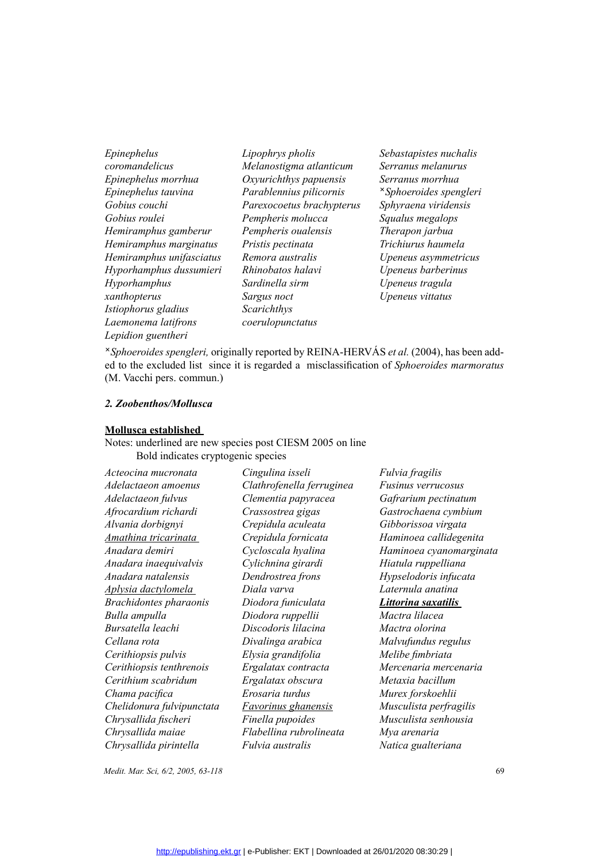*Epinephelus coromandelicus Epinephelus morrhua Epinephelus tauvina Gobius couchi Gobius roulei Hemiramphus gamberur Hemiramphus marginatus Hemiramphus unifasciatus Hyporhamphus dussumieri Hyporhamphus xanthopterus Istiophorus gladius Laemonema latifrons Lepidion guentheri*

*Lipophrys pholis Melanostigma atlanticum Oxyurichthys papuensis Parablennius pilicornis Parexocoetus brachypterus Pempheris molucca Pempheris oualensis Pristis pectinata Remora australis Rhinobatos halavi Sardinella sirm Sargus noct Scarichthys coerulopunctatus*

*Sebastapistes nuchalis Serranus melanurus Serranus morrhua Sphoeroides spengleri Sphyraena viridensis Squalus megalops Therapon jarbua Trichiurus haumela Upeneus asymmetricus Upeneus barberinus Upeneus tragula Upeneus vittatus*

*Sphoeroides spengleri,* originally reported by REINA-HERVÁS *et al.* (2004), has been added to the excluded list since it is regarded a misclassification of *Sphoeroides marmoratus* (M. Vacchi pers. commun.)<br> **2. Zoobenth** ed to the excluded list since it is regarded a misclassification of *Sphoeroides marmoratus* (M. Vacchi pers. commun.)

### *2. Zoobenthos/Mollusca*

### **Mollusca established**

Notes: underlined are new species post CIESM 2005 on line Bold indicates cryptogenic species

| Cingulina isseli           | Fulvia fragilis         |
|----------------------------|-------------------------|
| Clathrofenella ferruginea  | Fusinus verrucosus      |
|                            | Gafrarium pectinatum    |
| Crassostrea gigas          | Gastrochaena cymbium    |
| Crepidula aculeata         | Gibborissoa virgata     |
| Crepidula fornicata        | Haminoea callidegenita  |
| Cycloscala hyalina         | Haminoea cyanomarginata |
| Cylichnina girardi         | Hiatula ruppelliana     |
| Dendrostrea frons          | Hypselodoris infucata   |
| Diala varva                | Laternula anatina       |
| Diodora funiculata         | Littorina saxatilis     |
| Diodora ruppellii          | Mactra lilacea          |
| Discodoris lilacina        | Mactra olorina          |
| Divalinga arabica          | Malvufundus regulus     |
| Elysia grandifolia         | Melibe fimbriata        |
| Ergalatax contracta        | Mercenaria mercenaria   |
| Ergalatax obscura          | Metaxia bacillum        |
| Erosaria turdus            | Murex forskoehlii       |
| <b>Favorinus ghanensis</b> | Musculista perfragilis  |
| Finella pupoides           | Musculista senhousia    |
| Flabellina rubrolineata    | Mya arenaria            |
| <i>Fulvia australis</i>    | Natica gualteriana      |
|                            | Clementia papyracea     |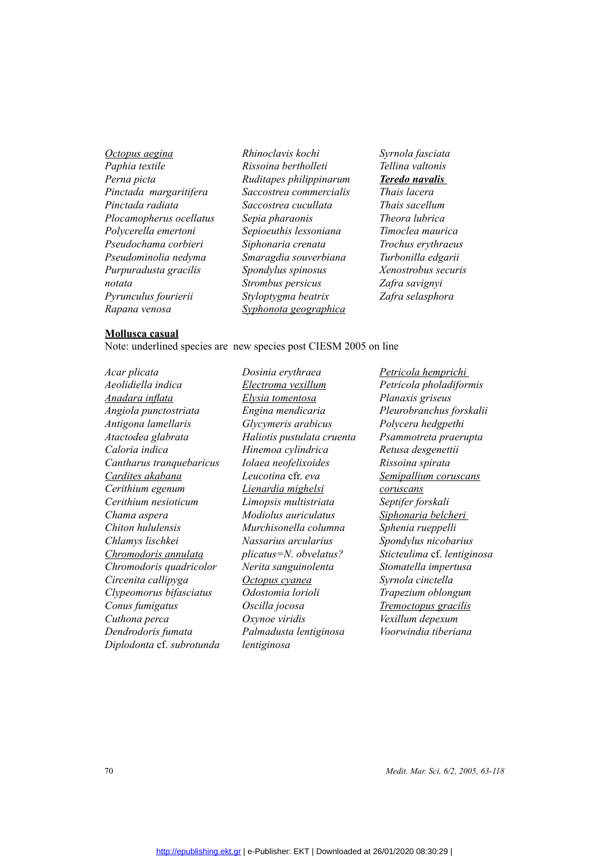*Octopus aegina Paphia textile Perna picta Pinctada margaritifera Pinctada radiata Plocamopherus ocellatus Polycerella emertoni Pseudochama corbieri Pseudominolia nedyma Purpuradusta gracilis notata Pyrunculus fourierii Rapana venosa*

*Rhinoclavis kochi Rissoina bertholleti Ruditapes philippinarum Saccostrea commercialis Saccostrea cucullata Sepia pharaonis Sepioeuthis lessoniana Siphonaria crenata Smaragdia souverbiana Spondylus spinosus Strombus persicus Styloptygma beatrix Syphonota geographica*

*Syrnola fasciata Tellina valtonis Teredo navalis Thais lacera Thais sacellum Theora lubrica Timoclea maurica Trochus erythraeus Turbonilla edgarii Xenostrobus securis Zafra savignyi Zafra selasphora* 

### **Mollusca casual**

Note: underlined species are new species post CIESM 2005 on line

*Acar plicata Aeolidiella indica Anadara inflata Angiola punctostriata Antigona lamellaris Atactodea glabrata Caloria indica Cantharus tranquebaricus Cardites akabana Cerithium egenum Cerithium nesioticum Chama aspera Chiton hululensis Chlamys lischkei Chromodoris annulata Chromodoris quadricolor Circenita callipyga Clypeomorus bifasciatus Conus fumigatus Cuthona perca Dendrodoris fumata Diplodonta* cf. *subrotunda*  *Dosinia erythraea Electroma vexillum Elysia tomentosa Engina mendicaria Glycymeris arabicus Haliotis pustulata cruenta Hinemoa cylindrica Iolaea neofelixoides Leucotina* cfr. *eva Lienardia mighelsi Limopsis multistriata Modiolus auriculatus Murchisonella columna Nassarius arcularius plicatus=N. obvelatus? Nerita sanguinolenta Octopus cyanea Odostomia lorioli Oscilla jocosa Oxynoe viridis Palmadusta lentiginosa lentiginosa* 

*Petricola hemprichi Petricola pholadiformis Planaxis griseus Pleurobranchus forskalii Polycera hedgpethi Psammotreta praerupta Retusa desgenettii Rissoina spirata Semipallium coruscans coruscans Septifer forskali Siphonaria belcheri Sphenia rueppelli Spondylus nicobarius Sticteulima* cf. *lentiginosa Stomatella impertusa Syrnola cinctella Trapezium oblongum Tremoctopus gracilis Vexillum depexum Voorwindia tiberiana*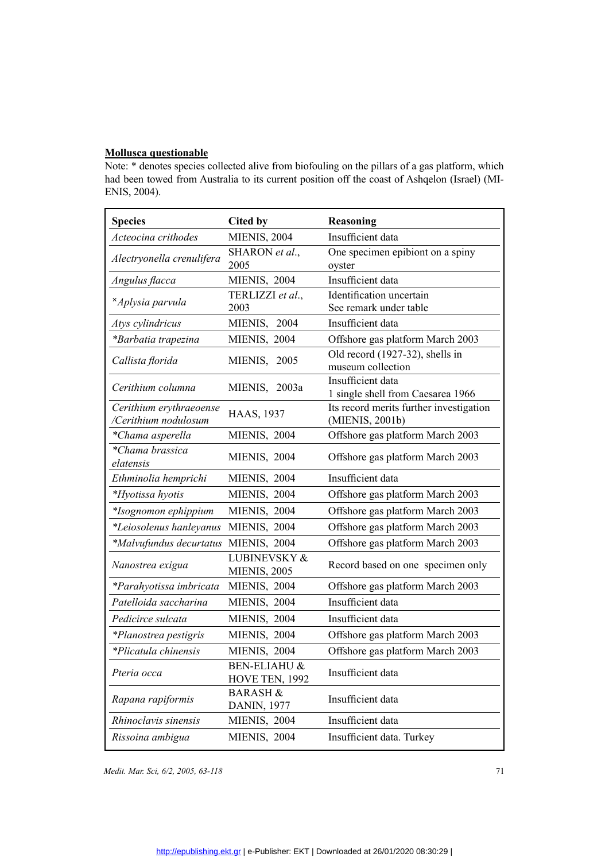### **Mollusca questionable**

Note: \* denotes species collected alive from biofouling on the pillars of a gas platform, which had been towed from Australia to its current position off the coast of Ashqelon (Israel) (MI-ENIS, 2004).

| <b>Species</b>            | <b>Cited by</b>                     | <b>Reasoning</b>                                       |
|---------------------------|-------------------------------------|--------------------------------------------------------|
| Acteocina crithodes       | <b>MIENIS, 2004</b>                 | Insufficient data                                      |
| Alectryonella crenulifera | SHARON et al.,                      | One specimen epibiont on a spiny                       |
|                           | 2005                                | oyster                                                 |
| Angulus flacca            | MIENIS, 2004                        | Insufficient data                                      |
| <i>*Aplysia parvula</i>   | TERLIZZI et al.,                    | Identification uncertain                               |
|                           | 2003                                | See remark under table                                 |
| Atys cylindricus          | MIENIS, 2004                        | Insufficient data                                      |
| *Barbatia trapezina       | MIENIS, 2004                        | Offshore gas platform March 2003                       |
| Callista florida          | MIENIS, 2005                        | Old record (1927-32), shells in                        |
|                           |                                     | museum collection                                      |
| Cerithium columna         | MIENIS, 2003a                       | Insufficient data<br>1 single shell from Caesarea 1966 |
| Cerithium erythraeoense   |                                     | Its record merits further investigation                |
| /Cerithium nodulosum      | <b>HAAS, 1937</b>                   | (MIENIS, 2001b)                                        |
| *Chama asperella          | MIENIS, 2004                        | Offshore gas platform March 2003                       |
| *Chama brassica           | MIENIS, 2004                        | Offshore gas platform March 2003                       |
| elatensis                 | MIENIS, 2004                        | Insufficient data                                      |
| Ethminolia hemprichi      | MIENIS, 2004                        |                                                        |
| *Hyotissa hyotis          |                                     | Offshore gas platform March 2003                       |
| *Isognomon ephippium      | MIENIS, 2004                        | Offshore gas platform March 2003                       |
| *Leiosolenus hanleyanus   | MIENIS, 2004                        | Offshore gas platform March 2003                       |
| *Malvufundus decurtatus   | MIENIS, 2004                        | Offshore gas platform March 2003                       |
| Nanostrea exigua          | LUBINEVSKY &<br><b>MIENIS, 2005</b> | Record based on one specimen only                      |
| *Parahyotissa imbricata   | MIENIS, 2004                        | Offshore gas platform March 2003                       |
| Patelloida saccharina     | MIENIS, 2004                        | Insufficient data                                      |
| Pedicirce sulcata         | MIENIS, 2004                        | Insufficient data                                      |
| *Planostrea pestigris     | MIENIS, 2004                        | Offshore gas platform March 2003                       |
| *Plicatula chinensis      | MIENIS, 2004                        | Offshore gas platform March 2003                       |
| Pteria occa               | BEN-ELIAHU &<br>HOVE TEN, 1992      | Insufficient data                                      |
| Rapana rapiformis         | <b>BARASH &amp;</b><br>DANIN, 1977  | Insufficient data                                      |
| Rhinoclavis sinensis      | MIENIS, 2004                        | Insufficient data                                      |
| Rissoina ambigua          | MIENIS, 2004                        | Insufficient data. Turkey                              |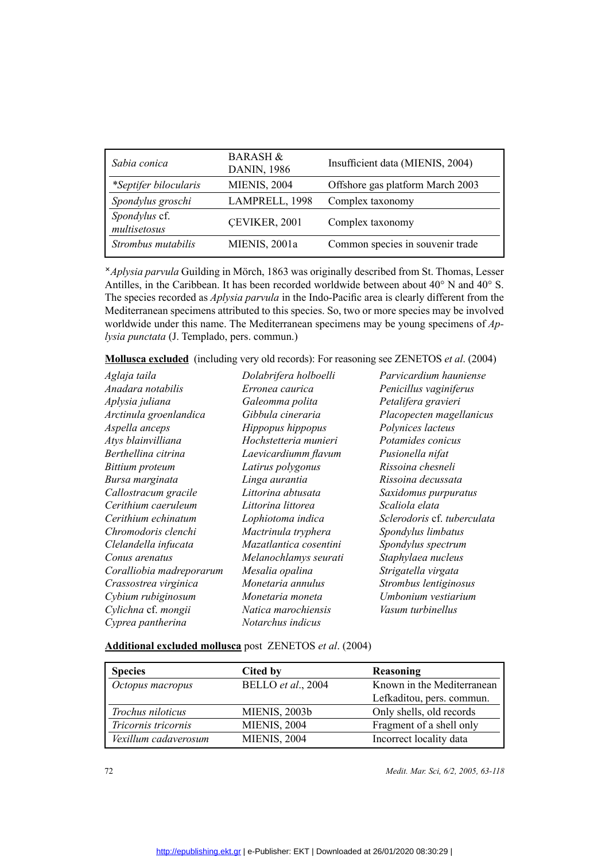| Sabia conica                  | <b>BARASH &amp;</b><br><b>DANIN, 1986</b> | Insufficient data (MIENIS, 2004) |
|-------------------------------|-------------------------------------------|----------------------------------|
| *Septifer bilocularis         | <b>MIENIS, 2004</b>                       | Offshore gas platform March 2003 |
| Spondylus groschi             | LAMPRELL, 1998                            | Complex taxonomy                 |
| Spondylus cf.<br>multisetosus | CEVIKER, 2001                             | Complex taxonomy                 |
| Strombus mutabilis            | MIENIS, 2001a                             | Common species in souvenir trade |

*Aplysia parvula* Guilding in Mörch, 1863 was originally described from St. Thomas, Lesser Antilles, in the Caribbean. It has been recorded worldwide between about 40° N and 40° S. The species recorded as *Aplysia parvula* in the Indo-Pacific area is clearly different from the Mediterranean specimens attributed to this species. So, two or more species may be involved worldwide under this name. The Mediterranean specimens may be young specimens of *Aplysia punctata* (J. Templado, pers. commun.)

**Mollusca excluded** (including very old records): For reasoning see ZENETOS *et al*. (2004)

| Aglaja taila             | Dolabrifera holboelli  | Parvicardium hauniense      |
|--------------------------|------------------------|-----------------------------|
| Anadara notabilis        | Erronea caurica        | Penicillus vaginiferus      |
| Aplysia juliana          | Galeomma polita        | Petalifera gravieri         |
| Arctinula groenlandica   | Gibbula cineraria      | Placopecten magellanicus    |
| Aspella anceps           | Hippopus hippopus      | Polynices lacteus           |
| Atys blainvilliana       | Hochstetteria munieri  | Potamides conicus           |
| Berthellina citrina      | Laevicardiumm flavum   | Pusionella nifat            |
| Bittium proteum          | Latirus polygonus      | Rissoina chesneli           |
| Bursa marginata          | Linga aurantia         | Rissoina decussata          |
| Callostracum gracile     | Littorina abtusata     | Saxidomus purpuratus        |
| Cerithium caeruleum      | Littorina littorea     | Scaliola elata              |
| Cerithium echinatum      | Lophiotoma indica      | Sclerodoris cf. tuberculata |
| Chromodoris clenchi      | Mactrinula tryphera    | Spondylus limbatus          |
| Clelandella infucata     | Mazatlantica cosentini | Spondylus spectrum          |
| Conus arenatus           | Melanochlamys seurati  | Staphylaea nucleus          |
| Coralliobia madreporarum | Mesalia opalina        | Strigatella virgata         |
| Crassostrea virginica    | Monetaria annulus      | Strombus lentiginosus       |
| Cybium rubiginosum       | Monetaria moneta       | Umbonium vestiarium         |
| Cylichna cf. mongii      | Natica marochiensis    | Vasum turbinellus           |
| Cyprea pantherina        | Notarchus indicus      |                             |

**Additional excluded mollusca** post ZENETOS *et al*. (2004)

| <b>Species</b>       | Cited by             | Reasoning                  |
|----------------------|----------------------|----------------------------|
| Octopus macropus     | BELLO et al., 2004   | Known in the Mediterranean |
|                      |                      | Lefkaditou, pers. commun.  |
| Trochus niloticus    | <b>MIENIS, 2003b</b> | Only shells, old records   |
| Tricornis tricornis  | <b>MIENIS, 2004</b>  | Fragment of a shell only   |
| Vexillum cadaverosum | <b>MIENIS, 2004</b>  | Incorrect locality data    |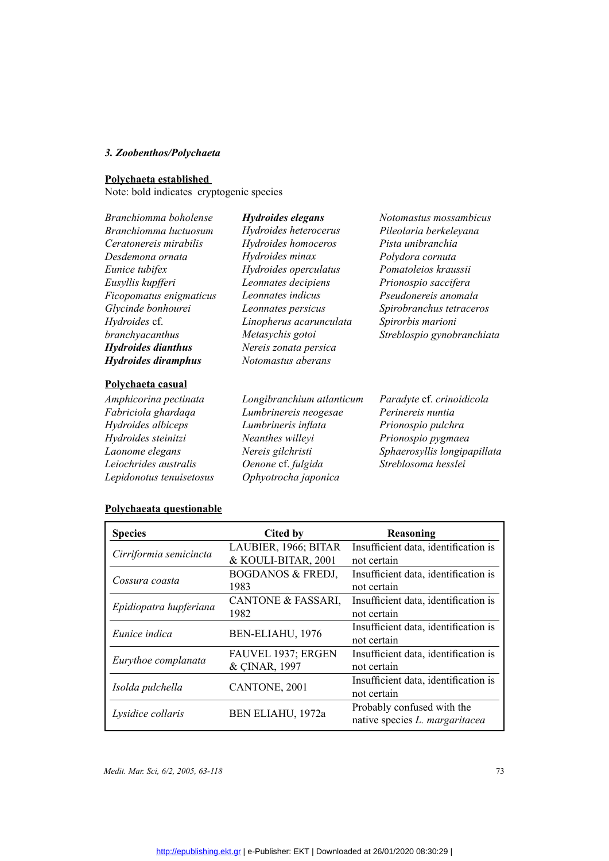### *3. Zoobenthos/Polychaeta*

| Branchiomma boholense     | Hydroides elegans         | Notomastus mossambicus       |
|---------------------------|---------------------------|------------------------------|
| Branchiomma luctuosum     | Hydroides heterocerus     | Pileolaria berkeleyana       |
| Ceratonereis mirabilis    | Hydroides homoceros       | Pista unibranchia            |
| Desdemona ornata          | Hydroides minax           | Polydora cornuta             |
| Eunice tubifex            | Hydroides operculatus     | Pomatoleios kraussii         |
| Eusyllis kupfferi         | Leonnates decipiens       | Prionospio saccifera         |
| Ficopomatus enigmaticus   | Leonnates indicus         | Pseudonereis anomala         |
| Glycinde bonhourei        | Leonnates persicus        | Spirobranchus tetraceros     |
| Hydroides cf.             | Linopherus acarunculata   | Spirorbis marioni            |
| branchyacanthus           | Metasychis gotoi          | Streblospio gynobranchiata   |
| <b>Hydroides dianthus</b> | Nereis zonata persica     |                              |
| Hydroides diramphus       | Notomastus aberans        |                              |
| Polychaeta casual         |                           |                              |
| Amphicorina pectinata     | Longibranchium atlanticum | Paradyte cf. crinoidicola    |
| Fabriciola ghardaqa       | Lumbrinereis neogesae     | Perinereis nuntia            |
| Hydroides albiceps        | Lumbrineris inflata       | Prionospio pulchra           |
| Hydroides steinitzi       | Neanthes willeyi          | Prionospio pygmaea           |
| Laonome elegans           | Nereis gilchristi         | Sphaerosyllis longipapillate |
|                           |                           |                              |

*Hydroides steinitzi Laonome elegans Leiochrides australis Lepidonotus tenuisetosus*

*Neanthes willeyi Nereis gilchristi Oenone* cf. *fulgida Ophyotrocha japonica*

*Prionospio pygmaea Sphaerosyllis longipapillata Streblosoma hesslei*

| <b>Species</b>         | Cited by                     | Reasoning                            |
|------------------------|------------------------------|--------------------------------------|
|                        | LAUBIER, 1966; BITAR         | Insufficient data, identification is |
| Cirriformia semicincta | & KOULI-BITAR, 2001          | not certain                          |
| Cossura coasta         | <b>BOGDANOS &amp; FREDJ,</b> | Insufficient data, identification is |
|                        | 1983                         | not certain                          |
|                        | CANTONE & FASSARI,           | Insufficient data, identification is |
| Epidiopatra hupferiana | 1982                         | not certain                          |
| Eunice indica          | BEN-ELIAHU, 1976             | Insufficient data, identification is |
|                        |                              | not certain                          |
|                        | FAUVEL 1937; ERGEN           | Insufficient data, identification is |
| Eurythoe complanata    | & CINAR, 1997                | not certain                          |
| Isolda pulchella       |                              | Insufficient data, identification is |
|                        | CANTONE, 2001                | not certain                          |
|                        |                              | Probably confused with the           |
| Lysidice collaris      | BEN ELIAHU, 1972a            | native species L. margaritacea       |
|                        |                              |                                      |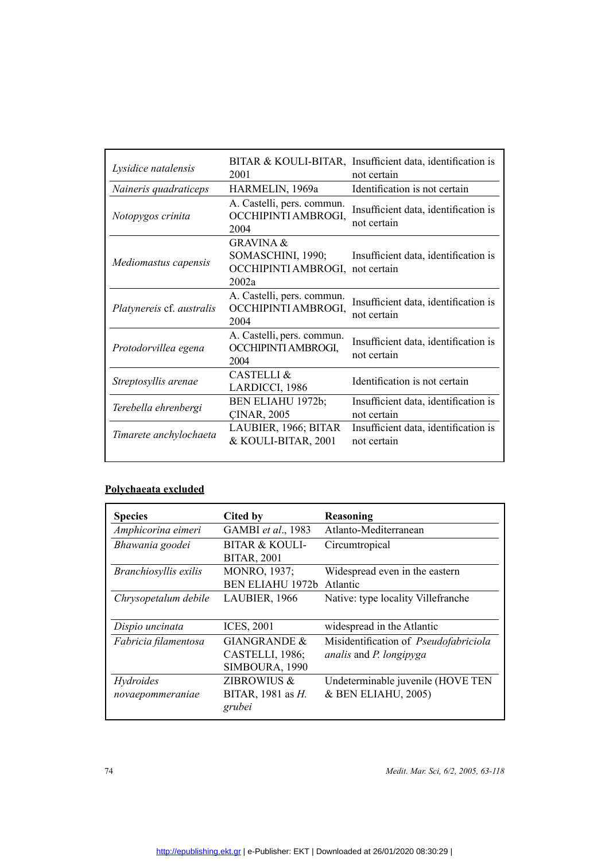| Lysidice natalensis       | 2001                                                                                  | BITAR & KOULI-BITAR, Insufficient data, identification is<br>not certain |
|---------------------------|---------------------------------------------------------------------------------------|--------------------------------------------------------------------------|
| Naineris quadraticeps     | HARMELIN, 1969a                                                                       | Identification is not certain                                            |
| Notopygos crinita         | A. Castelli, pers. commun.<br>OCCHIPINTI AMBROGI,<br>2004                             | Insufficient data, identification is<br>not certain                      |
| Mediomastus capensis      | <b>GRAVINA &amp;</b><br>SOMASCHINI, 1990;<br>OCCHIPINTI AMBROGI, not certain<br>2002a | Insufficient data, identification is                                     |
| Platynereis cf. australis | A. Castelli, pers. commun.<br>OCCHIPINTI AMBROGI,<br>2004                             | Insufficient data, identification is<br>not certain                      |
| Protodorvillea egena      | A. Castelli, pers. commun.<br>OCCHIPINTI AMBROGI,<br>2004                             | Insufficient data, identification is<br>not certain                      |
| Streptosyllis arenae      | <b>CASTELLI &amp;</b><br>LARDICCI, 1986                                               | Identification is not certain                                            |
| Terebella ehrenbergi      | BEN ELIAHU 1972b;<br><b>CINAR, 2005</b>                                               | Insufficient data, identification is<br>not certain                      |
| Timarete anchylochaeta    | LAUBIER, 1966; BITAR<br>& KOULI-BITAR, 2001                                           | Insufficient data, identification is<br>not certain                      |

## **Polychaeata excluded**

| <b>Species</b>                | Cited by                                                     | Reasoning                                                                      |
|-------------------------------|--------------------------------------------------------------|--------------------------------------------------------------------------------|
| Amphicorina eimeri            | GAMBI et al., 1983                                           | Atlanto-Mediterranean                                                          |
| Bhawania goodei               | BITAR & KOULI-<br><b>BITAR, 2001</b>                         | Circumtropical                                                                 |
| Branchiosyllis exilis         | MONRO, 1937;<br><b>BEN ELIAHU 1972b</b>                      | Widespread even in the eastern<br>Atlantic                                     |
| Chrysopetalum debile          | LAUBIER, 1966                                                | Native: type locality Villefranche                                             |
| Dispio uncinata               | <b>ICES, 2001</b>                                            | widespread in the Atlantic                                                     |
| Fabricia filamentosa          | <b>GIANGRANDE &amp;</b><br>CASTELLI, 1986;<br>SIMBOURA, 1990 | Misidentification of Pseudofabriciola<br><i>analis</i> and <i>P. longipyga</i> |
| Hydroides<br>novaepommeraniae | ZIBROWIUS &<br>BITAR, 1981 as <i>H</i> .<br>grubei           | Undeterminable juvenile (HOVE TEN<br>& BEN ELIAHU, 2005)                       |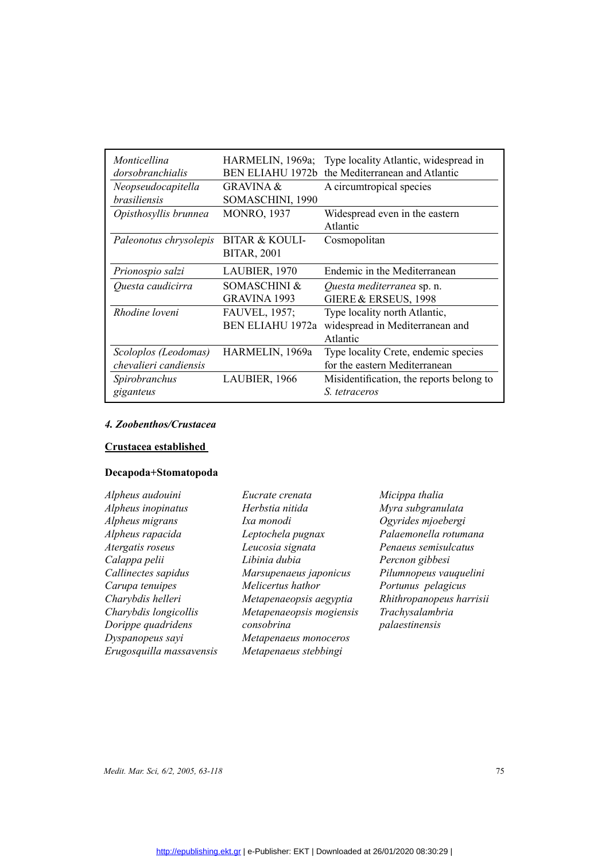| Monticellina<br>dorsobranchialis | HARMELIN, 1969a;<br><b>BEN ELIAHU 1972b</b> | Type locality Atlantic, widespread in<br>the Mediterranean and Atlantic |
|----------------------------------|---------------------------------------------|-------------------------------------------------------------------------|
| Neopseudocapitella               | <b>GRAVINA &amp;</b>                        | A circumtropical species                                                |
| <i>brasiliensis</i>              | SOMASCHINI, 1990                            |                                                                         |
| Opisthosyllis brunnea            | <b>MONRO, 1937</b>                          | Widespread even in the eastern                                          |
|                                  |                                             | Atlantic                                                                |
| Paleonotus chrysolepis           | BITAR & KOULI-                              | Cosmopolitan                                                            |
|                                  | <b>BITAR, 2001</b>                          |                                                                         |
| Prionospio salzi                 | LAUBIER, 1970                               | Endemic in the Mediterranean                                            |
| Questa caudicirra                | SOMASCHINI &                                | Questa mediterranea sp. n.                                              |
|                                  | <b>GRAVINA 1993</b>                         | GIERE & ERSEUS, 1998                                                    |
| Rhodine loveni                   | FAUVEL, 1957;                               | Type locality north Atlantic,                                           |
|                                  | <b>BEN ELIAHU 1972a</b>                     | widespread in Mediterranean and                                         |
|                                  |                                             | Atlantic                                                                |
| Scoloplos (Leodomas)             | HARMELIN, 1969a                             | Type locality Crete, endemic species                                    |
| chevalieri candiensis            |                                             | for the eastern Mediterranean                                           |
| Spirobranchus                    | LAUBIER, 1966                               | Misidentification, the reports belong to                                |
| giganteus                        |                                             | S. tetraceros                                                           |
|                                  |                                             |                                                                         |

## *4. Zoobenthos/Crustacea*

## **Crustacea established**

## **Decapoda+Stomatopoda**

| Eucrate crenata          | Micippa thalia           |
|--------------------------|--------------------------|
| Herbstia nitida          | Myra subgranulata        |
| Ixa monodi               | Ogyrides mjoebergi       |
| Leptochela pugnax        | Palaemonella rotumana    |
| Leucosia signata         | Penaeus semisulcatus     |
| Libinia dubia            | Percnon gibbesi          |
| Marsupenaeus japonicus   | Pilumnopeus vauquelini   |
| Melicertus hathor        | Portunus pelagicus       |
| Metapenaeopsis aegyptia  | Rhithropanopeus harrisii |
| Metapenaeopsis mogiensis | Trachysalambria          |
| consobrina               | palaestinensis           |
| Metapenaeus monoceros    |                          |
| Metapenaeus stebbingi    |                          |
|                          |                          |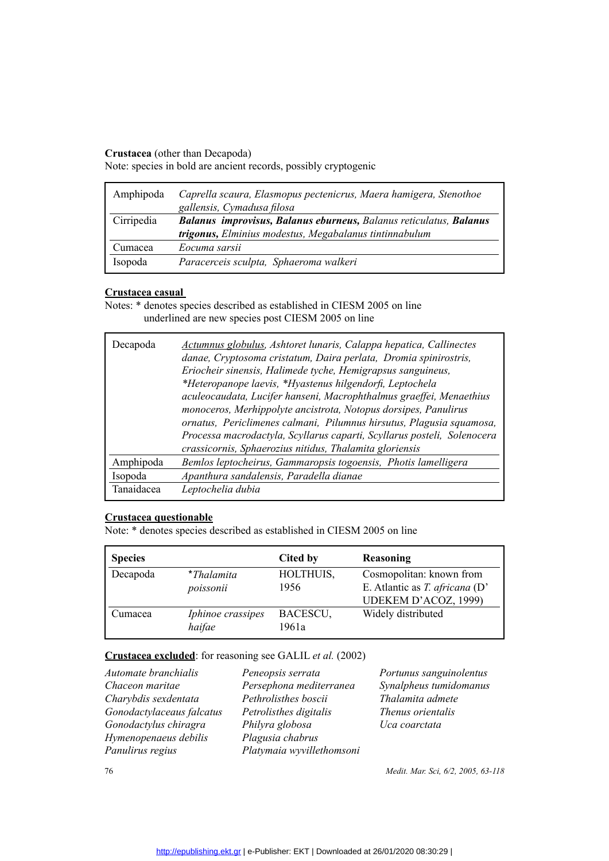### **Crustacea** (other than Decapoda)

Note: species in bold are ancient records, possibly cryptogenic

| Amphipoda  | Caprella scaura, Elasmopus pectenicrus, Maera hamigera, Stenothoe<br>gallensis, Cymadusa filosa                              |
|------------|------------------------------------------------------------------------------------------------------------------------------|
| Cirripedia | Balanus improvisus, Balanus eburneus, Balanus reticulatus, Balanus<br>trigonus, Elminius modestus, Megabalanus tintinnabulum |
|            |                                                                                                                              |
| Cumacea    | Eocuma sarsii                                                                                                                |
| Isopoda    | Paracerceis sculpta, Sphaeroma walkeri                                                                                       |

### **Crustacea casual**

Notes: \* denotes species described as established in CIESM 2005 on line underlined are new species post CIESM 2005 on line

| Decapoda   | Actumnus globulus, Ashtoret lunaris, Calappa hepatica, Callinectes<br>danae, Cryptosoma cristatum, Daira perlata, Dromia spinirostris,<br>Eriocheir sinensis, Halimede tyche, Hemigrapsus sanguineus,<br>*Heteropanope laevis, *Hyastenus hilgendorfi, Leptochela<br>aculeocaudata, Lucifer hanseni, Macrophthalmus graeffei, Menaethius<br>monoceros, Merhippolyte ancistrota, Notopus dorsipes, Panulirus<br>ornatus, Periclimenes calmani, Pilumnus hirsutus, Plagusia squamosa,<br>Processa macrodactyla, Scyllarus caparti, Scyllarus posteli, Solenocera<br>crassicornis, Sphaerozius nitidus, Thalamita gloriensis |
|------------|---------------------------------------------------------------------------------------------------------------------------------------------------------------------------------------------------------------------------------------------------------------------------------------------------------------------------------------------------------------------------------------------------------------------------------------------------------------------------------------------------------------------------------------------------------------------------------------------------------------------------|
| Amphipoda  | Bemlos leptocheirus, Gammaropsis togoensis, Photis lamelligera                                                                                                                                                                                                                                                                                                                                                                                                                                                                                                                                                            |
| Isopoda    | Apanthura sandalensis, Paradella dianae                                                                                                                                                                                                                                                                                                                                                                                                                                                                                                                                                                                   |
| Tanaidacea | Leptochelia dubia                                                                                                                                                                                                                                                                                                                                                                                                                                                                                                                                                                                                         |

| <b>Species</b> |                                | Cited by          | Reasoning                                                                          |
|----------------|--------------------------------|-------------------|------------------------------------------------------------------------------------|
| Decapoda       | <i>*Thalamita</i><br>poissonii | HOLTHUIS,<br>1956 | Cosmopolitan: known from<br>E. Atlantic as T. africana (D'<br>UDEKEM D'ACOZ, 1999) |
| Cumacea        | Iphinoe crassipes<br>haifae    | BACESCU,<br>1961a | Widely distributed                                                                 |

### **Crustacea excluded**: for reasoning see GALIL *et al.* (2002)

| Peneopsis serrata         |
|---------------------------|
| Persephona mediterranea   |
| Pethrolisthes boscii      |
| Petrolisthes digitalis    |
| Philyra globosa           |
| Plagusia chabrus          |
| Platymaia wyvillethomsoni |
|                           |

*Portunus sanguinolentus Synalpheus tumidomanus Thalamita admete Thenus orientalis Uca coarctata*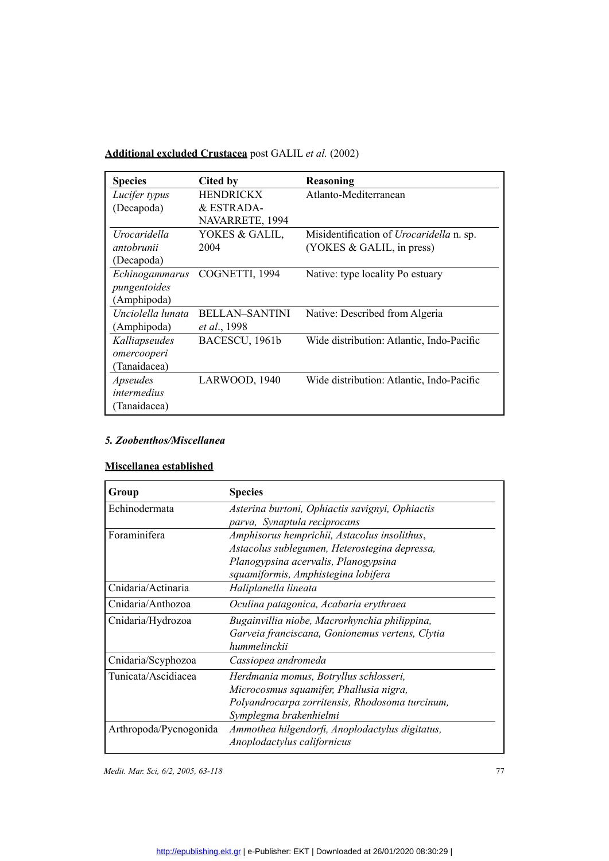## **Additional excluded Crustacea** post GALIL *et al.* (2002)

| <b>Species</b>      | Cited by              | Reasoning                                       |
|---------------------|-----------------------|-------------------------------------------------|
| Lucifer typus       | <b>HENDRICKX</b>      | Atlanto-Mediterranean                           |
| (Decapoda)          | & ESTRADA-            |                                                 |
|                     | NAVARRETE, 1994       |                                                 |
| <i>Urocaridella</i> | YOKES & GALIL,        | Misidentification of <i>Urocaridella</i> n. sp. |
| antobrunii          | 2004                  | (YOKES & GALIL, in press)                       |
| (Decapoda)          |                       |                                                 |
| Echinogammarus      | COGNETTI, 1994        | Native: type locality Po estuary                |
| pungentoides        |                       |                                                 |
| (Amphipoda)         |                       |                                                 |
| Unciolella lunata   | <b>BELLAN-SANTINI</b> | Native: Described from Algeria                  |
| (Amphipoda)         | <i>et al.</i> , 1998  |                                                 |
| Kalliapseudes       | BACESCU, 1961b        | Wide distribution: Atlantic, Indo-Pacific       |
| omercooperi         |                       |                                                 |
| (Tanaidacea)        |                       |                                                 |
| Apseudes            | LARWOOD, 1940         | Wide distribution: Atlantic, Indo-Pacific       |
| intermedius         |                       |                                                 |
| (Tanaidacea)        |                       |                                                 |

### *5. Zoobenthos/Miscellanea*

### **Miscellanea established**

| Group                  | <b>Species</b>                                  |  |
|------------------------|-------------------------------------------------|--|
| Echinodermata          | Asterina burtoni, Ophiactis savignyi, Ophiactis |  |
|                        | parva, Synaptula reciprocans                    |  |
| Foraminifera           | Amphisorus hemprichii, Astacolus insolithus,    |  |
|                        | Astacolus sublegumen, Heterostegina depressa,   |  |
|                        | Planogypsina acervalis, Planogypsina            |  |
|                        | squamiformis, Amphistegina lobifera             |  |
| Cnidaria/Actinaria     | Haliplanella lineata                            |  |
| Cnidaria/Anthozoa      | Oculina patagonica, Acabaria erythraea          |  |
| Cnidaria/Hydrozoa      | Bugainvillia niobe, Macrorhynchia philippina,   |  |
|                        | Garveia franciscana, Gonionemus vertens, Clytia |  |
|                        | hummelinckii                                    |  |
| Cnidaria/Scyphozoa     | Cassiopea andromeda                             |  |
| Tunicata/Ascidiacea    | Herdmania momus, Botryllus schlosseri,          |  |
|                        | Microcosmus squamifer, Phallusia nigra,         |  |
|                        | Polyandrocarpa zorritensis, Rhodosoma turcinum, |  |
|                        | Symplegma brakenhielmi                          |  |
| Arthropoda/Pycnogonida | Ammothea hilgendorfi, Anoplodactylus digitatus, |  |
|                        | Anoplodactylus californicus                     |  |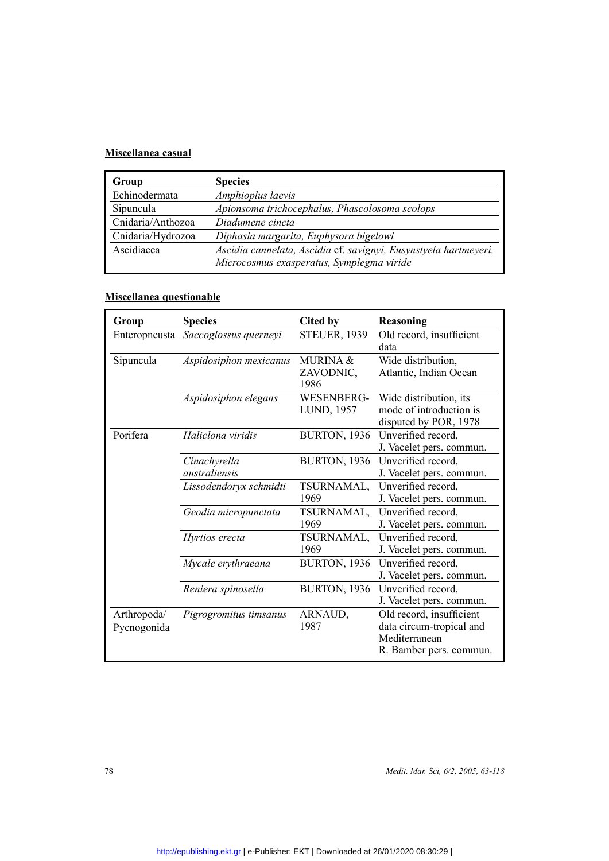### **Miscellanea casual**

| Group             | <b>Species</b>                                                   |
|-------------------|------------------------------------------------------------------|
| Echinodermata     | Amphioplus laevis                                                |
| Sipuncula         | Apionsoma trichocephalus, Phascolosoma scolops                   |
| Cnidaria/Anthozoa | Diadumene cincta                                                 |
| Cnidaria/Hydrozoa | Diphasia margarita, Euphysora bigelowi                           |
| Ascidiacea        | Ascidia cannelata, Ascidia cf. savignyi, Eusynstyela hartmeyeri, |
|                   | Microcosmus exasperatus, Symplegma viride                        |

## **Miscellanea questionable**

| Group                      | <b>Species</b>                | <b>Cited by</b>                          | Reasoning                                                                                        |
|----------------------------|-------------------------------|------------------------------------------|--------------------------------------------------------------------------------------------------|
| Enteropneusta              | Saccoglossus querneyi         | <b>STEUER, 1939</b>                      | Old record, insufficient<br>data                                                                 |
| Sipuncula                  | Aspidosiphon mexicanus        | <b>MURINA &amp;</b><br>ZAVODNIC,<br>1986 | Wide distribution,<br>Atlantic, Indian Ocean                                                     |
|                            | Aspidosiphon elegans          | WESENBERG-<br>LUND, 1957                 | Wide distribution, its<br>mode of introduction is<br>disputed by POR, 1978                       |
| Porifera                   | Haliclona viridis             | <b>BURTON, 1936</b>                      | Unverified record,<br>J. Vacelet pers. commun.                                                   |
|                            | Cinachyrella<br>australiensis | <b>BURTON, 1936</b>                      | Unverified record,<br>J. Vacelet pers. commun.                                                   |
|                            | Lissodendoryx schmidti        | TSURNAMAL,<br>1969                       | Unverified record,<br>J. Vacelet pers. commun.                                                   |
|                            | Geodia micropunctata          | TSURNAMAL,<br>1969                       | Unverified record,<br>J. Vacelet pers. commun.                                                   |
|                            | Hyrtios erecta                | TSURNAMAL,<br>1969                       | Unverified record,<br>J. Vacelet pers. commun.                                                   |
|                            | Mycale erythraeana            | <b>BURTON, 1936</b>                      | Unverified record,<br>J. Vacelet pers. commun.                                                   |
|                            | Reniera spinosella            | <b>BURTON, 1936</b>                      | Unverified record,<br>J. Vacelet pers. commun.                                                   |
| Arthropoda/<br>Pycnogonida | Pigrogromitus timsanus        | ARNAUD,<br>1987                          | Old record, insufficient<br>data circum-tropical and<br>Mediterranean<br>R. Bamber pers. commun. |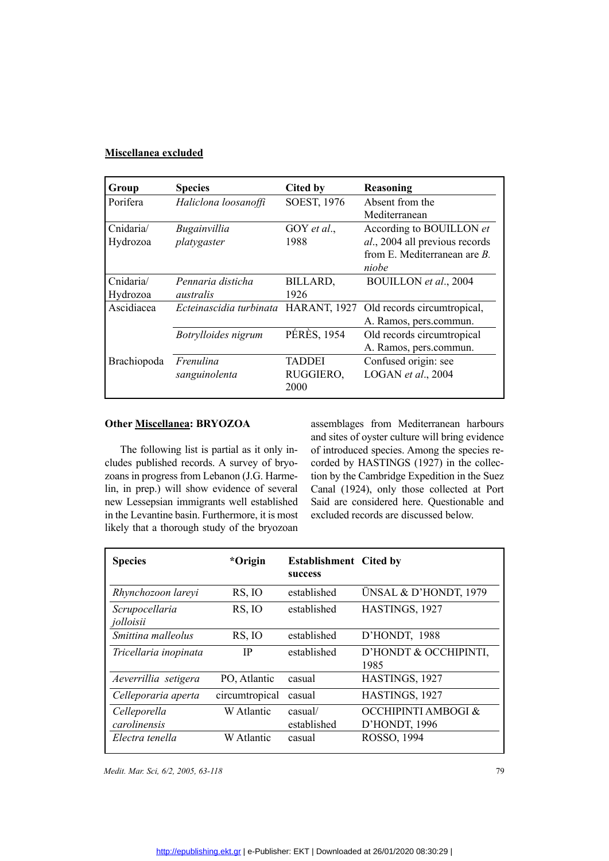### **Miscellanea excluded**

| Group       | <b>Species</b>                       | Cited by           | Reasoning                       |
|-------------|--------------------------------------|--------------------|---------------------------------|
| Porifera    | Haliclona loosanoffi                 | SOEST, 1976        | Absent from the                 |
|             |                                      |                    | Mediterranean                   |
| Cnidaria/   | Bugainvillia                         | GOY et al.,        | According to BOUILLON et        |
| Hydrozoa    | platygaster                          | 1988               | al., 2004 all previous records  |
|             |                                      |                    | from E. Mediterranean are $B$ . |
|             |                                      |                    | niobe                           |
| Cnidaria/   | Pennaria disticha                    | BILLARD,           | BOUILLON et al., 2004           |
| Hydrozoa    | australis                            | 1926               |                                 |
| Ascidiacea  | Ecteinascidia turbinata HARANT, 1927 |                    | Old records circumtropical,     |
|             |                                      |                    | A. Ramos, pers.commun.          |
|             | Botrylloides nigrum                  | <b>PÉRÈS, 1954</b> | Old records circumtropical      |
|             |                                      |                    | A. Ramos, pers.commun.          |
| Brachiopoda | Frenulina                            | TADDEI             | Confused origin: see            |
|             | sanguinolenta                        | RUGGIERO,          | LOGAN et al., $2004$            |
|             |                                      | 2000               |                                 |

**Other <u>Miscellanea</u>: BRYOZOA**<br>The following list is partial as<br>cludes published records. A surve<br>zoans in progress from Lebanon (J<br>lin, in prep.) will show evidence<br>new I essensian immigrants well The following list is partial as it only includes published records. A survey of bryozoans in progress from Lebanon (J.G. Harmelin, in prep.) will show evidence of several new Lessepsian immigrants well established in the Levantine basin. Furthermore, it is most likely that a thorough study of the bryozoan

assemblages from Mediterranean harbours and sites of oyster culture will bring evidence of introduced species. Among the species recorded by HASTINGS (1927) in the collection by the Cambridge Expedition in the Suez Canal (1924), only those collected at Port Said are considered here. Questionable and excluded records are discussed below.

| <b>Species</b>               | *Origin        | <b>Establishment</b> Cited by<br>success |                                      |
|------------------------------|----------------|------------------------------------------|--------------------------------------|
| Rhynchozoon lareyi           | RS, IO         | established                              | ÜNSAL & D'HONDT, 1979                |
| Scrupocellaria<br>jolloisii  | RS, IO         | established                              | HASTINGS, 1927                       |
| Smittina malleolus           | RS, IO         | established                              | D'HONDT, 1988                        |
| Tricellaria inopinata        | IP             | established                              | D'HONDT & OCCHIPINTI,<br>1985        |
| Aeverrillia setigera         | PO, Atlantic   | casual                                   | HASTINGS, 1927                       |
| Celleporaria aperta          | circumtropical | casual                                   | HASTINGS, 1927                       |
| Celleporella<br>carolinensis | W Atlantic     | casual/<br>established                   | OCCHIPINTI AMBOGI &<br>D'HONDT, 1996 |
| Electra tenella              | W Atlantic     | casual                                   | ROSSO, 1994                          |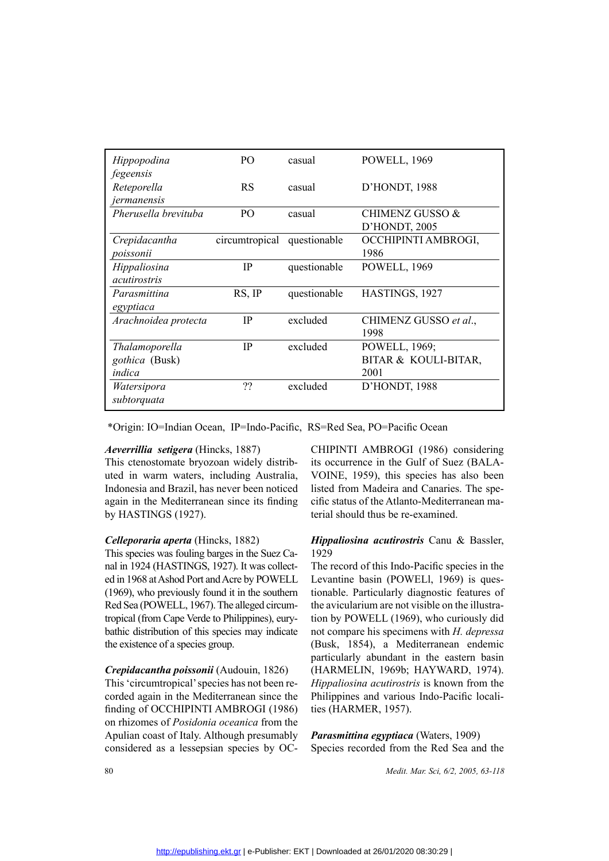| Hippopodina          | P <sub>O</sub> | casual       | POWELL, 1969               |
|----------------------|----------------|--------------|----------------------------|
| fegeensis            |                |              |                            |
| Reteporella          | <b>RS</b>      | casual       | D'HONDT, 1988              |
| jermanensis          |                |              |                            |
| Pherusella brevituba | P <sub>O</sub> | casual       | <b>CHIMENZ GUSSO &amp;</b> |
|                      |                |              | D'HONDT, 2005              |
| Crepidacantha        | circumtropical | questionable | OCCHIPINTI AMBROGI,        |
| poissonii            |                |              | 1986                       |
| Hippaliosina         | $_{\rm IP}$    | questionable | POWELL, 1969               |
| <i>acutirostris</i>  |                |              |                            |
| Parasmittina         | RS, IP         | questionable | HASTINGS, 1927             |
| egyptiaca            |                |              |                            |
| Arachnoidea protecta | <b>IP</b>      | excluded     | CHIMENZ GUSSO et al.,      |
|                      |                |              | 1998                       |
| Thalamoporella       | <b>IP</b>      | excluded     | POWELL, 1969;              |
| gothica (Busk)       |                |              | BITAR & KOULI-BITAR,       |
| indica               |                |              | 2001                       |
| Watersipora          | ??             | excluded     | D'HONDT, 1988              |
| subtorquata          |                |              |                            |

\*Origin: IO=Indian Ocean, IP=Indo-Pacific, RS=Red Sea, PO=Pacific Ocean

### *Aeverrillia setigera* (Hincks, 1887)

This ctenostomate bryozoan widely distributed in warm waters, including Australia, Indonesia and Brazil, has never been noticed again in the Mediterranean since its finding by HASTINGS (1927).

### *Celleporaria aperta* (Hincks, 1882)

This species was fouling barges in the Suez Canal in 1924 (HASTINGS, 1927). It was collected in 1968 at Ashod Port and Acre by POWELL (1969), who previously found it in the southern Red Sea (POWELL, 1967). The alleged circumtropical (from Cape Verde to Philippines), eurybathic distribution of this species may indicate the existence of a species group.

### *Crepidacantha poissonii* (Audouin, 1826)

This 'circumtropical' species has not been recorded again in the Mediterranean since the finding of OCCHIPINTI AMBROGI (1986) on rhizomes of *Posidonia oceanica* from the Apulian coast of Italy. Although presumably considered as a lessepsian species by OC-

CHIPINTI AMBROGI (1986) considering its occurrence in the Gulf of Suez (BALA-VOINE, 1959), this species has also been listed from Madeira and Canaries. The specific status of the Atlanto-Mediterranean material should thus be re-examined.

### *Hippaliosina acutirostris* Canu & Bassler, 1929

The record of this Indo-Pacific species in the Levantine basin (POWELl, 1969) is questionable. Particularly diagnostic features of the avicularium are not visible on the illustration by POWELL (1969), who curiously did not compare his specimens with *H. depressa* (Busk, 1854), a Mediterranean endemic particularly abundant in the eastern basin (HARMELIN, 1969b; HAYWARD, 1974). *Hippaliosina acutirostris* is known from the Philippines and various Indo-Pacific localities (HARMER, 1957).

*Parasmittina egyptiaca* (Waters, 1909) Species recorded from the Red Sea and the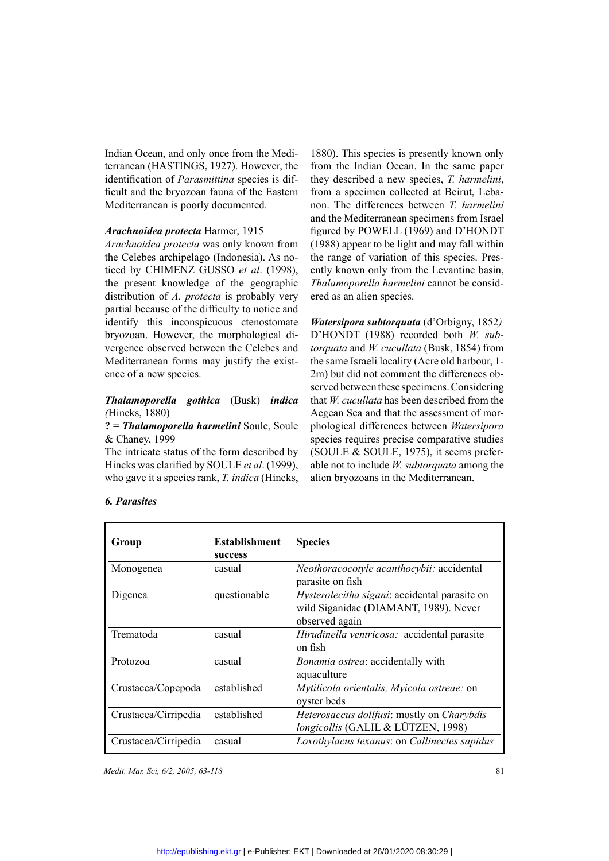Indian Ocean, and only once from the Mediterranean (HASTINGS, 1927). However, the identification of *Parasmittina* species is difficult and the bryozoan fauna of the Eastern Mediterranean is poorly documented.

### *Arachnoidea protecta* Harmer, 1915

*Arachnoidea protecta* was only known from the Celebes archipelago (Indonesia). As noticed by CHIMENZ GUSSO *et al*. (1998), the present knowledge of the geographic distribution of *A. protecta* is probably very partial because of the difficulty to notice and identify this inconspicuous ctenostomate bryozoan. However, the morphological divergence observed between the Celebes and Mediterranean forms may justify the existence of a new species.

### *Thalamoporella gothica* (Busk) *indica (*Hincks, 1880)

**? =** *Thalamoporella harmelini* Soule, Soule & Chaney, 1999

The intricate status of the form described by Hincks was clarified by SOULE *et al*. (1999), who gave it a species rank, *T. indica* (Hincks,

1880). This species is presently known only from the Indian Ocean. In the same paper they described a new species, *T. harmelini*, from a specimen collected at Beirut, Lebanon. The differences between *T. harmelini* and the Mediterranean specimens from Israel figured by POWELL (1969) and D'HONDT (1988) appear to be light and may fall within the range of variation of this species. Presently known only from the Levantine basin, *Thalamoporella harmelini* cannot be considered as an alien species.

*Watersipora subtorquata* (d'Orbigny, 1852*)* D'HONDT (1988) recorded both *W. subtorquata* and *W. cucullata* (Busk, 1854) from the same Israeli locality (Acre old harbour, 1- 2m) but did not comment the differences observed between these specimens. Considering that *W. cucullata* has been described from the Aegean Sea and that the assessment of morphological differences between *Watersipora* species requires precise comparative studies (SOULE & SOULE, 1975), it seems preferable not to include *W. subtorquata* among the alien bryozoans in the Mediterranean.

| Group                | <b>Establishment</b><br>success | <b>Species</b>                                                                                                  |
|----------------------|---------------------------------|-----------------------------------------------------------------------------------------------------------------|
| Monogenea            | casual                          | Neothoracocotyle acanthocybii: accidental<br>parasite on fish                                                   |
| Digenea              | questionable                    | <i>Hysterolecitha sigani:</i> accidental parasite on<br>wild Siganidae (DIAMANT, 1989). Never<br>observed again |
| Trematoda            | casual                          | Hirudinella ventricosa: accidental parasite<br>on fish                                                          |
| Protozoa             | casual                          | Bonamia ostrea: accidentally with<br>aquaculture                                                                |
| Crustacea/Copepoda   | established                     | Mytilicola orientalis, Myicola ostreae: on<br>oyster beds                                                       |
| Crustacea/Cirripedia | established                     | Heterosaccus dollfusi: mostly on Charybdis<br>longicollis (GALIL & LÜTZEN, 1998)                                |
| Crustacea/Cirripedia | casual                          | Loxothylacus texanus: on Callinectes sapidus                                                                    |

### *6. Parasites*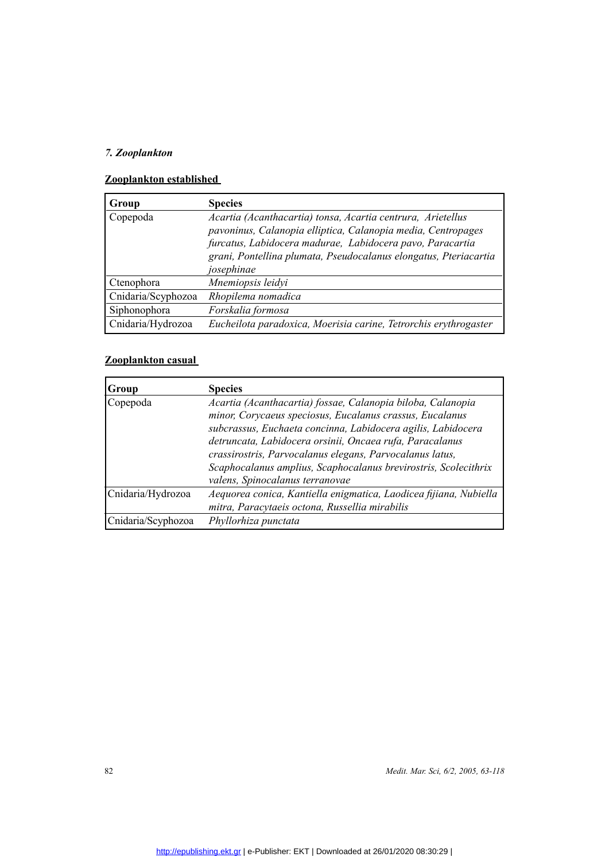## *7. Zooplankton*

| Group              | <b>Species</b>                                                                                                                                                                                                                                                             |
|--------------------|----------------------------------------------------------------------------------------------------------------------------------------------------------------------------------------------------------------------------------------------------------------------------|
| Copepoda           | Acartia (Acanthacartia) tonsa, Acartia centrura, Arietellus<br>pavoninus, Calanopia elliptica, Calanopia media, Centropages<br>furcatus, Labidocera madurae, Labidocera pavo, Paracartia<br>grani, Pontellina plumata, Pseudocalanus elongatus, Pteriacartia<br>josephinae |
| Ctenophora         | Mnemiopsis leidyi                                                                                                                                                                                                                                                          |
| Cnidaria/Scyphozoa | Rhopilema nomadica                                                                                                                                                                                                                                                         |
| Siphonophora       | Forskalia formosa                                                                                                                                                                                                                                                          |
| Cnidaria/Hydrozoa  | Eucheilota paradoxica, Moerisia carine, Tetrorchis erythrogaster                                                                                                                                                                                                           |
|                    |                                                                                                                                                                                                                                                                            |

| Group              | <b>Species</b>                                                    |
|--------------------|-------------------------------------------------------------------|
| Copepoda           | Acartia (Acanthacartia) fossae, Calanopia biloba, Calanopia       |
|                    | minor, Corycaeus speciosus, Eucalanus crassus, Eucalanus          |
|                    | subcrassus, Euchaeta concinna, Labidocera agilis, Labidocera      |
|                    | detruncata, Labidocera orsinii, Oncaea rufa, Paracalanus          |
|                    | crassirostris, Parvocalanus elegans, Parvocalanus latus,          |
|                    | Scaphocalanus amplius, Scaphocalanus brevirostris, Scolecithrix   |
|                    | valens, Spinocalanus terranovae                                   |
| Cnidaria/Hydrozoa  | Aequorea conica, Kantiella enigmatica, Laodicea fijiana, Nubiella |
|                    | mitra, Paracytaeis octona, Russellia mirabilis                    |
| Cnidaria/Scyphozoa | Phyllorhiza punctata                                              |
|                    |                                                                   |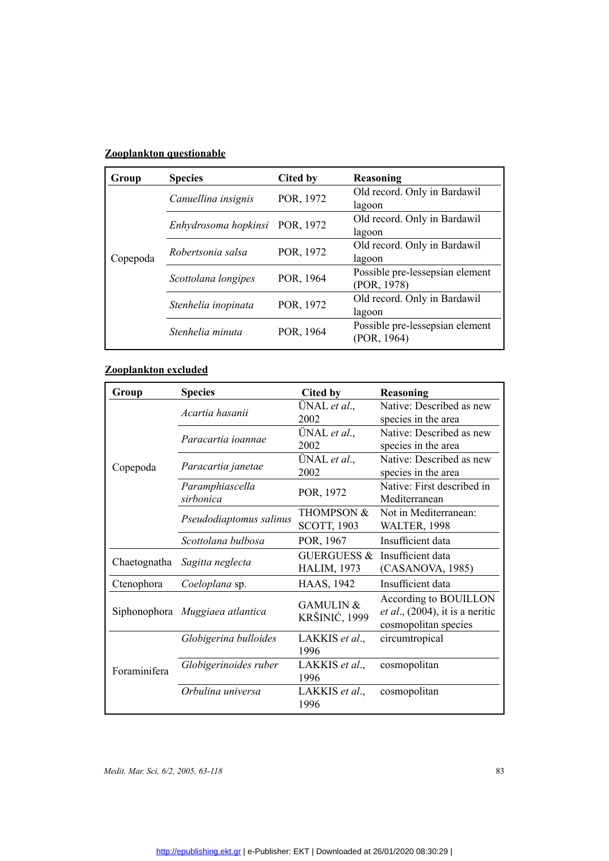| Group    | <b>Species</b>       | Cited by  | Reasoning                                      |
|----------|----------------------|-----------|------------------------------------------------|
|          | Canuellina insignis  | POR, 1972 | Old record. Only in Bardawil<br>lagoon         |
|          | Enhydrosoma hopkinsi | POR, 1972 | Old record. Only in Bardawil<br>lagoon         |
| Copepoda | Robertsonia salsa    | POR, 1972 | Old record. Only in Bardawil<br>lagoon         |
|          | Scottolana longipes  | POR, 1964 | Possible pre-lessepsian element<br>(POR, 1978) |
|          | Stenhelia inopinata  | POR, 1972 | Old record. Only in Bardawil<br>lagoon         |
|          | Stenhelia minuta     | POR, 1964 | Possible pre-lessepsian element<br>(POR, 1964) |

| Group        | <b>Species</b>                  | <b>Cited by</b>        | Reasoning                                  |
|--------------|---------------------------------|------------------------|--------------------------------------------|
|              | Acartia hasanii                 | ÜNAL et al.,           | Native: Described as new                   |
|              |                                 | 2002                   | species in the area                        |
|              | Paracartia ioannae              | ÜNAL et al.,           | Native: Described as new                   |
|              |                                 | 2002                   | species in the area                        |
|              |                                 | ÜNAL et al.,           | Native: Described as new                   |
| Copepoda     | Paracartia janetae              | 2002                   | species in the area                        |
|              | Paramphiascella                 | POR, 1972              | Native: First described in                 |
|              | sirbonica                       |                        | Mediterranean                              |
|              | Pseudodiaptomus salinus         | <b>THOMPSON &amp;</b>  | Not in Mediterranean:                      |
|              |                                 | <b>SCOTT, 1903</b>     | <b>WALTER, 1998</b>                        |
|              | Scottolana bulbosa              | POR, 1967              | Insufficient data                          |
|              |                                 | <b>GUERGUESS &amp;</b> | Insufficient data                          |
| Chaetognatha | Sagitta neglecta                | <b>HALIM, 1973</b>     | (CASANOVA, 1985)                           |
| Ctenophora   | Coeloplana sp.                  | <b>HAAS, 1942</b>      | Insufficient data                          |
|              |                                 | <b>GAMULIN &amp;</b>   | According to BOUILLON                      |
|              | Siphonophora Muggiaea atlantica | KRŠINIĆ, 1999          | <i>et al.</i> , $(2004)$ , it is a neritic |
|              |                                 |                        | cosmopolitan species                       |
|              | Globigerina bulloides           | LAKKIS et al.,         | circumtropical                             |
|              |                                 | 1996                   |                                            |
| Foraminifera | Globigerinoides ruber           | LAKKIS et al.,         | cosmopolitan                               |
|              |                                 | 1996                   |                                            |
|              | Orbulina universa               | LAKKIS et al.,         | cosmopolitan                               |
|              |                                 | 1996                   |                                            |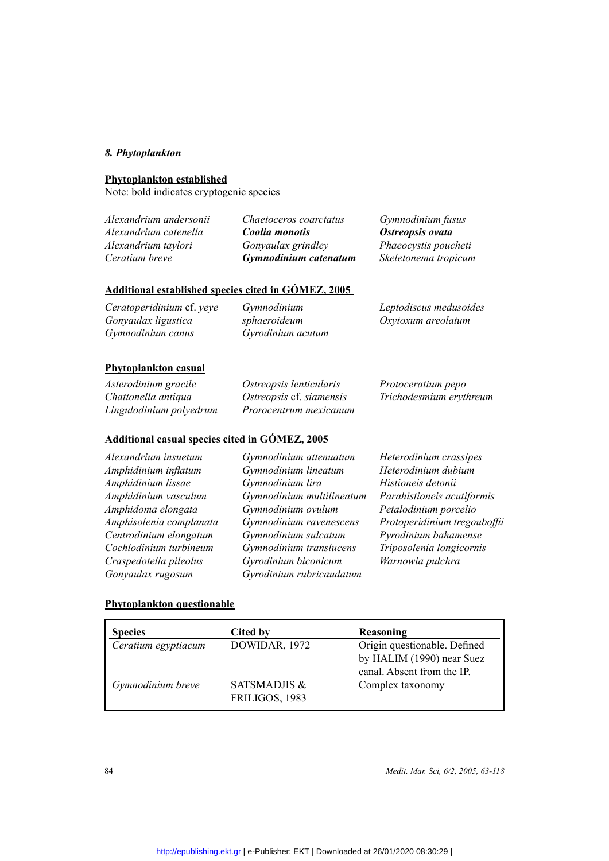### *8. Phytoplankton*

Note: bold indicates cryptogenic species

**Phytoplankton established**<br>Note: bold indicates cryptog<br>*Alexandrium andersonii<br>Alexandrium catenella<br><i>Alexandrium taylori*<br>*Ceratium breve Alexandrium andersonii Alexandrium catenella Alexandrium taylori Ceratium breve*

*Chaetoceros coarctatus Coolia monotis Gonyaulax grindley Gymnodinium catenatum*  *Gymnodinium fusus Ostreopsis ovata Phaeocystis poucheti Skeletonema tropicum*

| Oxytoxum areolatum |
|--------------------|
|                    |
|                    |

| Asterodinium gracile    | Ostreopsis lenticularis  | Protoceratium pepo      |
|-------------------------|--------------------------|-------------------------|
| Chattonella antiqua     | Ostreopsis cf. siamensis | Trichodesmium erythreum |
| Lingulodinium polyedrum | Prorocentrum mexicanum   |                         |

*Gymnodinium attenuatum*

### **Additional casual species cited in GÓMEZ, 2005**

*Alexandrium insuetum Amphidinium inflatum Amphidinium lissae Amphidinium vasculum Amphidoma elongata Amphisolenia complanata Centrodinium elongatum Cochlodinium turbineum Craspedotella pileolus Gonyaulax rugosum*

*Gymnodinium lineatum Gymnodinium lira Gymnodinium multilineatum Gymnodinium ovulum Gymnodinium ravenescens Gymnodinium sulcatum Gymnodinium translucens Gyrodinium biconicum Gyrodinium rubricaudatum*

*Heterodinium crassipes Heterodinium dubium Histioneis detonii Parahistioneis acutiformis Petalodinium porcelio Protoperidinium tregouboffii Pyrodinium bahamense Triposolenia longicornis Warnowia pulchra*

### **Phytoplankton questionable**

| <b>Species</b>      | Cited by                | Reasoning                    |
|---------------------|-------------------------|------------------------------|
| Ceratium egyptiacum | DOWIDAR, 1972           | Origin questionable. Defined |
|                     |                         | by HALIM (1990) near Suez    |
|                     |                         | canal. Absent from the IP.   |
| Gymnodinium breve   | <b>SATSMADJIS &amp;</b> | Complex taxonomy             |
|                     | FRILIGOS, 1983          |                              |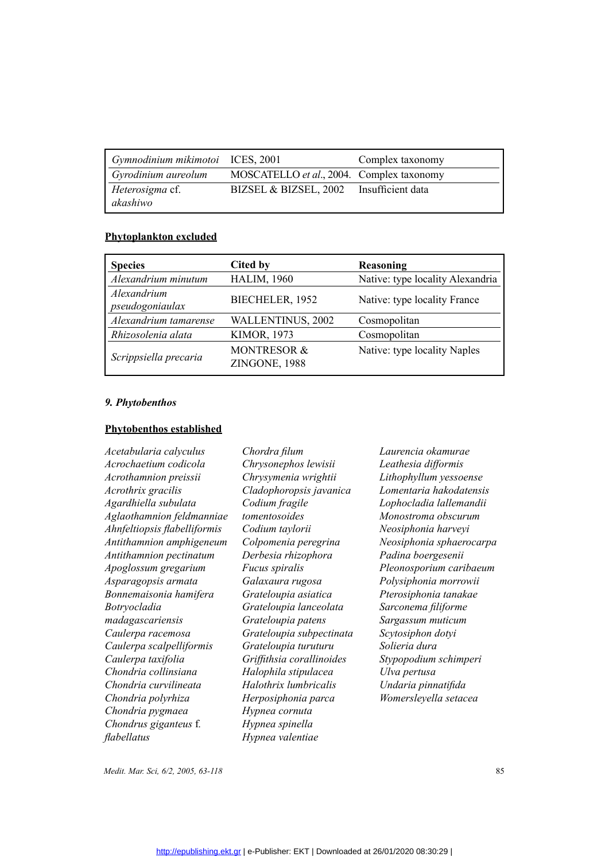| Gymnodinium mikimotoi ICES, 2001   |                                           | Complex taxonomy |
|------------------------------------|-------------------------------------------|------------------|
| Gyrodinium aureolum                | MOSCATELLO et al., 2004. Complex taxonomy |                  |
| <i>Heterosigma</i> cf.<br>akashiwo | BIZSEL & BIZSEL, 2002 Insufficient data   |                  |

| <b>Species</b>                 | Cited by                                | <b>Reasoning</b>                 |
|--------------------------------|-----------------------------------------|----------------------------------|
| Alexandrium minutum            | <b>HALIM, 1960</b>                      | Native: type locality Alexandria |
| Alexandrium<br>pseudogoniaulax | BIECHELER, 1952                         | Native: type locality France     |
| Alexandrium tamarense          | WALLENTINUS, 2002                       | Cosmopolitan                     |
| Rhizosolenia alata             | <b>KIMOR, 1973</b>                      | Cosmopolitan                     |
| Scrippsiella precaria          | <b>MONTRESOR &amp;</b><br>ZINGONE, 1988 | Native: type locality Naples     |

### *9. Phytobenthos*

**Phytobenthos established**<br>Acetabularia calyculus<br>Acrochaetium codicola<br>Acrothamnion preissii<br>Acrothrix gracilis<br>Agardhiella subulata *Acetabularia calyculus Acrochaetium codicola Acrothamnion preissii Acrothrix gracilis Agardhiella subulata Aglaothamnion feldmanniae Ahnfeltiopsis flabelliformis Antithamnion amphigeneum Antithamnion pectinatum Apoglossum gregarium Asparagopsis armata Bonnemaisonia hamifera Botryocladia madagascariensis Caulerpa racemosa Caulerpa scalpelliformis Caulerpa taxifolia Chondria collinsiana Chondria curvilineata Chondria polyrhiza Chondria pygmaea Chondrus giganteus* f*. flabellatus*

*Chordra filum Chrysonephos lewisii Chrysymenia wrightii Cladophoropsis javanica Codium fragile tomentosoides Codium taylorii Colpomenia peregrina Derbesia rhizophora Fucus spiralis Galaxaura rugosa Grateloupia asiatica Grateloupia lanceolata Grateloupia patens Grateloupia subpectinata Grateloupia turuturu Griffithsia corallinoides Halophila stipulacea Halothrix lumbricalis Herposiphonia parca Hypnea cornuta Hypnea spinella Hypnea valentiae* 

*Laurencia okamurae Leathesia difformis Lithophyllum yessoense Lomentaria hakodatensis Lophocladia lallemandii Monostroma obscurum Neosiphonia harveyi Neosiphonia sphaerocarpa Padina boergesenii Pleonosporium caribaeum Polysiphonia morrowii Pterosiphonia tanakae Sarconema filiforme Sargassum muticum Scytosiphon dotyi Solieria dura Stypopodium schimperi Ulva pertusa Undaria pinnatifida Womersleyella setacea*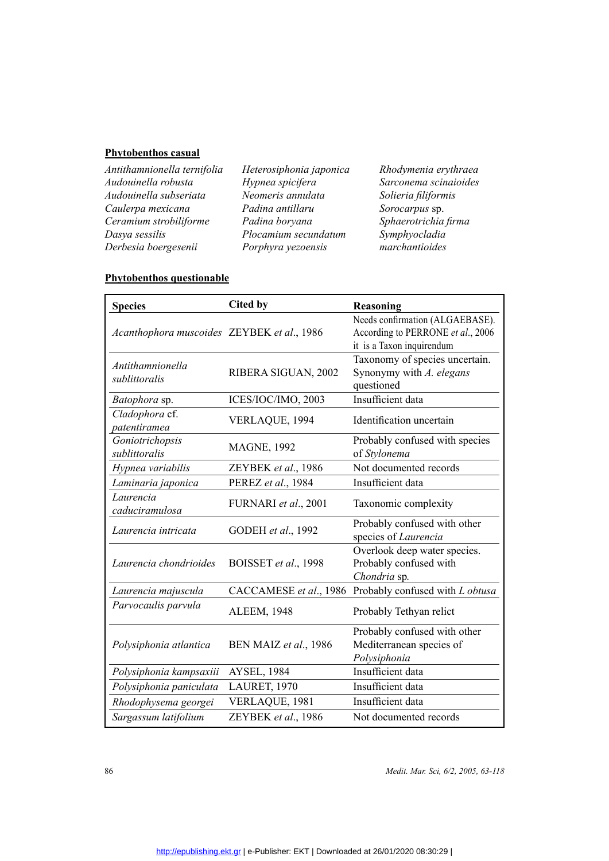**Phytobenthos casual**<br>Antithamnionella tern<br>Audouinella robusta<br>Audouinella subseriat<br>Caulerpa mexicana<br>Ceramium strobilifori<br>Dasya sessilis<br>Narbasia hoarecearii *Antithamnionella ternifolia Audouinella robusta Audouinella subseriata Caulerpa mexicana Ceramium strobiliforme Dasya sessilis Derbesia boergesenii*

*Heterosiphonia japonica Hypnea spicifera Neomeris annulata Padina antillaru Padina boryana Plocamium secundatum Porphyra yezoensis* 

*Rhodymenia erythraea Sarconema scinaioides Solieria filiformis Sorocarpus* sp. *Sphaerotrichia firma Symphyocladia marchantioides*

| <b>Species</b>                             | <b>Cited by</b>       | <b>Reasoning</b>                                                                                  |
|--------------------------------------------|-----------------------|---------------------------------------------------------------------------------------------------|
| Acanthophora muscoides ZEYBEK et al., 1986 |                       | Needs confirmation (ALGAEBASE).<br>According to PERRONE et al., 2006<br>it is a Taxon inquirendum |
| Antithamnionella<br>sublittoralis          | RIBERA SIGUAN, 2002   | Taxonomy of species uncertain.<br>Synonymy with A. elegans<br>questioned                          |
| Batophora sp.                              | ICES/IOC/IMO, 2003    | Insufficient data                                                                                 |
| Cladophora cf.<br>patentiramea             | VERLAQUE, 1994        | Identification uncertain                                                                          |
| Goniotrichopsis<br>sublittoralis           | <b>MAGNE, 1992</b>    | Probably confused with species<br>of Stylonema                                                    |
| Hypnea variabilis                          | ZEYBEK et al., 1986   | Not documented records                                                                            |
| Laminaria japonica                         | PEREZ et al., 1984    | Insufficient data                                                                                 |
| Laurencia<br>caduciramulosa                | FURNARI et al., 2001  | Taxonomic complexity                                                                              |
| Laurencia intricata                        | GODEH et al., 1992    | Probably confused with other<br>species of Laurencia                                              |
| Laurencia chondrioides                     | BOISSET et al., 1998  | Overlook deep water species.<br>Probably confused with<br>Chondria sp.                            |
| Laurencia majuscula                        |                       | CACCAMESE et al., 1986 Probably confused with L obtusa                                            |
| Parvocaulis parvula                        | <b>ALEEM, 1948</b>    | Probably Tethyan relict                                                                           |
| Polysiphonia atlantica                     | BEN MAIZ et al., 1986 | Probably confused with other<br>Mediterranean species of<br>Polysiphonia                          |
| Polysiphonia kampsaxiii                    | <b>AYSEL, 1984</b>    | Insufficient data                                                                                 |
| Polysiphonia paniculata                    | LAURET, 1970          | Insufficient data                                                                                 |
| Rhodophysema georgei                       | VERLAQUE, 1981        | Insufficient data                                                                                 |
| Sargassum latifolium                       | ZEYBEK et al., 1986   | Not documented records                                                                            |
|                                            |                       |                                                                                                   |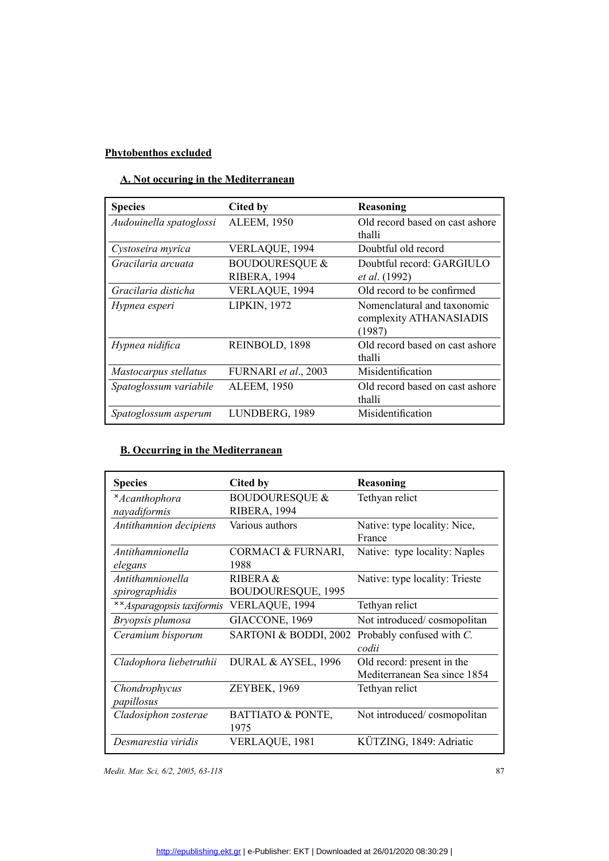## **A. Not occuring in the Mediterranean**

| <b>Species</b>          | Cited by                                         | Reasoning                                                        |
|-------------------------|--------------------------------------------------|------------------------------------------------------------------|
| Audouinella spatoglossi | <b>ALEEM, 1950</b>                               | Old record based on cast ashore<br>thalli                        |
| Cystoseira myrica       | VERLAQUE, 1994                                   | Doubtful old record                                              |
| Gracilaria arcuata      | <b>BOUDOURESQUE &amp;</b><br><b>RIBERA, 1994</b> | Doubtful record: GARGIULO<br><i>et al.</i> (1992)                |
| Gracilaria disticha     | VERLAQUE, 1994                                   | Old record to be confirmed                                       |
| Hypnea esperi           | <b>LIPKIN, 1972</b>                              | Nomenclatural and taxonomic<br>complexity ATHANASIADIS<br>(1987) |
| Hypnea nidifica         | REINBOLD, 1898                                   | Old record based on cast ashore<br>thalli                        |
| Mastocarpus stellatus   | FURNARI et al., 2003                             | Misidentification                                                |
| Spatoglossum variabile  | <b>ALEEM, 1950</b>                               | Old record based on cast ashore<br>thalli                        |
| Spatoglossum asperum    | LUNDBERG, 1989                                   | Misidentification                                                |
|                         |                                                  |                                                                  |

### **B. Occurring in the Mediterranean**

| <b>Species</b>                          | Cited by                                  | Reasoning                                                  |
|-----------------------------------------|-------------------------------------------|------------------------------------------------------------|
| <i>*Acanthophora</i><br>nayadiformis    | <b>BOUDOURESQUE &amp;</b><br>RIBERA, 1994 | Tethyan relict                                             |
| Antithamnion decipiens                  | Various authors                           | Native: type locality: Nice,<br>France                     |
| Antithamnionella<br>elegans             | CORMACI & FURNARI,<br>1988                | Native: type locality: Naples                              |
| Antithamnionella<br>spirographidis      | RIBERA &<br><b>BOUDOURESQUE, 1995</b>     | Native: type locality: Trieste                             |
| <i><b>××</b>Asparagopsis taxiformis</i> | VERLAQUE, 1994                            | Tethyan relict                                             |
| Bryopsis plumosa                        | GIACCONE, 1969                            | Not introduced/cosmopolitan                                |
| Ceramium bisporum                       | SARTONI & BODDI, 2002                     | Probably confused with C.<br>codii                         |
| Cladophora liebetruthii                 | DURAL & AYSEL, 1996                       | Old record: present in the<br>Mediterranean Sea since 1854 |
| Chondrophycus<br>papillosus             | <b>ZEYBEK, 1969</b>                       | Tethyan relict                                             |
| Cladosiphon zosterae                    | <b>BATTIATO &amp; PONTE,</b><br>1975      | Not introduced/cosmopolitan                                |
| Desmarestia viridis                     | VERLAQUE, 1981                            | KÜTZING, 1849: Adriatic                                    |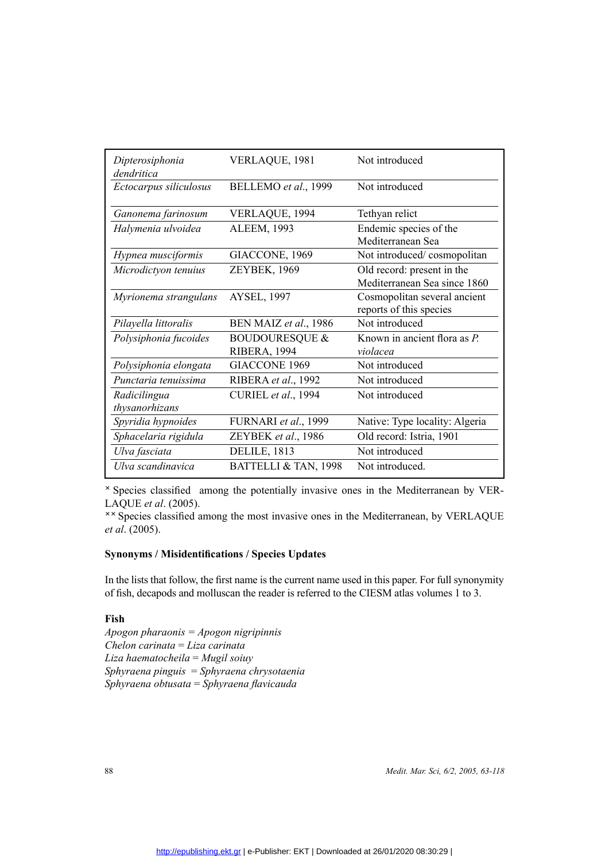| Dipterosiphonia<br>dendritica  | VERLAQUE, 1981                            | Not introduced                                             |
|--------------------------------|-------------------------------------------|------------------------------------------------------------|
| Ectocarpus siliculosus         | BELLEMO et al., 1999                      | Not introduced                                             |
| Ganonema farinosum             | VERLAQUE, 1994                            | Tethyan relict                                             |
| Halymenia ulvoidea             | <b>ALEEM, 1993</b>                        | Endemic species of the<br>Mediterranean Sea                |
| Hypnea musciformis             | GIACCONE, 1969                            | Not introduced/cosmopolitan                                |
| Microdictyon tenuius           | ZEYBEK, 1969                              | Old record: present in the<br>Mediterranean Sea since 1860 |
| Myrionema strangulans          | <b>AYSEL, 1997</b>                        | Cosmopolitan several ancient<br>reports of this species    |
| Pilayella littoralis           | BEN MAIZ et al., 1986                     | Not introduced                                             |
| Polysiphonia fucoides          | <b>BOUDOURESQUE &amp;</b><br>RIBERA, 1994 | Known in ancient flora as P.<br>violacea                   |
| Polysiphonia elongata          | <b>GIACCONE 1969</b>                      | Not introduced                                             |
| Punctaria tenuissima           | RIBERA et al., 1992                       | Not introduced                                             |
| Radicilingua<br>thysanorhizans | CURIEL et al., 1994                       | Not introduced                                             |
| Spyridia hypnoides             | FURNARI et al., 1999                      | Native: Type locality: Algeria                             |
| Sphacelaria rigidula           | ZEYBEK et al., 1986                       | Old record: Istria, 1901                                   |
| Ulva fasciata                  | <b>DELILE, 1813</b>                       | Not introduced                                             |
| Ulva scandinavica              | BATTELLI & TAN, 1998                      | Not introduced.                                            |

 Species classified among the potentially invasive ones in the Mediterranean by VER-LAQUE *et al*. (2005).

\*\* Species classified among the most invasive ones in the Mediterranean, by VERLAQUE *et al*. (2005).

**Synonyms / Misidentifications / Species Updates**<br>In the lists that follow, the first name is the current name of fish, decapods and molluscan the reader is referre<br>**Fish** In the lists that follow, the first name is the current name used in this paper. For full synonymity of fish, decapods and molluscan the reader is referred to the CIESM atlas volumes 1 to 3.

### **Fish**

*Apogon pharaonis = Apogon nigripinnis Chelon carinata* = *Liza carinata Liza haematocheila* = *Mugil soiuy Sphyraena pinguis* = *Sphyraena chrysotaenia Sphyraena obtusata* = *Sphyraena flavicauda*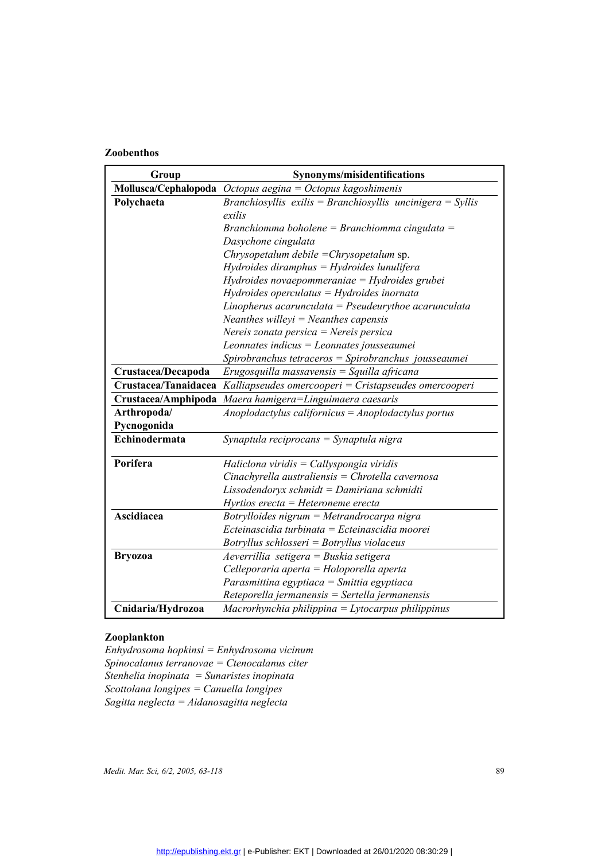| Group              | Synonyms/misidentifications<br>Mollusca/Cephalopoda $Octopus aegina = Octopus kagoshimenis$ |  |
|--------------------|---------------------------------------------------------------------------------------------|--|
|                    |                                                                                             |  |
| Polychaeta         | Branchiosyllis exilis = Branchiosyllis uncinigera = Syllis                                  |  |
|                    | exilis                                                                                      |  |
|                    | Branchiomma boholene = Branchiomma cingulata =                                              |  |
|                    | Dasychone cingulata                                                                         |  |
|                    | Chrysopetalum debile = Chrysopetalum sp.                                                    |  |
|                    | $Hydroides$ diramphus = Hydroides lunulifera                                                |  |
|                    | Hydroides novaepommeraniae = Hydroides grubei                                               |  |
|                    | $Hydroides$ operculatus = $Hydroides$ inornata                                              |  |
|                    | Linopherus acarunculata = Pseudeurythoe acarunculata                                        |  |
|                    | Neanthes willeyi = Neanthes capensis                                                        |  |
|                    | Nereis zonata persica = Nereis persica                                                      |  |
|                    | Leonnates indicus = Leonnates jousseaumei                                                   |  |
|                    | Spirobranchus tetraceros = Spirobranchus jousseaumei                                        |  |
| Crustacea/Decapoda | $Eryosquilla$ massavensis = Squilla africana                                                |  |
|                    | Crustacea/Tanaidacea Kalliapseudes omercooperi = Cristapseudes omercooperi                  |  |
|                    | Crustacea/Amphipoda Maera hamigera=Linguimaera caesaris                                     |  |
| Arthropoda/        | Anoplodactylus californicus = Anoplodactylus portus                                         |  |
| Pycnogonida        |                                                                                             |  |
| Echinodermata      | Synaptula reciprocans = Synaptula nigra                                                     |  |
| Porifera           | Haliclona viridis = Callyspongia viridis                                                    |  |
|                    | $Cinach$ yrella australiensis = Chrotella cavernosa                                         |  |
|                    | Lissodendoryx schmidt = Damiriana schmidti                                                  |  |
|                    | $Hyrtios erecta = Heteroneme erecta$                                                        |  |
| Ascidiacea         | Botrylloides nigrum = Metrandrocarpa nigra                                                  |  |
|                    | Ecteinascidia turbinata = Ecteinascidia moorei                                              |  |
|                    | Botryllus schlosseri = Botryllus violaceus                                                  |  |
| <b>Bryozoa</b>     | Aeverrillia setigera = Buskia setigera                                                      |  |
|                    | Celleporaria aperta = Holoporella aperta                                                    |  |
|                    | Parasmittina egyptiaca = Smittia egyptiaca                                                  |  |
|                    | $Reteporella jermanensis = Sertella jermanensis$                                            |  |
| Cnidaria/Hydrozoa  | $Macrorhynchia philippina = Lytocarpus philippinus$                                         |  |

**Zooplankton**<br>Enhydrosoma<br>Spinocalanus<br>Stenhelia inop<br>Scottolana lon<br>Saoitta neolea *Enhydrosoma hopkinsi = Enhydrosoma vicinum Spinocalanus terranovae = Ctenocalanus citer Stenhelia inopinata = Sunaristes inopinata Scottolana longipes = Canuella longipes Sagitta neglecta = Aidanosagitta neglecta*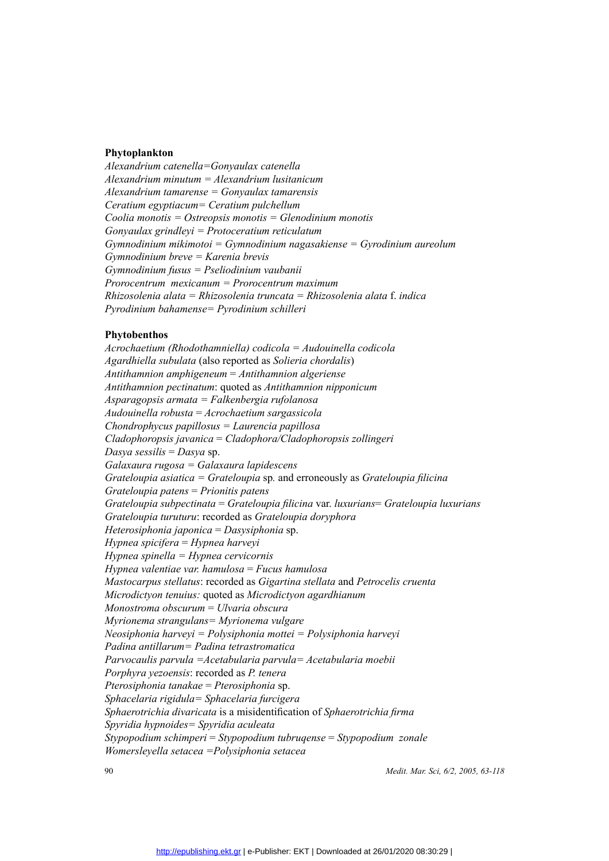**Phytoplankton**<br>Alexandrium ca<br>Alexandrium mi<br>Alexandrium tai<br>Ceratium egypti<br>Coolia monotis<br>Gonyaulax grin<br>Gonyaulax grin *Alexandrium catenella=Gonyaulax catenella Alexandrium minutum = Alexandrium lusitanicum Alexandrium tamarense = Gonyaulax tamarensis Ceratium egyptiacum= Ceratium pulchellum Coolia monotis = Ostreopsis monotis = Glenodinium monotis Gonyaulax grindleyi = Protoceratium reticulatum Gymnodinium mikimotoi = Gymnodinium nagasakiense = Gyrodinium aureolum Gymnodinium breve = Karenia brevis Gymnodinium fusus = Pseliodinium vaubanii Prorocentrum mexicanum = Prorocentrum maximum Rhizosolenia alata = Rhizosolenia truncata = Rhizosolenia alata* f. *indica Pyrodinium bahamense= Pyrodinium schilleri*

**Phytobenthos**<br>Acrochaetium (<br>Agardhiella sui<br>Antithamnion a<br>Antithamnion p<br>Asparagopsis a<br>Audouinella ro. *Acrochaetium (Rhodothamniella) codicola = Audouinella codicola Agardhiella subulata* (also reported as *Solieria chordalis*) *Antithamnion amphigeneum* = *Antithamnion algeriense Antithamnion pectinatum*: quoted as *Antithamnion nipponicum Asparagopsis armata = Falkenbergia rufolanosa Audouinella robusta* = *Acrochaetium sargassicola Chondrophycus papillosus = Laurencia papillosa Cladophoropsis javanica* = *Cladophora/Cladophoropsis zollingeri Dasya sessilis* = *Dasya* sp. *Galaxaura rugosa = Galaxaura lapidescens Grateloupia asiatica = Grateloupia* sp*.* and erroneously as *Grateloupia filicina Grateloupia patens* = *Prionitis patens Grateloupia subpectinata* = *Grateloupia filicina* var. *luxurians*= *Grateloupia luxurians Grateloupia turuturu*: recorded as *Grateloupia doryphora Heterosiphonia japonica* = *Dasysiphonia* sp. *Hypnea spicifera* = *Hypnea harveyi Hypnea spinella = Hypnea cervicornis Hypnea valentiae var. hamulosa* = *Fucus hamulosa Mastocarpus stellatus*: recorded as *Gigartina stellata* and *Petrocelis cruenta Microdictyon tenuius:* quoted as *Microdictyon agardhianum Monostroma obscurum* = *Ulvaria obscura Myrionema strangulans= Myrionema vulgare Neosiphonia harveyi = Polysiphonia mottei = Polysiphonia harveyi Padina antillarum= Padina tetrastromatica Parvocaulis parvula =Acetabularia parvula= Acetabularia moebii Porphyra yezoensis*: recorded as *P. tenera Pterosiphonia tanakae* = *Pterosiphonia* sp. *Sphacelaria rigidula= Sphacelaria furcigera Sphaerotrichia divaricata* is a misidentification of *Sphaerotrichia firma Spyridia hypnoides= Spyridia aculeata Stypopodium schimperi* = *Stypopodium tubruqense* = *Stypopodium zonale Womersleyella setacea =Polysiphonia setacea*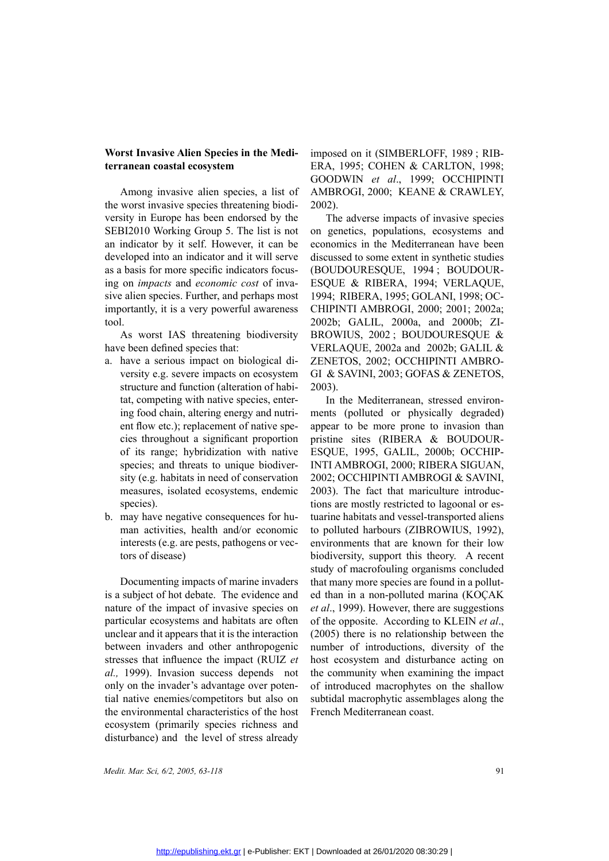### **Worst Invasive Alien Species in the Mediterranean coastal ecosystem**

Among invasive alien species, a list of the worst invasive species threatening biodiversity in Europe has been endorsed by the SEBI2010 Working Group 5. The list is not an indicator by it self. However, it can be developed into an indicator and it will serve as a basis for more specific indicators focusing on *impacts* and *economic cost* of invasive alien species. Further, and perhaps most importantly, it is a very powerful awareness tool.

As worst IAS threatening biodiversity have been defined species that:

- a. have a serious impact on biological diversity e.g. severe impacts on ecosystem structure and function (alteration of habitat, competing with native species, entering food chain, altering energy and nutrient flow etc.); replacement of native species throughout a significant proportion of its range; hybridization with native species; and threats to unique biodiversity (e.g. habitats in need of conservation measures, isolated ecosystems, endemic species).
- b. may have negative consequences for human activities, health and/or economic interests (e.g. are pests, pathogens or vectors of disease)

Documenting impacts of marine invaders is a subject of hot debate. The evidence and nature of the impact of invasive species on particular ecosystems and habitats are often unclear and it appears that it is the interaction between invaders and other anthropogenic stresses that influence the impact (RUIZ *et al.,* 1999). Invasion success depends not only on the invader's advantage over potential native enemies/competitors but also on the environmental characteristics of the host ecosystem (primarily species richness and disturbance) and the level of stress already

imposed on it (SIMBERLOFF, 1989 ; RIB-ERA, 1995; COHEN & CARLTON, 1998; GOODWIN *et al*., 1999; OCCHIPINTI AMBROGI, 2000; KEANE & CRAWLEY, 2002).

The adverse impacts of invasive species on genetics, populations, ecosystems and economics in the Mediterranean have been discussed to some extent in synthetic studies (BOUDOURESQUE, 1994 ; BOUDOUR-ESQUE & RIBERA, 1994; VERLAQUE, 1994; RIBERA, 1995; GOLANI, 1998; OC-CHIPINTI AMBROGI, 2000; 2001; 2002a; 2002b; GALIL, 2000a, and 2000b; ZI-BROWIUS, 2002 ; BOUDOURESQUE & VERLAQUE, 2002a and 2002b; GALIL & ZENETOS, 2002; OCCHIPINTI AMBRO-GI & SAVINI, 2003; GOFAS & ZENETOS, 2003).

In the Mediterranean, stressed environments (polluted or physically degraded) appear to be more prone to invasion than pristine sites (RIBERA & BOUDOUR-ESQUE, 1995, GALIL, 2000b; OCCHIP-INTI AMBROGI, 2000; RIBERA SIGUAN, 2002; OCCHIPINTI AMBROGI & SAVINI, 2003). The fact that mariculture introductions are mostly restricted to lagoonal or estuarine habitats and vessel-transported aliens to polluted harbours (ZIBROWIUS, 1992), environments that are known for their low biodiversity, support this theory. A recent study of macrofouling organisms concluded that many more species are found in a polluted than in a non-polluted marina (KOÇAK *et al*., 1999). However, there are suggestions of the opposite. According to KLEIN *et al*., (2005) there is no relationship between the number of introductions, diversity of the host ecosystem and disturbance acting on the community when examining the impact of introduced macrophytes on the shallow subtidal macrophytic assemblages along the French Mediterranean coast.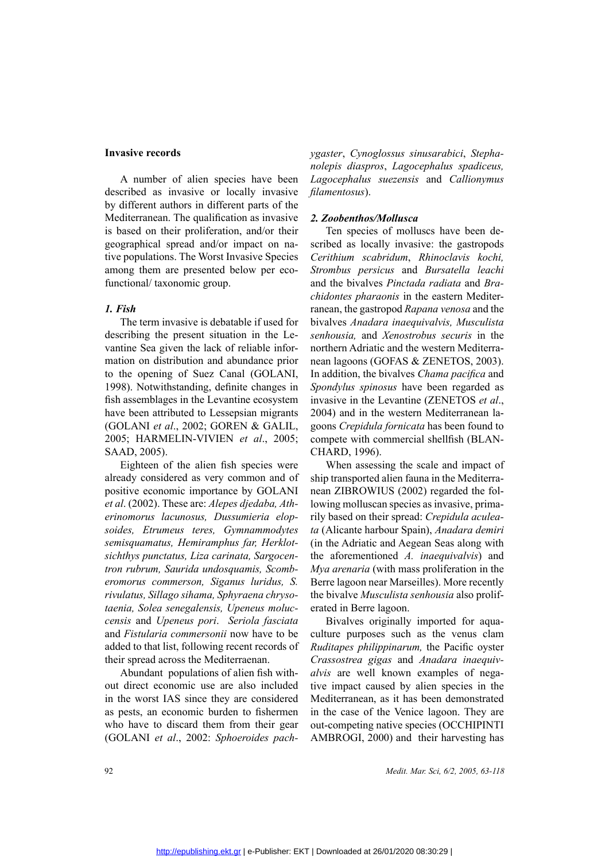### **Invasive records**

A number of alien species have been described as invasive or locally invasive by different authors in different parts of the Mediterranean. The qualification as invasive is based on their proliferation, and/or their geographical spread and/or impact on native populations. The Worst Invasive Species among them are presented below per ecofunctional/ taxonomic group.

### *1. Fish*

The term invasive is debatable if used for describing the present situation in the Levantine Sea given the lack of reliable information on distribution and abundance prior to the opening of Suez Canal (GOLANI, 1998). Notwithstanding, definite changes in fish assemblages in the Levantine ecosystem have been attributed to Lessepsian migrants (GOLANI *et al*., 2002; GOREN & GALIL, 2005; HARMELIN-VIVIEN *et al*., 2005; SAAD, 2005).

Eighteen of the alien fish species were already considered as very common and of positive economic importance by GOLANI *et al*. (2002). These are: *Alepes djedaba, Atherinomorus lacunosus, Dussumieria elopsoides, Etrumeus teres, Gymnammodytes semisquamatus, Hemiramphus far, Herklotsichthys punctatus, Liza carinata, Sargocentron rubrum, Saurida undosquamis, Scomberomorus commerson, Siganus luridus, S. rivulatus, Sillago sihama, Sphyraena chrysotaenia, Solea senegalensis, Upeneus moluccensis* and *Upeneus pori*. *Seriola fasciata* and *Fistularia commersonii* now have to be added to that list, following recent records of their spread across the Mediterraenan.

Abundant populations of alien fish without direct economic use are also included in the worst IAS since they are considered as pests, an economic burden to fishermen who have to discard them from their gear (GOLANI *et al*., 2002: *Sphoeroides pach-* *ygaster*, *Cynoglossus sinusarabici*, *Stephanolepis diaspros*, *Lagocephalus spadiceus, Lagocephalus suezensis* and *Callionymus filamentosus*).

### *2. Zoobenthos/Mollusca*

Ten species of molluscs have been described as locally invasive: the gastropods *Cerithium scabridum*, *Rhinoclavis kochi, Strombus persicus* and *Bursatella leachi*  and the bivalves *Pinctada radiata* and *Brachidontes pharaonis* in the eastern Mediterranean, the gastropod *Rapana venosa* and the bivalves *Anadara inaequivalvis, Musculista senhousia,* and *Xenostrobus securis* in the northern Adriatic and the western Mediterranean lagoons (GOFAS & ZENETOS, 2003). In addition, the bivalves *Chama pacifica* and *Spondylus spinosus* have been regarded as invasive in the Levantine (ZENETOS *et al*., 2004) and in the western Mediterranean lagoons *Crepidula fornicata* has been found to compete with commercial shellfish (BLAN-CHARD, 1996).

When assessing the scale and impact of ship transported alien fauna in the Mediterranean ZIBROWIUS (2002) regarded the following molluscan species as invasive, primarily based on their spread: *Crepidula aculeata* (Alicante harbour Spain), *Anadara demiri*  (in the Adriatic and Aegean Seas along with the aforementioned *A. inaequivalvis*) and *Mya arenaria* (with mass proliferation in the Berre lagoon near Marseilles). More recently the bivalve *Musculista senhousia* also proliferated in Berre lagoon.

Bivalves originally imported for aquaculture purposes such as the venus clam *Ruditapes philippinarum,* the Pacific oyster *Crassostrea gigas* and *Anadara inaequivalvis* are well known examples of negative impact caused by alien species in the Mediterranean, as it has been demonstrated in the case of the Venice lagoon. They are out-competing native species (OCCHIPINTI AMBROGI, 2000) and their harvesting has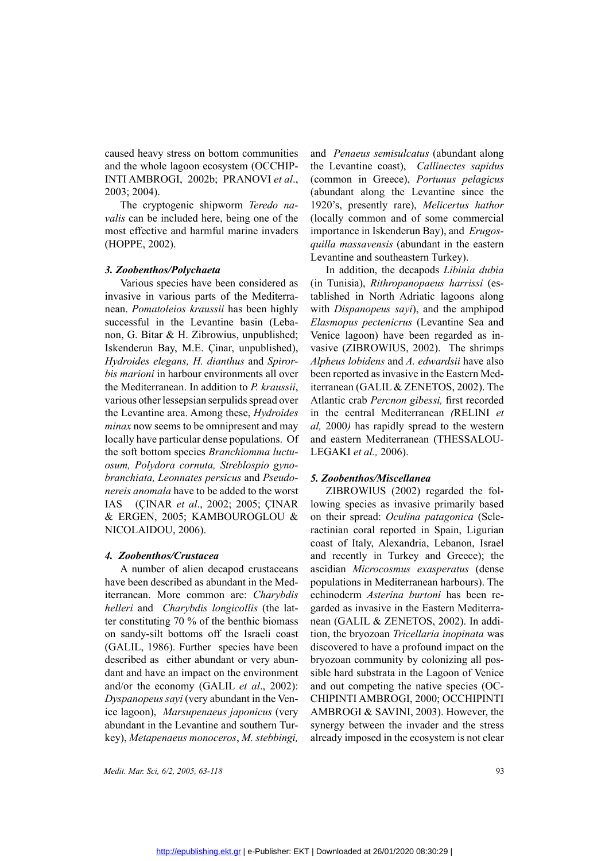caused heavy stress on bottom communities and the whole lagoon ecosystem (OCCHIP-INTI AMBROGI, 2002b; PRANOVI *et al*., 2003; 2004).

The cryptogenic shipworm *Teredo navalis* can be included here, being one of the most effective and harmful marine invaders (HOPPE, 2002).

### *3. Zoobenthos/Polychaeta*

Various species have been considered as invasive in various parts of the Mediterranean. *Pomatoleios kraussii* has been highly successful in the Levantine basin (Lebanon, G. Bitar & H. Zibrowius, unpublished; Iskenderun Bay, M.E. Çinar, unpublished), *Hydroides elegans, H. dianthus* and *Spirorbis marioni* in harbour environments all over the Mediterranean. In addition to *P. kraussii*, various other lessepsian serpulids spread over the Levantine area. Among these, *Hydroides minax* now seems to be omnipresent and may locally have particular dense populations. Of the soft bottom species *Branchiomma luctuosum, Polydora cornuta, Streblospio gynobranchiata, Leonnates persicus* and *Pseudonereis anomala* have to be added to the worst IAS (ÇINAR *et al*., 2002; 2005; ÇINAR & ERGEN, 2005; KAMBOUROGLOU & NICOLAIDOU, 2006).

### *4. Zoobenthos/Crustacea*

A number of alien decapod crustaceans have been described as abundant in the Mediterranean. More common are: *Charybdis helleri* and *Charybdis longicollis* (the latter constituting 70 % of the benthic biomass on sandy-silt bottoms off the Israeli coast (GALIL, 1986). Further species have been described as either abundant or very abundant and have an impact on the environment and/or the economy (GALIL *et al*., 2002): *Dyspanopeus sayi* (very abundant in the Venice lagoon), *Marsupenaeus japonicus* (very abundant in the Levantine and southern Turkey), *Metapenaeus monoceros*, *M. stebbingi,* 

and *Penaeus semisulcatus* (abundant along the Levantine coast), *Callinectes sapidus* (common in Greece), *Portunus pelagicus*  (abundant along the Levantine since the 1920's, presently rare), *Melicertus hathor* (locally common and of some commercial importance in Iskenderun Bay), and *Erugosquilla massavensis* (abundant in the eastern Levantine and southeastern Turkey).

In addition, the decapods *Libinia dubia* (in Tunisia), *Rithropanopaeus harrissi* (established in North Adriatic lagoons along with *Dispanopeus sayi*), and the amphipod *Elasmopus pectenicrus* (Levantine Sea and Venice lagoon) have been regarded as invasive (ZIBROWIUS, 2002). The shrimps *Alpheus lobidens* and *A. edwardsii* have also been reported as invasive in the Eastern Mediterranean (GALIL & ZENETOS, 2002). The Atlantic crab *Percnon gibessi,* first recorded in the central Mediterranean *(*RELINI *et al,* 2000*)* has rapidly spread to the western and eastern Mediterranean (THESSALOU-LEGAKI *et al.,* 2006).

### *5. Zoobenthos/Miscellanea*

ZIBROWIUS (2002) regarded the following species as invasive primarily based on their spread: *Oculina patagonica* (Scleractinian coral reported in Spain, Ligurian coast of Italy, Alexandria, Lebanon, Israel and recently in Turkey and Greece); the ascidian *Microcosmus exasperatus* (dense populations in Mediterranean harbours). The echinoderm *Asterina burtoni* has been regarded as invasive in the Eastern Mediterranean (GALIL & ZENETOS, 2002). In addition, the bryozoan *Tricellaria inopinata* was discovered to have a profound impact on the bryozoan community by colonizing all possible hard substrata in the Lagoon of Venice and out competing the native species (OC-CHIPINTI AMBROGI, 2000; OCCHIPINTI AMBROGI & SAVINI, 2003). However, the synergy between the invader and the stress already imposed in the ecosystem is not clear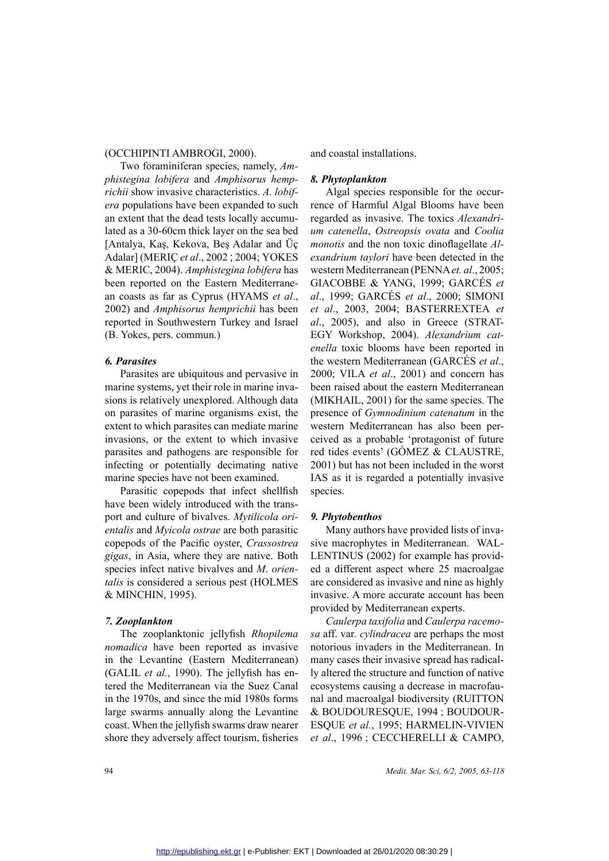### (OCCHIPINTI AMBROGI, 2000).

Two foraminiferan species, namely, *Amphistegina lobifera* and *Amphisorus hemprichii* show invasive characteristics. *A. lobifera* populations have been expanded to such an extent that the dead tests locally accumulated as a 30-60cm thick layer on the sea bed [Antalya, Kaş, Kekova, Beş Adalar and Üç Adalar] (MERIÇ *et al*., 2002 ; 2004; YOKES & MERIC, 2004). *Amphistegina lobifera* has been reported on the Eastern Mediterranean coasts as far as Cyprus (HYAMS *et al*., 2002) and *Amphisorus hemprichii* has been reported in Southwestern Turkey and Israel (B. Yokes, pers. commun.)

### *6. Parasites*

Parasites are ubiquitous and pervasive in marine systems, yet their role in marine invasions is relatively unexplored. Although data on parasites of marine organisms exist, the extent to which parasites can mediate marine invasions, or the extent to which invasive parasites and pathogens are responsible for infecting or potentially decimating native marine species have not been examined.

Parasitic copepods that infect shellfish have been widely introduced with the transport and culture of bivalves. *Mytilicola orientalis* and *Myicola ostrae* are both parasitic copepods of the Pacific oyster, *Crassostrea gigas*, in Asia, where they are native. Both species infect native bivalves and *M*. *orientalis* is considered a serious pest (HOLMES & MINCHIN, 1995).

### *7. Zooplankton*

The zooplanktonic jellyfish *Rhopilema nomadica* have been reported as invasive in the Levantine (Eastern Mediterranean) (GALIL *et al.*, 1990). The jellyfish has entered the Mediterranean via the Suez Canal in the 1970s, and since the mid 1980s forms large swarms annually along the Levantine coast. When the jellyfish swarms draw nearer shore they adversely affect tourism, fisheries

and coastal installations.

### *8. Phytoplankton*

Algal species responsible for the occurrence of Harmful Algal Blooms have been regarded as invasive. The toxics *Alexandrium catenella*, *Ostreopsis ovata* and *Coolia monotis* and the non toxic dinoflagellate *Alexandrium taylori* have been detected in the western Mediterranean (PENNA *et. al*., 2005; GIACOBBE & YANG, 1999; GARCÉS *et al*., 1999; GARCÉS *et al*., 2000; SIMONI *et al.*, 2003, 2004; BASTERREXTEA *et al.*, 2005), and also in Greece (STRAT-EGY Workshop, 2004). *Alexandrium catenella* toxic blooms have been reported in the western Mediterranean (GARCÉS *et al.*, 2000; VILA *et al.*, *al*., 2005), and also in Greece (STRAT-EGY Workshop, 2004). *Alexandrium catenella* toxic blooms have been reported in the western Mediterranean (GARCÉS *et al*., 2000; VILA *et al*., 2001) and concern has been raised about the eastern Mediterranean (MIKHAIL, 2001) for the same species. The presence of *Gymnodinium catenatum* in the western Mediterranean has also been perceived as a probable 'protagonist of future red tides events' (GÓMEZ & CLAUSTRE, 2001) but has not been included in the worst IAS as it is regarded a potentially invasive species.

### *9. Phytobenthos*

Many authors have provided lists of invasive macrophytes in Mediterranean. WAL-LENTINUS (2002) for example has provided a different aspect where 25 macroalgae are considered as invasive and nine as highly invasive. A more accurate account has been provided by Mediterranean experts.

*Caulerpa taxifolia* and *Caulerpa racemosa* aff. var*. cylindracea* are perhaps the most notorious invaders in the Mediterranean. In many cases their invasive spread has radically altered the structure and function of native ecosystems causing a decrease in macrofaunal and macroalgal biodiversity (R<br>& BOUDOURESQUE, 1994 ; BO<br>ESQUE *et al.*, 1995; HARMELIN<br>*et al.*, 1996 ; CECCHERELLI & vantine & BOUDOURESQUE, 1994 ; BOUDOUR-<br>nearer ESQUE *et al.*, 1995; HARMELIN-VIVIEN<br>sheries *et al.*, 1996 ; CECCHERELLI & CAMPO,<br>*Medit. Mar. Sci, 6/2, 2005, 63-118* ESQUE *et al.*, 1995; HARMELIN-VIVIEN *et al*., 1996 ; CECCHERELLI & CAMPO,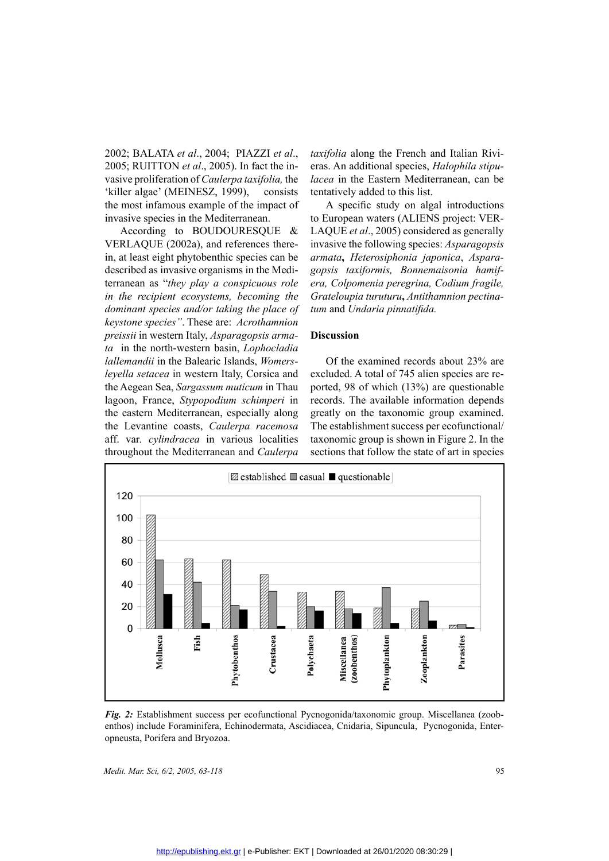2002; BALATA *et al.*, 2004; PIAZZI *et al.*, 2005; RUITTON *et al.*, 2005). In fact the invasive proliferation of *Caulerpa taxifolia*, the 'killer algae' (MEINESZ, 1999), consists the most infamous example of the impact 2005; RUITTON *et al*., 2005). In fact the invasive proliferation of *Caulerpa taxifolia,* the 'killer algae' (MEINESZ, 1999), consists the most infamous example of the impact of invasive species in the Mediterranean.

According to BOUDOURESQUE & VERLAQUE (2002a), and references therein, at least eight phytobenthic species can be described as invasive organisms in the Mediterranean as "*they play a conspicuous role in the recipient ecosystems, becoming the dominant species and/or taking the place of keystone species"*. These are: *Acrothamnion preissii* in western Italy, *Asparagopsis armata* in the north-western basin, *Lophocladia lallemandii* in the Balearic Islands, *Womersleyella setacea* in western Italy, Corsica and the Aegean Sea, *Sargassum muticum* in Thau lagoon, France, *Stypopodium schimperi* in the eastern Mediterranean, especially along the Levantine coasts, *Caulerpa racemosa* aff. var*. cylindracea* in various localities throughout the Mediterranean and *Caulerpa*

*taxifolia* along the French and Italian Rivieras. An additional species, *Halophila stipulacea* in the Eastern Mediterranean, can be tentatively added to this list.

A specific study on algal introductions to European waters (ALIENS project: VER-LAQUE *et al*., 2005) considered as generally invasive the following species: *Asparagopsis armata***,** *Heterosiphonia japonica*, *Asparagopsis taxiformis, Bonnemaisonia hamifera, Colpomenia peregrina, Codium fragile, Grateloupia turuturu***,** *Antithamnion pectinatum* and *Undaria pinnatifida.*

### **Discussion**

Of the examined records about 23% are excluded. A total of 745 alien species are reported, 98 of which (13%) are questionable records. The available information depends greatly on the taxonomic group examined. The establishment success per ecofunctional/ taxonomic group is shown in Figure 2. In the sections that follow the state of art in species



*Fig. 2:* Establishment success per ecofunctional Pycnogonida/taxonomic group. Miscellanea (zoobenthos) include Foraminifera, Echinodermata, Ascidiacea, Cnidaria, Sipuncula, Pycnogonida, Enteropneusta, Porifera and Bryozoa.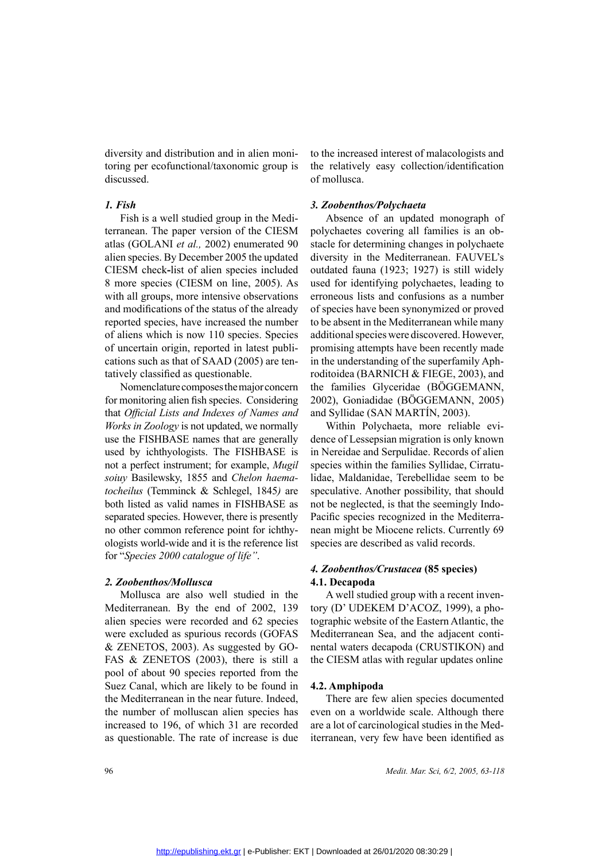diversity and distribution and in alien monitoring per ecofunctional/taxonomic group is discussed.

### *1. Fish*

Fish is a well studied group in the Mediterranean. The paper version of the CIESM atlas (GOLANI *et al.,* 2002) enumerated 90 alien species. By December 2005 the updated CIESM check**-**list of alien species included 8 more species (CIESM on line, 2005). As with all groups, more intensive observations and modifications of the status of the already reported species, have increased the number of aliens which is now 110 species. Species of uncertain origin, reported in latest publications such as that of SAAD (2005) are tentatively classified as questionable.

Nomenclature composes the major concern for monitoring alien fish species. Considering that *Official Lists and Indexes of Names and Works in Zoology* is not updated, we normally use the FISHBASE names that are generally used by ichthyologists. The FISHBASE is not a perfect instrument; for example, *Mugil soiuy* Basilewsky, 1855 and *Chelon haematocheilus* (Temminck & Schlegel, 1845*)* are both listed as valid names in FISHBASE as separated species. However, there is presently no other common reference point for ichthyologists world-wide and it is the reference list for "*Species 2000 catalogue of life"*.

### *2. Zoobenthos/Mollusca*

Mollusca are also well studied in the Mediterranean. By the end of 2002, 139 alien species were recorded and 62 species were excluded as spurious records (GOFAS & ZENETOS, 2003). As suggested by GO-FAS & ZENETOS (2003), there is still a pool of about 90 species reported from the Suez Canal, which are likely to be found in the Mediterranean in the near future. Indeed, the number of molluscan alien species has increased to 196, of which 31 are recorded as questionable. The rate of increase is due

to the increased interest of malacologists and the relatively easy collection/identification of mollusca.

### *3. Zoobenthos/Polychaeta*

Absence of an updated monograph of polychaetes covering all families is an obstacle for determining changes in polychaete diversity in the Mediterranean. FAUVEL's outdated fauna (1923; 1927) is still widely used for identifying polychaetes, leading to erroneous lists and confusions as a number of species have been synonymized or proved to be absent in the Mediterranean while many additional species were discovered. However, promising attempts have been recently made in the understanding of the superfamily Aphroditoidea (BARNICH & FIEGE, 2003), and the families Glyceridae (BÖGGEMANN, 2002), Goniadidae (BÖGGEMANN, 2005) and Syllidae (SAN MARTÍN, 2003).

Within Polychaeta, more reliable evidence of Lessepsian migration is only known in Nereidae and Serpulidae. Records of alien species within the families Syllidae, Cirratulidae, Maldanidae, Terebellidae seem to be speculative. Another possibility, that should not be neglected, is that the seemingly Indo-Pacific species recognized in the Mediterranean might be Miocene relicts. Currently 69 species are described as valid records.

### *4. Zoobenthos/Crustacea* **(85 species) 4.1. Decapoda**

A well studied group with a recent inventory (D' UDEKEM D'ACOZ, 1999), a photographic website of the Eastern Atlantic, the Mediterranean Sea, and the adjacent continental waters decapoda (CRUSTIKON) and the CIESM atlas with regular updates online

### **4.2. Amphipoda**

There are few alien species documented even on a worldwide scale. Although there are a lot of carcinological studies in the Mediterranean, very few have been identified as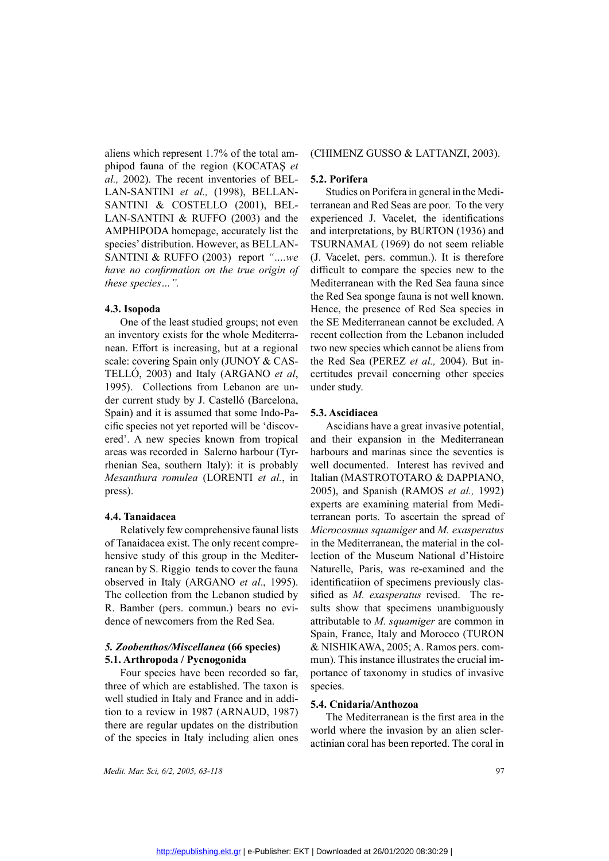aliens which represent 1.7% of the total amphipod fauna of the region (KOCATAŞ *et al.,* 2002). The recent inventories of BEL-LAN-SANTINI *et al.,* (1998), BELLAN-SANTINI & COSTELLO (2001), BEL-LAN-SANTINI & RUFFO (2003) and the AMPHIPODA homepage, accurately list the species' distribution. However, as BELLAN-SANTINI & RUFFO (2003) report *"….we have no confirmation on the true origin of these species…".*

### **4.3. Isopoda**

One of the least studied groups; not even an inventory exists for the whole Mediterranean. Effort is increasing, but at a regional scale: covering Spain only (JUNOY & CAS-TELLÓ, 2003) and Italy (ARGANO *et al*, 1995). Collections from Lebanon are under current study by J. Castelló (Barcelona, Spain) and it is assumed that some Indo-Pacific species not yet reported will be 'discovered'. A new species known from tropical areas was recorded in Salerno harbour (Tyrrhenian Sea, southern Italy): it is probably *Mesanthura romulea* (LORENTI *et al.*, in press).

### **4.4. Tanaidacea**

Relatively few comprehensive faunal lists of Tanaidacea exist. The only recent comprehensive study of this group in the Mediterranean by S. Riggio tends to cover the fauna observed in Italy (ARGANO *et al*., 1995). The collection from the Lebanon studied by R. Bamber (pers. commun.) bears no evidence of newcomers from the Red Sea.

# *5. Zoobenthos/Miscellanea* **(66 species)**

**5.1. Arthropoda / Pycnogonida**<br>Four species have been recordine of which are established. Twell studied in Italy and France<br>tion to a review in 1987 (ARN<sub>4</sub><br>there are requier undates on the Four species have been recorded so far, three of which are established. The taxon is well studied in Italy and France and in addition to a review in 1987 (ARNAUD, 1987) there are regular updates on the distribution of the species in Italy including alien ones

(CHIMENZ GUSSO & LATTANZI, 2003).

**SEL-5.2. Porifera**<br> **SEL- 5.2. Porifera**<br> **BEL- terranean** and<br> **nd** the **experienced**<br> **list the** and **interpreta**<br> **LAN- TSURNAMA**<br> **SECURNAMA**<br> **SECURNAMA**<br> **SECURE ALAN- SURNAMA** Studies on Porifera in general in the Mediterranean and Red Seas are poor. To the very experienced J. Vacelet, the identifications and interpretations, by BURTON (1936) and TSURNAMAL (1969) do not seem reliable (J. Vacelet, pers. commun.). It is therefore difficult to compare the species new to the Mediterranean with the Red Sea fauna since the Red Sea sponge fauna is not well known. Hence, the presence of Red Sea species in the SE Mediterranean cannot be excluded. A recent collection from the Lebanon included two new species which cannot be aliens from the Red Sea (PEREZ *et al.,* 2004). But incertitudes prevail concerning other species under study.

### **5.3. Ascidiacea**

Ascidians have a great invasive potential, and their expansion in the Mediterranean harbours and marinas since the seventies is well documented. Interest has revived and Italian (MASTROTOTARO & DAPPIANO, 2005), and Spanish (RAMOS *et al.,* 1992) experts are examining material from Mediterranean ports. To ascertain the spread of *Microcosmus squamiger* and *M. exasperatus* in the Mediterranean, the material in the collection of the Museum National d'Histoire Naturelle, Paris, was re-examined and the identificatiion of specimens previously classified as *M. exasperatus* revised. The results show that specimens unambiguously attributable to *M. squamiger* are common in Spain, France, Italy and Morocco (TURON & NISHIKAWA, 2005; A. Ramos pers. commun). This instance illustrates the crucial importance of taxonomy in studies of invasive species.

### **5.4. Cnidaria/Anthozoa**

The Mediterranean is the first area in the world where the invasion by an alien scleractinian coral has been reported. The coral in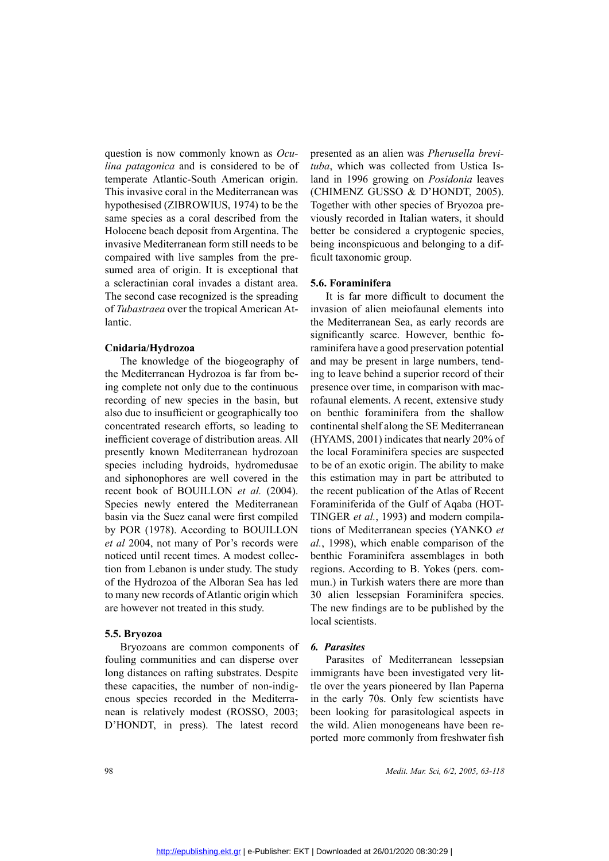question is now commonly known as *Oculina patagonica* and is considered to be of temperate Atlantic-South American origin. This invasive coral in the Mediterranean was hypothesised (ZIBROWIUS, 1974) to be the same species as a coral described from the Holocene beach deposit from Argentina. The invasive Mediterranean form still needs to be compaired with live samples from the presumed area of origin. It is exceptional that a scleractinian coral invades a distant area. The second case recognized is the spreading of *Tubastraea* over the tropical American Atlantic.

### **Cnidaria/Hydrozoa**

The knowledge of the biogeography of the Mediterranean Hydrozoa is far from being complete not only due to the continuous recording of new species in the basin, but also due to insufficient or geographically too concentrated research efforts, so leading to inefficient coverage of distribution areas. All presently known Mediterranean hydrozoan species including hydroids, hydromedusae and siphonophores are well covered in the recent book of BOUILLON *et al.* (2004). Species newly entered the Mediterranean basin via the Suez canal were first compiled by POR (1978). According to BOUILLON *et al* 2004, not many of Por's records were noticed until recent times. A modest collection from Lebanon is under study. The study of the Hydrozoa of the Alboran Sea has led to many new records of Atlantic origin which are however not treated in this study.

**5.5. Bryozoa**<br>Bryozoan<br>fouling comm<br>long distance<br>these capacit Bryozoans are common components of fouling communities and can disperse over long distances on rafting substrates. Despite these capacities, the number of non-indigenous species recorded in the Mediterranean is relatively modest (ROSSO, 2003; D'HONDT, in press). The latest record

presented as an alien was *Pherusella brevituba*, which was collected from Ustica Island in 1996 growing on *Posidonia* leaves (CHIMENZ GUSSO & D'HONDT, 2005). Together with other species of Bryozoa previously recorded in Italian waters, it should better be considered a cryptogenic species, being inconspicuous and belonging to a difficult taxonomic group.

t area. **5.6. Foraminifera**<br>eading It is far more<br>can At-invasion of alien<br>the Mediterranean<br>significantly scarce<br>raminifera have a g<br>phy of and may be preser It is far more difficult to document the invasion of alien meiofaunal elements into the Mediterranean Sea, as early records are significantly scarce. However, benthic foraminifera have a good preservation potential and may be present in large numbers, tending to leave behind a superior record of their presence over time, in comparison with macrofaunal elements. A recent, extensive study on benthic foraminifera from the shallow continental shelf along the SE Mediterranean (HYAMS, 2001) indicates that nearly 20% of the local Foraminifera species are suspected to be of an exotic origin. The ability to make this estimation may in part be attributed to the recent publication of the Atlas of Recent Foraminiferida of the Gulf of Aqaba (HOT-TINGER *et al.*, 1993) and modern compilations of Mediterranean species (YANKO *et al.*, 1998), which enable comparison of the benthic Foraminifera assemblages in both regions. According to B. Yokes (pers. commun.) in Turkish waters there are more than 30 alien lessepsian Foraminifera species. The new findings are to be published by the local scientists.

### *6. Parasites*

Parasites of Mediterranean lessepsian immigrants have been investigated very little over the years pioneered by Ilan Paperna in the early 70s. Only few scientists have been looking for parasitological aspects in the wild. Alien monogeneans have been reported more commonly from freshwater fish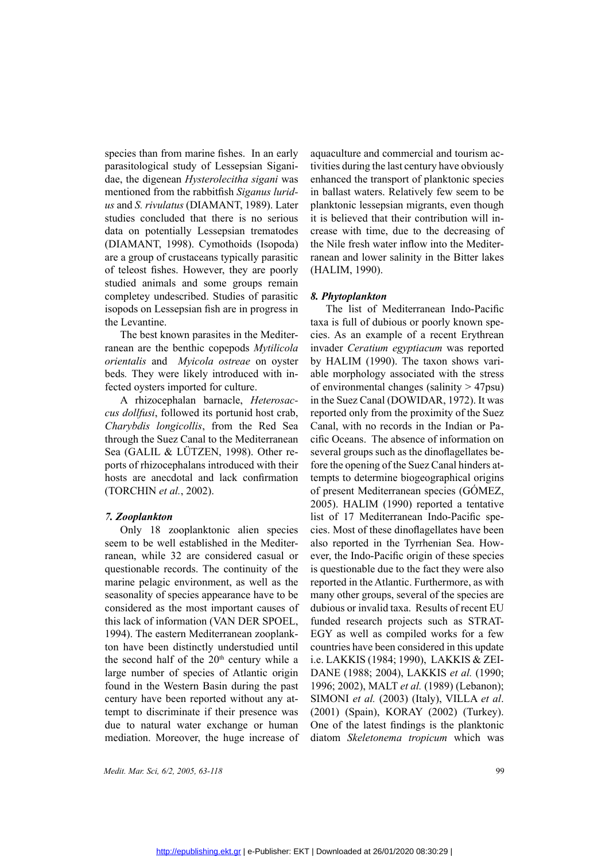species than from marine fishes. In an early parasitological study of Lessepsian Siganidae, the digenean *Hysterolecitha sigani* was mentioned from the rabbitfish *Siganus luridus* and *S. rivulatus* (DIAMANT, 1989). Later studies concluded that there is no serious data on potentially Lessepsian trematodes (DIAMANT, 1998). Cymothoids (Isopoda) are a group of crustaceans typically parasitic of teleost fishes. However, they are poorly studied animals and some groups remain completey undescribed. Studies of parasitic isopods on Lessepsian fish are in progress in the Levantine.

The best known parasites in the Mediterranean are the benthic copepods *Mytilicola orientalis* and *Myicola ostreae* on oyster beds*.* They were likely introduced with infected oysters imported for culture.

A rhizocephalan barnacle, *Heterosaccus dollfusi*, followed its portunid host crab, *Charybdis longicollis*, from the Red Sea through the Suez Canal to the Mediterranean Sea (GALIL & LÜTZEN, 1998). Other reports of rhizocephalans introduced with their hosts are anecdotal and lack confirmation (TORCHIN *et al.*, 2002).

### *7. Zooplankton*

Only 18 zooplanktonic alien species seem to be well established in the Mediterranean, while 32 are considered casual or questionable records. The continuity of the marine pelagic environment, as well as the seasonality of species appearance have to be considered as the most important causes of this lack of information (VAN DER SPOEL, 1994). The eastern Mediterranean zooplankton have been distinctly understudied until the second half of the  $20<sup>th</sup>$  century while a large number of species of Atlantic origin found in the Western Basin during the past century have been reported without any attempt to discriminate if their presence was due to natural water exchange or human mediation. Moreover, the huge increase of aquaculture and commercial and tourism activities during the last century have obviously enhanced the transport of planktonic species in ballast waters. Relatively few seem to be planktonic lessepsian migrants, even though it is believed that their contribution will increase with time, due to the decreasing of the Nile fresh water inflow into the Mediterranean and lower salinity in the Bitter lakes (HALIM, 1990).

### *8. Phytoplankton*

The list of Mediterranean Indo-Pacific taxa is full of dubious or poorly known species. As an example of a recent Erythrean invader *Ceratium egyptiacum* was reported by HALIM (1990). The taxon shows variable morphology associated with the stress of environmental changes (salinity  $> 47$ psu) in the Suez Canal (DOWIDAR, 1972). It was reported only from the proximity of the Suez Canal, with no records in the Indian or Pacific Oceans. The absence of information on several groups such as the dinoflagellates before the opening of the Suez Canal hinders attempts to determine biogeographical origins of present Mediterranean species (GÓMEZ, 2005). HALIM (1990) reported a tentative list of 17 Mediterranean Indo-Pacific species. Most of these dinoflagellates have been also reported in the Tyrrhenian Sea. However, the Indo-Pacific origin of these species is questionable due to the fact they were also reported in the Atlantic. Furthermore, as with many other groups, several of the species are dubious or invalid taxa. Results of recent EU funded research projects such as STRAT-EGY as well as compiled works for a few countries have been considered in this update i.e. LAKKIS (1984; 1990), LAKKIS & ZEI-DANE (1988; 2004), LAKKIS *et al.* (1990; 1996; 2002), MALT *et al.* (1989) (Lebanon); SIMONI *et al.* (2003) (Italy), VILLA *et al*. (2001) (Spain), KORAY (2002) (Turkey). One of the latest findings is the planktonic diatom *Skeletonema tropicum* which was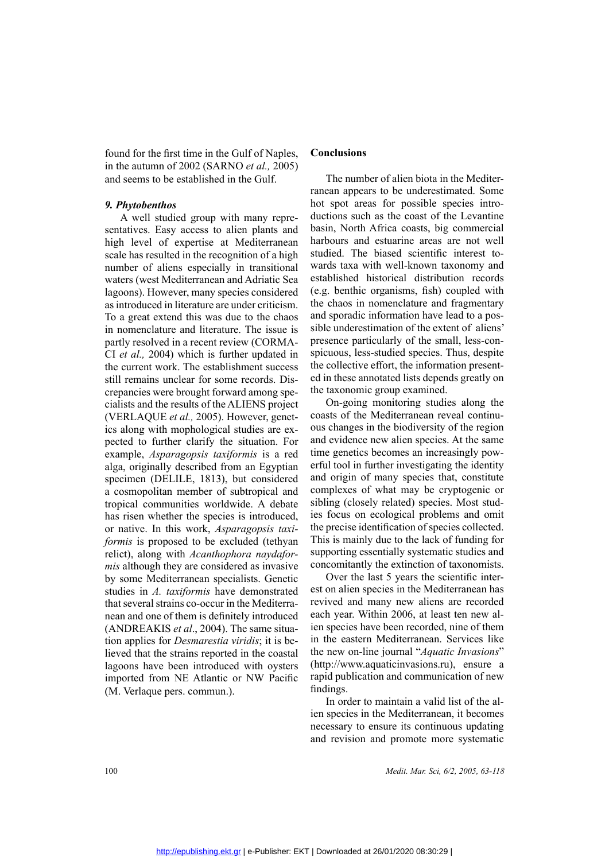found for the first time in the Gulf of Naples, in the autumn of 2002 (SARNO *et al.,* 2005) and seems to be established in the Gulf.

### *9. Phytobenthos*

A well studied group with many representatives. Easy access to alien plants and high level of expertise at Mediterranean scale has resulted in the recognition of a high number of aliens especially in transitional waters (west Mediterranean and Adriatic Sea lagoons). However, many species considered as introduced in literature are under criticism. To a great extend this was due to the chaos in nomenclature and literature. The issue is partly resolved in a recent review (CORMA-CI *et al.,* 2004) which is further updated in the current work. The establishment success still remains unclear for some records. Discrepancies were brought forward among specialists and the results of the ALIENS project (VERLAQUE *et al.,* 2005). However, genetics along with mophological studies are expected to further clarify the situation. For example, *Asparagopsis taxiformis* is a red alga, originally described from an Egyptian specimen (DELILE, 1813), but considered a cosmopolitan member of subtropical and tropical communities worldwide. A debate has risen whether the species is introduced, or native. In this work, *Asparagopsis taxiformis* is proposed to be excluded (tethyan relict), along with *Acanthophora naydaformis* although they are considered as invasive by some Mediterranean specialists. Genetic studies in *A. taxiformis* have demonstrated that several strains co-occur in the Mediterranean and one of them is definitely introduced (ANDREAKIS *et al*., 2004). The same situation applies for *Desmarestia viridis*; it is believed that the strains reported in the coastal lagoons have been introduced with oysters imported from NE Atlantic or NW Pacific (M. Verlaque pers. commun.).

### **Conclusions**

The number of alien biota in the Mediterranean appears to be underestimated. Some hot spot areas for possible species introductions such as the coast of the Levantine basin, North Africa coasts, big commercial harbours and estuarine areas are not well studied. The biased scientific interest towards taxa with well-known taxonomy and established historical distribution records (e.g. benthic organisms, fish) coupled with the chaos in nomenclature and fragmentary and sporadic information have lead to a possible underestimation of the extent of aliens' presence particularly of the small, less-conspicuous, less-studied species. Thus, despite the collective effort, the information presented in these annotated lists depends greatly on the taxonomic group examined.

On-going monitoring studies along the coasts of the Mediterranean reveal continuous changes in the biodiversity of the region and evidence new alien species. At the same time genetics becomes an increasingly powerful tool in further investigating the identity and origin of many species that, constitute complexes of what may be cryptogenic or sibling (closely related) species. Most studies focus on ecological problems and omit the precise identification of species collected. This is mainly due to the lack of funding for supporting essentially systematic studies and concomitantly the extinction of taxonomists.

Over the last 5 years the scientific interest on alien species in the Mediterranean has revived and many new aliens are recorded each year. Within 2006, at least ten new alien species have been recorded, nine of them in the eastern Mediterranean. Services like the new on-line journal "*Aquatic Invasions*" (http://www.aquaticinvasions.ru), ensure a rapid publication and communication of new findings.

In order to maintain a valid list of the alien species in the Mediterranean, it becomes necessary to ensure its continuous updating and revision and promote more systematic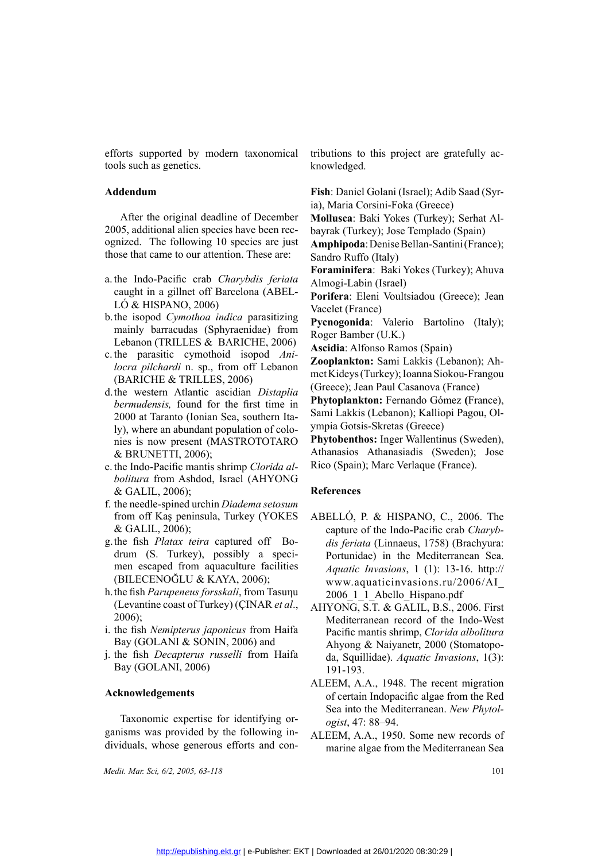efforts supported by modern taxonomical tools such as genetics.

### **Addendum**

After the original deadline of December 2005, additional alien species have been recognized. The following 10 species are just those that came to our attention. These are:

- a. the Indo-Pacific crab *Charybdis feriata*  caught in a gillnet off Barcelona (ABEL-LÓ & HISPANO, 2006)
- b.the isopod *Cymothoa indica* parasitizing mainly barracudas (Sphyraenidae) from Lebanon (TRILLES & BARICHE, 2006)
- c. the parasitic cymothoid isopod *Anilocra pilchardi* n. sp., from off Lebanon (BARICHE & TRILLES, 2006)
- d.the western Atlantic ascidian *Distaplia bermudensis,* found for the first time in 2000 at Taranto (Ionian Sea, southern Italy), where an abundant population of colonies is now present (MASTROTOTARO & BRUNETTI, 2006);
- e. the Indo-Pacific mantis shrimp *Clorida albolitura* from Ashdod, Israel (AHYONG & GALIL, 2006);
- f. the needle-spined urchin *Diadema setosum*  from off Kaş peninsula, Turkey (YOKES & GALIL, 2006);
- g.the fish *Platax teira* captured off Bodrum (S. Turkey), possibly a specimen escaped from aquaculture facilities (BILECENOĞLU & KAYA, 2006);
- h.the fish *Parupeneus forsskali*, from Tasuηu (Levantine coast of Turkey) (ÇINAR *et al*., 2006);
- i. the fish *Nemipterus japonicus* from Haifa Bay (GOLANI & SONIN, 2006) and
- j. the fish *Decapterus russelli* from Haifa Bay (GOLANI, 2006)

### **Acknowledgements**

Taxonomic expertise for identifying organisms was provided by the following individuals, whose generous efforts and con-

*Medit. Mar. Sci, 6/2, 2005, 63-118* 101

tributions to this project are gratefully acknowledged.

**Fish**: Daniel Golani (Israel); Adib Saad (Syria), Maria Corsini-Foka (Greece)

**Mollusca**: Baki Yokes (Turkey); Serhat Albayrak (Turkey); Jose Templado (Spain)

**Amphipoda**: Denise Bellan-Santini (France); Sandro Ruffo (Italy)

Almogi-Labin (Israel)

**Foraminifera**: Baki Yokes (Turkey); Ahuva<br>
dis feriata<br> **Almogi-Labin (Israel)**<br> **Porifera**: Eleni Voultsiadou (Greece); Jean<br>
Vacelet (France)<br> **Pycnogonida**: Valerio Bartolino (Italy);<br>
dae) from Roger Bamber (U.K.)<br>
HE Vacelet (France)

Roger Bamber (U.K.)

**Ascidia**: Alfonso Ramos (Spain)

<sup>14</sup> (ABEL-<br> **Porifera**: Eleni Voultsiadou (Greece); Jean<br>
Vacelet (France)<br> **Pycnogonida**: Valerio Bartolino (Italy);<br>
Roger Bamber (U.K.)<br>
HE, 2006)<br> **Ascidia**: Alfonso Ramos (Spain)<br> **Poriferal Alfonso Ramos (Spain)**<br> aatasitizing Pycnogonida: Valerio Bartolino (Italy);<br>
dae) from Roger Bamber (U.K.)<br>
HE, 2006) Ascidia: Alfonso Ramos (Spain)<br>
pod Ani- Zooplankton: Sami Lakkis (Lebanon); Ah-<br>
f Lebanon met Kideys (Turkey); Ioanna Siokoumet Kideys (Turkey); Ioanna Siokou-Frangou (Greece); Jean Paul Casanova (France)

F Lebanon<br> **Zooplankton:** Sami Lakkis (Lebanon); Ah-<br>
met Kideys (Turkey); Ioanna Siokou-Frangou<br> *Distaplia* (Greece); Jean Paul Casanova (France)<br>
xt time in **Phytoplankton:** Fernando Gómez (France),<br>
uthern Ita-<br>
Sami L Sami Lakkis (Lebanon); Kalliopi Pagou, Olympia Gotsis-Skretas (Greece)

France), The Finando Gómez (France), uthern Ita-<br>
Sami Lakkis (Lebanon); Kalliopi Pagou, Ol-<br>
on of colo-<br> **Phytobenthos:** Inger Wallentinus (Sweden),<br>
Athanasios Athanasiadis (Sweden); Jose<br>
Clorida al-<br>
Rico (Spain); Mar **Phytobenthos:** Inger Wallentinus (Sweden),<br>
Athanasios Athanasiadis (Sweden); Jose<br>
Clorida al-<br>
Rico (Spain); Marc Verlaque (France).<br>
AHYONG<br> **References**<br>
Marc Verlaque (Prance).<br>
References<br>
APELLÓ B & HISBANO C 2006. Athanasios Athanasiadis (Sweden); Jose Rico (Spain); Marc Verlaque (France).

### **References**

- ABELLÓ, P. & HISPANO, C., 2006. The capture of the Indo-Pacific crab *Charybdis feriata* (Linnaeus, 1758) (Brachyura: Portunidae) in the Mediterranean Sea. *Aquatic Invasions*, 1 (1): 13-16. http:// www.aquaticinvasions.ru/2006/AI\_ 2006\_1\_1\_Abello\_Hispano.pdf
- AHYONG, S.T. & GALIL, B.S., 2006. First Mediterranean record of the Indo-West Pacific mantis shrimp, *Clorida albolitura*  Ahyong & Naiyanetr, 2000 (Stomatopoda, Squillidae). *Aquatic Invasions*, 1(3): 191-193.
- ALEEM, A.A., 1948. The recent migration<br>of certain Indopacific algae from the Red<br>Sea into the Mediterranean. *New Phytol-*<br>fying or-<br>ogist, 47: 88–94.<br>wing in-<br>ALEEM, A.A., 1950. Some new records of<br>and conof certain Indopacific algae from the Red Sea into the Mediterranean. *New Phytologist*, 47: 88–94.
- wing in-<br>ALEEM, A.A., 1950. Some new records of<br>marine algae from the Mediterranean Sea<br>101 marine algae from the Mediterranean Sea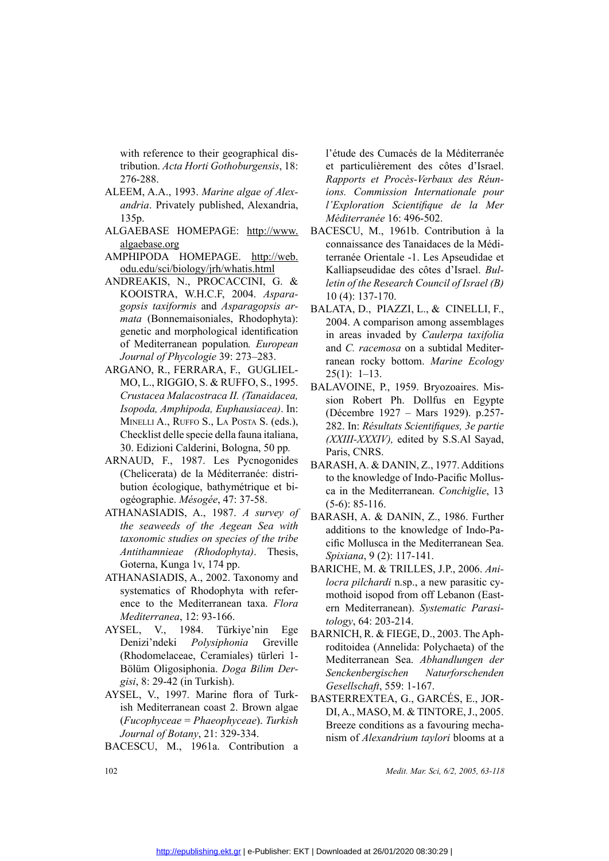with reference to their geographical distribution. *Acta Horti Gothoburgensis*, 18: 276-288.

- ALEEM, A.A., 1993. *Marine algae of Alexandria*,<br> *andria*. Privately published, Alexandria,<br>
135p.<br>
ALGAEBASE HOMEPAGE: <u>http://www.<br>
algaebase.org</u><br>
AMPHIPODA HOMEPAGE. <u>http://web.</u><br>
<u>odu.edu/sci/biology/jrh/whatis.html</u> *andria*. Privately published, Alexandria, 135p.
	- algaebase.org
	- odu.edu/sci/biology/jrh/whatis.html
- ALGAEBASE HOMEPAGE: http://www.<br>algaebase.org<br>AMPHIPODA HOMEPAGE. http://web.<br>odu.edu/sci/biology/jrh/whatis.html<br>ANDREAKIS, N., PROCACCINI, G. &<br>KOOISTRA, W.H.C.F, 2004. Aspara-<br>gopsis taxiformis and Asparagopsis ar-<br>mata AMPHIPODA HOMEPAGE. http://web.<br>
odu.edu/sci/biology/jrh/whatis.html<br>
ANDREAKIS, N., PROCACCINI, G. &<br>
KOOISTRA, W.H.C.F, 2004. Aspara-<br>
gopsis taxiformis and Asparagopsis ar-<br>
mata (Bonnemaisoniales, Rhodophyta):<br>
genetic ANDREAKIS, N., PROCACCINI, G. & KOOISTRA, W.H.C.F, 2004. *Asparagopsis taxiformis* and *Asparagopsis armata* (Bonnemaisoniales, Rhodophyta): genetic and morphological identification of Mediterranean population*. European Journal of Phycologie* 39: 273–283.
	- ARGANO, R., FERRARA, F., GUGLIEL-MO, L., RIGGIO, S. & RUFFO, S., 1995. *Crustacea Malacostraca II. (Tanaidacea, Isopoda, Amphipoda, Euphausiacea)*. In: MINELLI A., RUFFO S., LA POSTA S. (eds.),<br>Checklist delle specie della fauna italiana,<br>30. Edizioni Calderini, Bologna, 50 pp.<br>ARNAUD, F., 1987. Les Pycnogonides Checklist delle specie della fauna italiana, 30. Edizioni Calderini, Bologna, 50 pp*.*
	- (Chelicerata) de la Méditerranée: distribution écologique, bathymétrique et biogéographie. *Mésogée*, 47: 37-58.
	- ATHANASIADIS, A., 1987. A survey of *the seaweeds of the Aegean Sea with taxonomic studies on species of the tribe Antithamnieae (Rhodophyta)*. Thesis, Goterna, Kunga 1v, 174 pp.
- ATHANASIADIS, A., 2002. Taxonomy and ATHANASIADIS, A., 2002. Taxonomy and<br>systematics of Rhodophyta with refer-<br>ence to the Mediterranean taxa. *Flora*<br>*Mediterranea*, 12: 93-166.<br>AYSEL, V., 1984. Türkiye'nin Ege<br>Denizi'ndeki *Polysiphonia* Greville systematics of Rhodophyta with reference to the Mediterranean taxa. *Flora Mediterranea*, 12: 93-166.
	- AYSEL, V., 1984. Türkiye'nin Ege Denizi'ndeki *Polysiphonia* Greville (Rhodomelaceae, Ceramiales) türleri 1- Bölüm Oligosiphonia. *Doga Bilim Dergisi*, 8: 29-42 (in Turkish).
	- AYSEL, V., 1997. Marine flora of Turkish Mediterranean coast 2. Brown algae (*Fucophyceae* = *Phaeophyceae*). *Turkish Journal of Botany*, 21: 329-334.
	- Bacescu, M., 1961a. Contribution a

l'étude des Cumacés de la Méditerranée et particulièrement des côtes d'Israel. *Rapports et Procès-Verbaux des Réunions. Commission Internationale pour l'Exploration Scientifique de la Mer Méditerranée* 16: 496-502.

- p://www. BACESCU, M., 1961b. Contribution à la<br>
connaissance des Tanaidaces de la Médi-<br>
terranée Orientale -1. Les Apseudidae et<br>
<u>ttml</u><br>
Kalliapseudidae des côtes d'Israel. *Bul*-<br>
I, G. & *letin of the Research Council* connaissance des Tanaidaces de la Méditerranée Orientale -1. Les Apseudidae et Kalliapseudidae des côtes d'Israel. *Bulletin of the Research Council of Israel (B)*  10 (4): 137-170.
- opsis ar-<br>
BALATA, D., PIAZZI, L., & CINELLI, F.,<br>
dophyta): 2004. A comparison among assemblages<br>
in areas invaded by *Caulerpa taxifolia*<br>
European<br>
and *C. racemosa* on a subtidal Mediter-<br>
ranean rocky bottom. *Marine* 2004. A comparison among assemblages in areas invaded by *Caulerpa taxifolia* and *C. racemosa* on a subtidal Mediterranean rocky bottom. *Marine Ecology*  $25(1): 1-13.$
- S., 1993. BALAVOINE, P., 1959. Bryozoaires. Mis-<br>
aidacea, sion Robert Ph. Dollfus en Egypte<br>
acea). In: (Décembre 1927 Mars 1929). p.257-<br>
S. (eds.), 282. In: *Résultats Scientifiques, 3e partie*<br>
aitaliana, *(XXIII-XXX* sion Robert Ph. Dollfus en Egypte (Décembre 1927 – Mars 1929). p.257- 282. In: *Résultats Scientifiques, 3e partie (XXIII-XXXIV),* edited by S.S.Al Sayad, Paris, CNRS.
	- BARASH, A. & DANIN, Z., 1977. Additions<br>to the knowledge of Indo-Pacific Mollus-<br>ca in the Mediterranean. *Conchiglie*, 13<br>(5-6): 85-116.<br>BARASH, A. & DANIN, Z., 1986. Further to the knowledge of Indo-Pacific Mollusca in the Mediterranean. *Conchiglie*, 13 (5-6): 85-116.
- Example 18 and the Real with<br>Sea with additions to the knowledge of Indo-Pacific Mollusca in the Mediterranean Sea.<br>Thesis, Spixiana, 9 (2): 117-141.<br>BARICHE, M. & TRILLES, J.P., 2006. Ani-<br>the refer additions to the knowledge of Indo-Pacific Mollusca in the Mediterranean Sea. *Spixiana*, 9 (2): 117-141.
	- BARICHE, M. & TRILLES, J.P., 2006. *Anilocra pilchardi* n.sp., a new parasitic cymothoid isopod from off Lebanon (Eastern Mediterranean). *Systematic Parasitology*, 64: 203-214.
- Im Ege BARNICH, R. & FIEGE, D., 2003. The Aph-<br>
first individea (Annelida: Polychaeta) of the<br>
türleri 1-<br>
Mediterranean Sea. Abhandlungen der<br>
Senckenbergischen Naturforschenden<br>
Gesellschaft, 559: 1-167.<br>
of Turk-<br>
BASTE roditoidea (Annelida: Polychaeta) of the Mediterranean Sea. *Abhandlungen der Senckenbergischen Naturforschenden Gesellschaft*, 559: 1-167.
	- BASTERREXTEA, G., GARCÉS, E., JOR-<br>DI, A., MASO, M. & TINTORE, J., 2005. di, algae  $DI, A., MASO, M. & TINTORE, J., 2005.$  Turkish Breeze conditions as a favouring mechanism of *Alexandrium taylori* blooms at a *Medit. Mar. Sci, 6/2, 2005, 63-118* Breeze conditions as a favouring mechanism of *Alexandrium taylori* blooms at a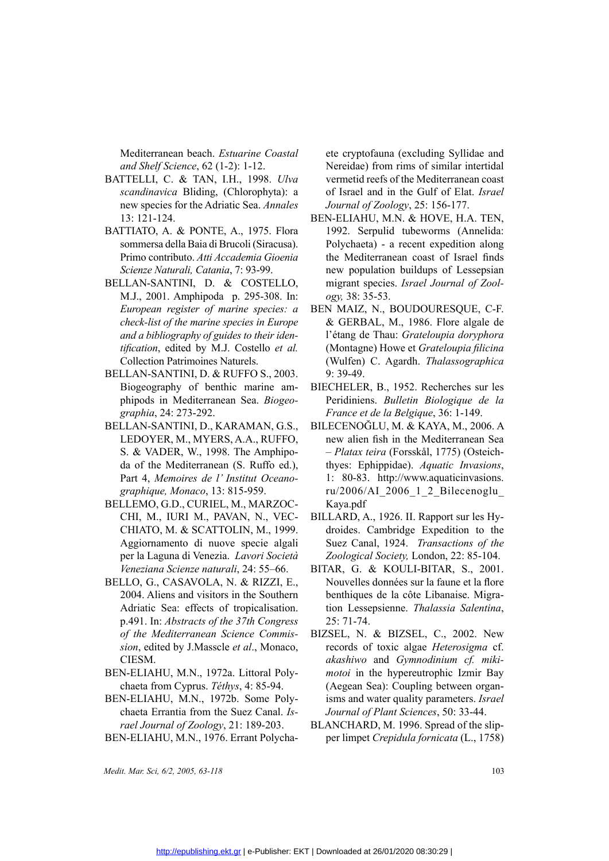Mediterranean beach. *Estuarine Coastal and Shelf Science*, 62 (1-2): 1-12.

- BATTELLI, C. & TAN, I.H., 1998. *Ulva*<br>scandinavica Bliding, (Chlorophyta): a<br>new species for the Adriatic Sea. Annales<br>13: 121-124.<br>BATTIATO, A. & PONTE, A., 1975. Flora<br>sommersa della Baia di Brucoli (Siracusa).<br>Primo co *scandinavica* Bliding, (Chlorophyta): a new species for the Adriatic Sea. *Annales* 13: 121-124.
- BATTIATO, A. & PONTE, A., 1975. Flora<br>sommersa della Baia di Brucoli (Siracusa).<br>Primo contributo. Atti Accademia Gioenia<br>Scienze Naturali, Catania, 7: 93-99.<br>BELLAN-SANTINI, D. & COSTELLO,<br>M.J., 2001. Amphipoda p. 295-308 sommersa della Baia di Brucoli (Siracusa). Primo contributo. *Atti Accademia Gioenia Scienze Naturali, Catania*, 7: 93-99.
- BELLAN-SANTINI, D. & COSTELLO,<br>M.J., 2001. Amphipoda p. 295-308. In:<br>European register of marine species: a<br>check-list of the marine species in Europe<br>and a bibliography of guides to their iden-<br>tification, edited by M.J. M.J., 2001. Amphipoda p. 295-308. In: *European register of marine species: a check-list of the marine species in Europe and a bibliography of guides to their identification*, edited by M.J. Costello *et al.* Collection Patrimoines Naturels.
	- BELLAN-SANTINI, D. & RUFFO S., 2003. Biogeography of benthic marine amphipods in Mediterranean Sea. *Biogeographia*, 24: 273-292.
- BELLAN-SANTINI, D., KARAMAN, G.S.,<br>LEDOYER, M., MYERS, A.A., RUFFO,<br>S. & VADER, W., 1998. The Amphipo-<br>da of the Mediterranean (S. Ruffo ed.),<br>Part 4, *Memoires de l'Institut Oceano-*<br>*graphique, Monaco*, 13: 815-959.<br>RELL LEDOYER, M., MYERS, A.A., RUFFO,<br>S. & VADER, W., 1998. The Amphipo-<br>da of the Mediterranean (S. Ruffo ed.),<br>Part 4, *Memoires de l'Institut Oceano-<br>graphique, Monaco*, 13: 815-959.<br>BELLEMO, G.D., CURIEL, M., MARZOC-<br>CHL M. da of the Mediterranean (S. Ruffo ed.), Part 4, *Memoires de l' Institut Oceanographique, Monaco*, 13: 815-959.
- BELLEMO, G.D., CURIEL, M., MARZOC-<br>CHI, M., IURI M., PAVAN, N., VEC-<br>CHIATO, M. & SCATTOLIN, M., 1999. BELLEMO, G.D., CURIEL, M., MARZOC-<br>CHI, M., IURI M., PAVAN, N., VEC-<br>CHIATO, M. & SCATTOLIN, M., 1999.<br>Aggiornamento di nuove specie algali<br>per la Laguna di Venezia. *Lavori Società*<br>Veneziana Scienze naturali, 24: 55–66. CHI, M., IURI M., PAVAN, N., VEC-<br>CHIATO, M. & SCATTOLIN, M., 1999.<br>Aggiornamento di nuove specie algali<br>per la Laguna di Venezia. *Lavori Società*<br>Veneziana Scienze naturali, 24: 55–66.<br>BELLO, G., CASAVOLA, N. & RIZZI, E. CHIATO, M. & SCATTOLIN, M., 1999.<br>Aggiornamento di nuove specie algali<br>per la Laguna di Venezia. *Lavori Società<br>Veneziana Scienze naturali*, 24: 55–66.<br>BELLO, G., CASAVOLA, N. & RIZZI, E.,<br>2004. Aliens and visitors in the Aggiornamento di nuove specie algali per la Laguna di Venezia. *Lavori Società Veneziana Scienze naturali*, 24: 55–66. CHI, M., IURI M., PAVAN, N., VEC-<br>
CHIATO, M. & SCATTOLIN, M., 1999. droides. Cambridge Expedition to the<br>
Aggiornamento di nuove specie algali Suez Canal, 1924. *Transactions of the*<br>
per la Laguna di Venezia. *Lavori Soc*
- BELLO, G., CASAVOLA, N. & RIZZI, E.,<br>2004. Aliens and visitors in the Southern<br>Adriatic Sea: effects of tropicalisation.<br>p.491. In: *Abstracts of the 37th Congress*<br>of the Mediterranean Science Commis-<br>sion, edited by J.Ma 2004. Aliens and visitors in the Southern Adriatic Sea: effects of tropicalisation. p.491. In: *Abstracts of the 37th Congress of the Mediterranean Science Commission*, edited by J.Masscle *et al*., Monaco, CIESM.
	- BEN-ELIAHU, M.N., 1972a. Littoral Poly-<br>chaeta from Cyprus. Téthys, 4: 85-94.<br>BEN-ELIAHU, M.N., 1972b. Some Polychaeta from Cyprus. *Téthys*, 4: 85-94.
- BEN-ELIAHU, M.N., 1972b. Some Poly-<br>chaeta Errantia from the Suez Canal. Is-<br>rael Journal of Zoology, 21: 189-203.<br>BEN-ELIAHU, M.N., 1976. Errant Polychachaeta Errantia from the Suez Canal. *Israel Journal of Zoology*, 21: 189-203.
- BEN-ELIAHU, M.N., 1976. Errant Polycha-<br> *Medit. Mar. Sci, 6/2, 2005, 63-118*

ete cryptofauna (excluding Syllidae and Nereidae) from rims of similar intertidal vermetid reefs of the Mediterranean coast of Israel and in the Gulf of Elat. *Israel Journal of Zoology*, 25: 156-177.

- BEN-ELIAHU, M.N. & HOVE, H.A. TEN,<br>
75. Flora 1992. Serpulid tubeworms (Annelida:<br>
Siracusa). Polychaeta) a recent expedition along<br>
16 *Gioenia* the Mediterranean coast of Israel finds<br>
99. new population buildups of Le 1992. Serpulid tubeworms (Annelida: Polychaeta) - a recent expedition along the Mediterranean coast of Israel finds new population buildups of Lessepsian migrant species. *Israel Journal of Zoology,* 38: 35-53.
- pecies: a BEN MAIZ, N., BOUDOURESQUE, C-F.<br>
in Europe & GERBAL, M., 1986. Flore algale de<br>
heir iden l'étang de Thau: *Grateloupia doryphora*<br>
Ilo *et al.* (Montagne) Howe et *Grateloupia filicina*<br>
(Wulfen) C. Agardh. *Th* per & GERBAL, M., 1986. Flore algale de<br>
en-<br>
l'étang de Thau: *Grateloupia doryphora*<br>
al. (Montagne) Howe et *Grateloupia filicina*<br>
(Wulfen) C. Agardh. *Thalassographica*<br>
9: 39-49.<br>
m- BIECHELER, B., 1952. Recherches s l'étang de Thau: *Grateloupia doryphora* (Montagne) Howe et *Grateloupia filicina* (Wulfen) C. Agardh. *Thalassographica* 9: 39-49.
	- Peridiniens. *Bulletin Biologique de la France et de la Belgique*, 36: 1-149.
- France et de la Belgique, 36: 1-149.<br>
Biogeo-<br>
Peridiniens. Bulletin Biologique de la<br>
France et de la Belgique, 36: 1-149.<br>
AN, G.S., BILECENOĞLU, M. & KAYA, M., 2006. A<br>
RUFFO, new alien fish in the Mediterranean Sea<br>
Am BILECENOĞLU, M. & KAYA, M., 2006. A new alien fish in the Mediterranean Sea – *Platax teira* (Forsskål, 1775) (Osteichthyes: Ephippidae). *Aquatic Invasions*, 1: 80-83. http://www.aquaticinvasions. ru/2006/AI\_2006\_1\_2\_Bilecenoglu\_ Kaya.pdf
	- droides. Cambridge Expedition to the Suez Canal, 1924. *Transactions of the Zoological Society,* London, 22: 85-104.
- 55–66. BITAR, G. & KOULI-BITAR, S., 2001.<br>IZZI, E., Nouvelles données sur la faune et la flore<br>Southern benthiques de la côte Libanaise. Migra-<br>alisation. tion Lessepsienne. *Thalassia Salentina*,<br>Congress 25: 71-74.<br>Commi Nouvelles données sur la faune et la flore benthiques de la côte Libanaise. Migration Lessepsienne. *Thalassia Salentina*, 25: 71-74.
	- records of toxic algae *Heterosigma* cf. *akashiwo* and *Gymnodinium cf. mikimotoi* in the hypereutrophic Izmir Bay (Aegean Sea): Coupling between organisms and water quality parameters. *Israel Journal of Plant Sciences*, 50: 33-44.
- $BLANCHARD, M. 1996. \text{ Spread of the slip-}$ Polycha- per limpet *Crepidula fornicata* (L., 1758)<br>103 per limpet *Crepidula fornicata* (L., 1758)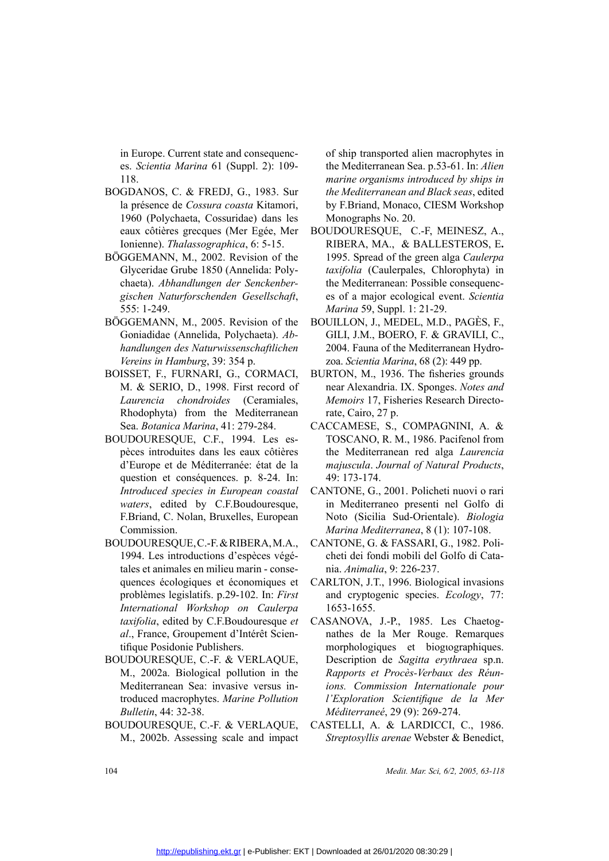in Europe. Current state and consequences. *Scientia Marina* 61 (Suppl. 2): 109- 118.

- BOGDANOS, C. & FREDJ, G., 1983. Sur<br>la présence de Cossura coasta Kitamori,<br>1960 (Polychaeta, Cossuridae) dans les<br>eaux côtières grecques (Mer Egée, Mer<br>Ionienne). Thalassographica, 6: 5-15.<br>BÖGGEMANN, M., 2002. Revision o la présence de *Cossura coasta* Kitamori, 1960 (Polychaeta, Cossuridae) dans les eaux côtières grecques (Mer Egée, Mer Ionienne). *Thalassographica*, 6: 5-15.
- BÖGGEMANN, M., 2002. Revision of the<br>Glyceridae Grube 1850 (Annelida: Poly-<br>chaeta). Abhandlungen der Senckenber-<br>gischen Naturforschenden Gesellschaft,<br>555: 1-249.<br>BÖGGEMANN, M., 2005. Revision of the<br>Goniadidae (Annelida Glyceridae Grube 1850 (Annelida: Polychaeta). *Abhandlungen der Senckenbergischen Naturforschenden Gesellschaft*, 555: 1-249.
	- BÖGGEMANN, M., 2005. Revision of the<br>Goniadidae (Annelida, Polychaeta). Ab-<br>handlungen des Naturwissenschaftlichen<br>Vereins in Hamburg, 39: 354 p.<br>BOISSET, F., FURNARI, G., CORMACI,<br>M. & SERIO. D., 1998. First record of Goniadidae (Annelida, Polychaeta). *Abhandlungen des Naturwissenschaftlichen Vereins in Hamburg*, 39: 354 p.
- BOISSET, F., FURNARI, G., CORMACI,<br>M. & SERIO, D., 1998. First record of<br>*Laurencia chondroides* (Ceramiales,<br>Rhodophyta) from the Mediterranean<br>Sea. *Botanica Marina*, 41: 279-284.<br>BOUDOURESQUE, C.F., 1994. Les es-<br>pèces M. & SERIO, D., 1998. First record of *Laurencia chondroides* (Ceramiales, Rhodophyta) from the Mediterranean Sea. *Botanica Marina*, 41: 279-284. BOUDOURESQUE, C.F., 1994. Les espèces introduites dans les eaux côtières d' *Laurencia chondroides* (Ceramiales, Rhodophyta) from the Mediterranean Sea. *Botanica Marina*, 41: 279-284.
- BOUDOURESQUE, C.F., 1994. Les espèces introduites dans les eaux côtières<br>d'Europe et de Méditerranée: état de la<br>question et conséquences. p. 8-24. In:<br>*Introduced species in European coastal*<br>*waters*, edited by C.F.Boudo pèces introduites dans les eaux côtières d'Europe et de Méditerranée: état de la question et conséquences. p. 8-24. In: *Introduced species in European coastal waters*, edited by C.F.Boudouresque, F.Briand, C. Nolan, Bruxelles, European Commission.
- BOUDOURESQUE, C.-F. & RIBERA, M.A., 1994. Les introductions d'espèces végé-<br>tales et animales en milieu marin conse-<br>quences écologiques et économiques et<br>problèmes legislatifs. p.29-102. In: *First*<br>*International Works* 1994. Les introductions d'espèces végétales et animales en milieu marin - consequences écologiques et économiques et problèmes legislatifs. p.29-102. In: *First taxifolia*, edited by C.F.Boudouresque *et al*., France, Groupement d'Intérêt Scientifique Posidonie Publishers.
- BOUDOURESQUE, C.-F. & VERLAQUE,<br>M., 2002a. Biological pollution in the<br>Mediterranean Sea: invasive versus in-<br>troduced macrophytes. *Marine Pollution<br>Bulletin*, 44: 32-38.<br>BOUDOURESQUE C.-F. & VERLAQUE M., 2002a. Biological pollution in the Mediterranean Sea: invasive versus introduced macrophytes. *Marine Pollution Bulletin*, 44: 32-38.
- BOUDOURESQUE, C.-F. & VERLAQUE,<br>M., 2002b. Assessing scale and impact<br>104 M., 2002b. Assessing scale and impact

of ship transported alien macrophytes in the Mediterranean Sea. p.53-61. In: *Alien marine organisms introduced by ships in the Mediterranean and Black seas*, edited by F.Briand, Monaco, CIESM Workshop Monographs No. 20.

- gée, Mer BOUDOURESQUE, C.-F, MEINESZ, A.,<br>5-15. RIBERA, MA., & BALLESTEROS, E.<br>5. Don of the 1995. Spread of the green alga *Caulerpa*<br>da: Poly-<br>*taxifolia* (Caulerpales, Chlorophyta) in<br>*the Mediterranean: Possible conseq* 15. RIBERA, MA., & BALLESTEROS, E.<br>
of the 1995. Spread of the green alga *Caulerpa*<br>
Poly-<br> *taxifolia* (Caulerpales, Chlorophyta) in<br> *the Mediterranean: Possible consequenc-<br>
<i>chaft*, es of a major ecological event. *Sc* 1995. Spread of the green alga *Caulerpa taxifolia* (Caulerpales, Chlorophyta) in the Mediterranean: Possible consequences of a major ecological event. *Scientia Marina* 59, Suppl. 1: 21-29.
- on of the BOUILLON, J., MEDEL, M.D., PAGÈS, F.,<br>eta). Ab- GILI, J.M., BOERO, F. & GRAVILI, C.,<br>aqfilichen 2004. Fauna of the Mediterranean Hydro-<br>zoa. Scientia Marina, 68 (2): 449 pp.<br>PRMACI, BURTON, M., 1936. The fisherie 2004. Fauna of the Mediterranean Hydrozoa. *Scientia Marina*, 68 (2): 449 pp.
- F. *Ab* GILI, J.M., BOERO, F. & GRAVILI, C., *lichen* 2004. Fauna of the Mediterranean Hydrozoa. *Scientia Marina*, 68 (2): 449 pp.<br>1ACI, BURTON, M., 1936. The fisheries grounds near Alexandria. IX. Sponges. *Notes and* PRMACI, BURTON, M., 1936. The fisheries grounds<br>record of mear Alexandria. IX. Sponges. *Notes and*<br>ramiales, *Memoirs* 17, Fisheries Research Directo-<br>terranean rate, Cairo, 27 p.<br>284. CACCAMESE, S., COMPAGNINI, A. &<br>Les near Alexandria. IX. Sponges. *Notes and Memoirs* 17, Fisheries Research Directorate, Cairo, 27 p.
- 284. CACCAMESE, S., COMPAGNINI, A. &<br>Les es- TOSCANO, R. M., 1986. Pacifenol from<br>côtières the Mediterranean red alga *Laurencia*<br>text de la *majuscula. Journal of Natural Products*,<br>8-24. In: 49: 173-174.<br>*n coastal* CANT res es-<br>
TOSCANO, R. M., 1986. Pacifenol from<br>
the Mediterranean red alga *Laurencia*<br>
de la *majuscula. Journal of Natural Products*,<br>
4. In: 49: 173-174.<br> *oastal* CANTONE, G., 2001. Policheti nuovi o rari<br>
esque, in Med the Mediterranean red alga *Laurencia majuscula*. *Journal of Natural Products*, 49: 173-174.
	- CANTONE, G., 2001. Policheti nuovi o rari in Mediterraneo presenti nel Golfo di Noto (Sicilia Sud-Orientale). *Biologia Marina Mediterranea*, 8 (1): 107-108.
	- CANTONE, G. & FASSARI, G., 1982. Policheti dei fondi mobili del Golfo di Catania. *Animalia*, 9: 226-237.
- miques et CARLTON, J.T., 1996. Biological invasions<br>
In: *First* and cryptogenic species. *Ecology*, 77:<br>
Caulerpa 1653-1655.<br>
resque et CASANOVA, J.-P., 1985. Les Chaetog-<br>
êt Scien-<br>
mathes de la Mer Rouge. Remarques<br>
mo and cryptogenic species. *Ecology*, 77: 1653-1655.
	- CASANOVA, J.-P., 1985. Les Chaetognathes de la Mer Rouge. Remarques morphologiques et biogιographiques. Description de *Sagitta erythraea* sp.n. *Rapports et Procès-Verbaux des Réunions. Commission Internationale pour l'Exploration Scientifique de la Mer Méditerraneé*, 29 (9): 269-274.
	- CASTELLI, A. & LARDICCI, C., 1986. *Streptosyllis arenae* Webster & Benedict,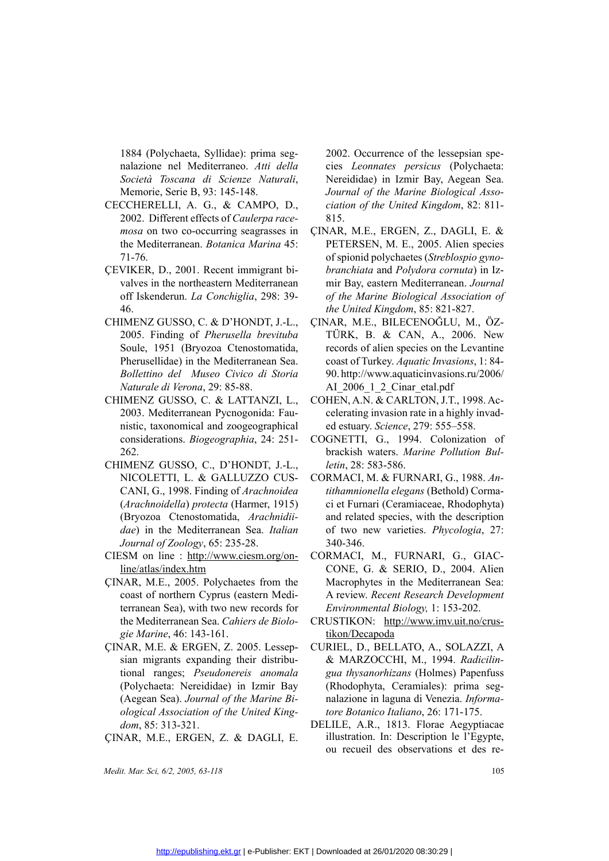1884 (Polychaeta, Syllidae): prima segnalazione nel Mediterraneo. *Atti della Società Toscana di Scienze Naturali*, Memorie, Serie B, 93: 145-148.

- CECCHERELLI, A. G., & CAMPO, D.,<br>2002. Different effects of *Caulerpa race-<br>mosa* on two co-occurring seagrasses in<br>the Mediterranean. *Botanica Marina* 45:<br>71-76.<br>CEVIKER, D., 2001. Recent immigrant bi-<br>valves in the nort 2002. Different effects of *Caulerpa racemosa* on two co-occurring seagrasses in the Mediterranean. *Botanica Marina* 45: 71-76.
	- ÇEVIKER, D., 2001. Recent immigrant bivalves in the northeastern Mediterranean off Iskenderun. *La Conchiglia*, 298: 39- 46.
	- CHIMENZ GUSSO, C. & D'HONDT, J.-L., 2005. Finding of *Pherusella brevituba*  Soule, 1951 (Bryozoa Ctenostomatida, Pherusellidae) in the Mediterranean Sea. *Bollettino del Museo Civico di Storia Naturale di Verona*, 29: 85-88.
	- CHIMENZ GUSSO, C. & LATTANZI, L.,<br>2003. Mediterranean Pycnogonida: Fau-<br>nistic, taxonomical and zoogeographical<br>considerations. *Biogeographia*, 24: 251-<br>262.<br>CHIMENZ GUSSO, C., D'HONDT, J.-L.,<br>NICOLETTI, L. & GALLUZZO CUS 2003. Mediterranean Pycnogonida: Faunistic, taxonomical and zoogeographical considerations. *Biogeographia*, 24: 251- 262.
- CHIMENZ GUSSO, C., D'HONDT, J.-L.,<br>NICOLETTI, L. & GALLUZZO CUS-<br>CANI, G., 1998. Finding of *Arachnoidea*<br>(*Arachnoidella*) protecta (Harmer, 1915)<br>(Bryozoa Ctenostomatida, *Arachnidii-*<br>*dae*) in the Mediterranean Sea. *I* NICOLETTI, L. & GALLUZZO CUS-<br>CANI, G., 1998. Finding of *Arachnoidea*<br>(*Arachnoidella*) protecta (Harmer, 1915)<br>(Bryozoa Ctenostomatida, *Arachnidii-*<br>*dae*) in the Mediterranean Sea. *Italian*<br>*Journal of Zoology*, 65: 2 CANI, G., 1998. Finding of *Arachnoidea*<br>(*Arachnoidella*) protecta (Harmer, 1915)<br>(Bryozoa Ctenostomatida, *Arachnidii-<br>dae*) in the Mediterranean Sea. *Italian<br>Journal of Zoology*, 65: 235-28.<br>CIESM on line : <u>http://www</u> (*Arachnoidella*) *protecta* (Harmer, 1915) (Bryozoa Ctenostomatida, *Arachnidiidae*) in the Mediterranean Sea. *Italian Journal of Zoology*, 65: 235-28.
	- CIESM on line : http://www.ciesm.org/online/atlas/index.htm
- ÇINAR, M.E., 2005. Polychaetes from the<br>
coast of northern Cyprus (eastern Medi-<br>
terranean Sea), with two new records for<br>
the Mediterranean Sea. *Cahiers de Biolo-*<br> *gie Marine*, 46: 143-161.<br>
ÇINAR, M.E. & ERGEN, Z. 20 coast of northern Cyprus (eastern Mediterranean Sea), with two new records for the Mediterranean Sea. *Cahiers de Biologie Marine*, 46: 143-161.
	- sian migrants expanding their distributional ranges; *Pseudonereis anomala* (Polychaeta: Nereididae) in Izmir Bay (Aegean Sea). *Journal of the Marine Biological Association of the United Kingdom*, 85: 313-321.

ÇINAR, M.E., ERGEN, Z. & DAGLI, E.

*Medit. Mar. Sci, 6/2, 2005, 63-118* 105

2002. Occurrence of the lessepsian species *Leonnates persicus* (Polychaeta: Nereididae) in Izmir Bay, Aegean Sea. *Journal of the Marine Biological Association of the United Kingdom*, 82: 811- 815.

- ÇINAR, M.E., ERGEN, Z., DAGLI, E. & PETERSEN, M. E., 2005. Alien species of spionid polychaetes (*Streblospio gynobranchiata* and *Polydora cornuta*) in Izmir Bay, eastern Mediterranean. *Journal of the Marine Biological Association of the United Kingdom*, 85: 821-827.
- ÇINAR, M.E., BILECENOĞLU, M., ÖZ-TÜRK, B. & CAN, A., 2006. New records of alien species on the Levantine coast of Turkey. *Aquatic Invasions*, 1: 84- 90. http://www.aquaticinvasions.ru/2006/ AI\_2006\_1\_2\_Cinar\_etal.pdf
- celerating invasion rate in a highly invaded estuary. *Science*, 279: 555–558.
- NZI, L., COHEN, A.N. & CARLTON, J.T., 1998. Ac-<br>
ida: Faucelerating invasion rate in a highly invad-<br>
graphical
ed estuary. *Science*, 279: 555–558.<br>
24: 251COGNETTI, G., 1994. Colonization of
brackish waters. *Marine* brackish waters. *Marine Pollution Bulletin*, 28: 583-586.
- 24: 251- COGNETTI, G., 1994. Colonization of<br>brackish waters. *Marine Pollution Bul-*<br>DT, J.-L., *letin*, 28: 583-586.<br>CO CUS- CORMACI, M. & FURNARI, G., 1988. An-<br>chnoidea *tithamnionella elegans* (Bethold) Corma-<br>er, 191 Cormacidea Cormacin, M. & FURNARI, G., 1988. *An-*<br> *Chnoidea tithamnionella elegans* (Bethold) Corma-<br>
er, 1915) ci et Furnari (Ceramiaceae, Rhodophyta)<br> *achnidii* and related species, with the description<br>
a. *Italian tithamnionella elegans* (Bethold) Cormaci et Furnari (Ceramiaceae, Rhodophyta) and related species, with the description of two new varieties. *Phycologia*, 27: 340-346.
- m.org/on-<br>CORMACI, M., FURNARI, G., GIAC-<br>CONE, G. & SERIO, D., 2004. Alien<br>from the Macrophytes in the Mediterranean Sea:<br>rm Medi-<br>A review. *Recent Research Development*<br>cords for Environmental Biology, 1: 153-202.<br>*de B* CONE, G. & SERIO, D., 2004. Alien<br>
nom the Macrophytes in the Mediterranean Sea:<br>
nords for *Environmental Biology*, 1: 153-202.<br>
e Biolo- CRUSTIKON: http://www.imv.uit.no/crus-<br>
<u>tikon/Decapoda</u> Macrophytes in the Mediterranean Sea: A review. *Recent Research Development Environmental Biology,* 1: 153-202.
	- CRUSTIKON: http://www.imv.uit.no/crustikon/Decapoda
- Lessep- CURIEL, D., BELLATO, A., SOLAZZI, A<br>distribu-<br>& MARZOCCHI, M., 1994. *Radicilin-*<br>*anomala* gua thysanorhizans (Holmes) Papenfuss<br>mir Bay (Rhodophyta, Ceramiales): prima seg-<br>*arine Bi-*<br>tack King-<br>tore Rotanico It w-<br> **& MARZOCCHI**, M., 1994. *Radicilin-<br>
gua thysanorhizans* (Holmes) Papenfuss<br>
ay (Rhodophyta, Ceramiales): prima seg-<br>
nalazione in laguna di Venezia. *Informa-*<br> *tore Botanico Italiano*, 26: 171-175.<br>
DELUE AR 1813. *gua thysanorhizans* (Holmes) Papenfuss (Rhodophyta, Ceramiales): prima segnalazione in laguna di Venezia. *Informatore Botanico Italiano*, 26: 171-175.
	- DELILE, A.R., 1813. Florae Aegyptiacae illustration. In: Description le l'Egypte, ou recueil des observations et des re-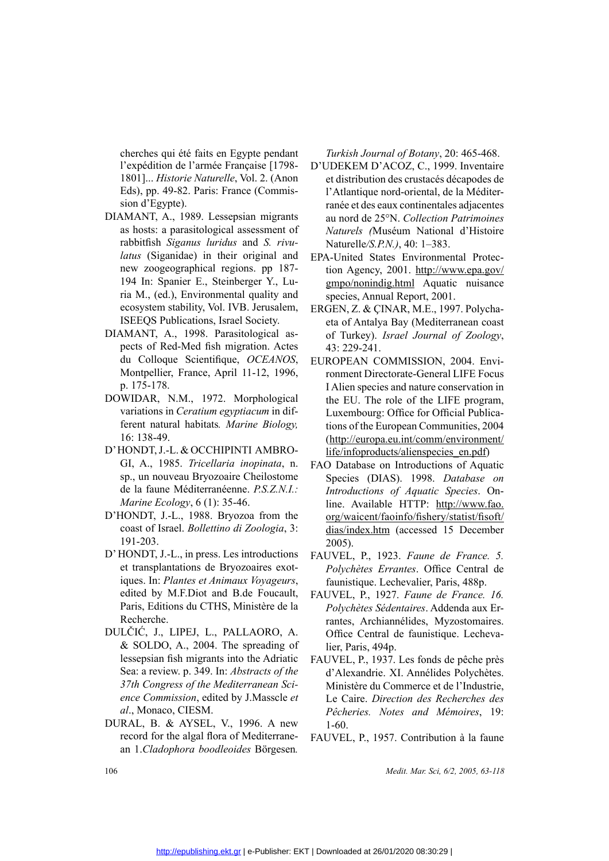cherches qui été faits en Egypte pendant l'expédition de l'armée Française [1798- 1801]... *Historie Naturelle*, Vol. 2. (Anon Eds), pp. 49-82. Paris: France (Commission d'Egypte).

- DIAMANT, A., 1989. Lessepsian migrants as hosts: a parasitological assessment of rabbitfish *Siganus luridus* and *S. rivulatus* (Siganidae) in their original and new zoogeographical regions. pp 187- 194 In: Spanier E., Steinberger Y., Luria M., (ed.), Environmental quality and ecosystem stability, Vol. IVB. Jerusalem, ISEEQS Publications, Israel Society.
- DIAMANT, A., 1998. Parasitological aspects of Red-Med fish migration. Actes du Colloque Scientifique, *OCEANOS*, Montpellier, France, April 11-12, 1996, p. 175-178.
- DOWIDAR, N.M., 1972. Morphological<br>variations in *Ceratium egyptiacum* in dif-<br>ferent natural habitats. *Marine Biology*,<br>16: 138-49.<br>D'HONDT, J.-L. & OCCHIPINTI AMBRO-<br>GI, A., 1985. *Tricellaria inopinata*, n.<br>sp un nouve variations in *Ceratium egyptiacum* in different natural habitats*. Marine Biology,* 16: 138-49.
- D'HONDT, J.-L. & OCCHIPINTI AMBRO-<br>GI, A., 1985. *Tricellaria inopinata*, n.<br>sp., un nouveau Bryozoaire Cheilostome<br>de la faune Méditerranéenne. *P.S.Z.N.I.:*<br>*Marine Ecology*, 6 (1): 35-46.<br>D'HONDT, J.-L., 1988. Bryozoa GI, A., 1985. *Tricellaria inopinata*, n.<br>sp., un nouveau Bryozoaire Cheilostome<br>de la faune Méditerranéenne. *P.S.Z.N.I.:*<br>*Marine Ecology*, 6 (1): 35-46.<br>D'HONDT, J.-L., 1988. Bryozoa from the sp., un nouveau Bryozoaire Cheilostome de la faune Méditerranéenne. *P.S.Z.N.I.: Marine Ecology*, 6 (1): 35-46.
	- coast of Israel. *Bollettino di Zoologia*, 3: 191-203.
- D'HONDT, J.-L., 1988. Bryozoa from the<br>coast of Israel. *Bollettino di Zoologia*, 3:<br>191-203.<br>D'HONDT, J.-L., in press. Les introductions<br>et transplantations de Bryozoaires exot-<br>iques. In: *Plantes et Animaux Voyageurs*, D' HONDT, J.-L., in press. Les introductions<br>et transplantations de Bryozoaires exot-<br>iques. In: *Plantes et Animaux Voyageurs*,<br>edited by M.F.Diot and B.de Foucault,<br>Paris, Editions du CTHS, Ministère de la<br>Recherche. et transplantations de Bryozoaires exotiques. In: *Plantes et Animaux Voyageurs*, edited by M.F.Diot and B.de Foucault, Paris, Editions du CTHS, Ministère de la Recherche.
	- DULČIĆ, J., LIPEJ, L., PALLAORO, A. & SOLDO, A., 2004. The spreading of lessepsian fish migrants into the Adriatic Sea: a review. p. 349. In: *Abstracts of the 37th Congress of the Mediterranean Science Commission*, edited by J.Masscle *et al*., Monaco, CIESM.
	- DURAL, B. & AYSEL, V., 1996. A new record for the algal flora of Mediterranean 1.*Cladophora boodleoides* Börgesen*.*

*Turkish Journal of Botany*, 20: 465-468.

- isie [1798- D'UDEKEM D'ACOZ, C., 1999. Inventaire<br>
1. 2. (Anon et distribution des crustacés décapodes de<br>
(Commis- l'Atlantique nord-oriental, de la Méditer-<br>
ranée et des eaux continentales adjacentes<br>
n migrants au nord et distribution des crustacés décapodes de l'Atlantique nord-oriental, de la Méditerranée et des eaux continentales adjacentes au nord de 25°N. *Collection Patrimoines Naturels (*Muséum National d'Histoire Naturelle*/S.P.N.)*, 40: 1–383.
	- EPA-United States Environmental Protection Agency, 2001. http://www.epa.gov/ gmpo/nonindig.html Aquatic nuisance species, Annual Report, 2001.
	- ERGEN, Z. & CINAR, M.E., 1997. Polycha-<br>
	eiety. eta of Antalya Bay (Mediterranean coast<br>
	gical as-<br>
	of Turkey). Israel Journal of Zoology,<br>
	on. Actes<br>
	43: 229-241.<br>
	CEANOS, EUROPEAN COMMISSION, 2004. Envi-<br>
	12, 1996, nonme eta of Antalya Bay (Mediterranean coast of Turkey). *Israel Journal of Zoology*, 43: 229-241.
	- ELANOS, EUROPEAN COMMISSION, 2004. Envi-<br>
	12, 1996, comment Directorate-General LIFE Focus<br>
	I Alien species and nature conservation in<br>
	hological the EU. The role of the LIFE program,<br>  $um$  in dif-<br>
	Luxembourg: Office for ronment Directorate-General LIFE Focus I Alien species and nature conservation in the EU. The role of the LIFE program, Luxembourg: Office for Official Publications of the European Communities, 2004 (http://europa.eu.int/comm/environment/ life/infoproducts/alienspecies\_en.pdf)
		- FAO Database on Introductions of Aquatic Species (DIAS). 1998. *Database on Introductions of Aquatic Species*. Online. Available HTTP: http://www.fao. org/waicent/faoinfo/fishery/statist/fisoft/ dias/index.htm (accessed 15 December 2005).
		- *Polychètes Errantes*. Office Central de faunistique. Lechevalier, Paris, 488p.
- oductions FAUVEL, P., 1923. *Faune de France. 5.*<br>
ires exot-<br> *Polychètes Errantes*. Office Central de<br> *faunistique. Lechevalier*, Paris, 488p.<br>
Foucault, FAUVEL, P., 1927. *Faune de France. 16.*<br> *ratives Sédentaires.* Foucault, FAUVEL, P., 1927. *Faune de France. 16.*<br>
stère de la *Polychètes Sédentaires*. Addenda aux Errantes, Archiannélides, Myzostomaires.<br>
ORO, A. Office Central de faunistique. Lecheva-<br>
eading of lier, Paris, 494p.<br> *Polychètes Sédentaires*. Addenda aux Errantes, Archiannélides, Myzostomaires. Office Central de faunistique. Lechevalier, Paris, 494p.
- e Adriatic FAUVEL, P., 1937. Les fonds de pêche près<br>
acts of the d'Alexandrie. XI. Annélides Polychètes.<br>
mean Sci-<br>
Ministère du Commerce et de l'Industrie,<br>
le Caire. Direction des Recherches des<br>
Pêcheries. Notes and M d'Alexandrie. XI. Annélides Polychètes. Ministère du Commerce et de l'Industrie, Le Caire. *Direction des Recherches des Pêcheries. Notes and Mémoires*, 19: 1-60.
	- FAUVEL, P., 1957. Contribution à la faune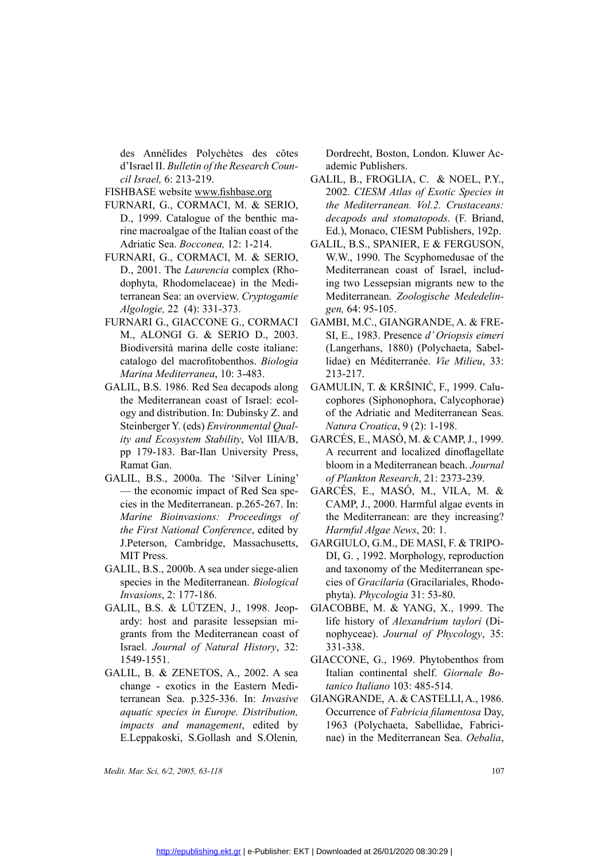des Annèlides Polychètes des côtes d'Israel II. *Bulletin of the Research Council Israel,* 6: 213-219.

- FISHBASE website www.fishbase.org
- FURNARI, G., CORMACI, M. & SERIO, D., 1999. Catalogue of the benthic marine macroalgae of the Italian coast of the Adriatic Sea. *Bocconea,* 12: 1-214.
- FURNARI, G., CORMACI, M. & SERIO,<br>D., 2001. The *Laurencia* complex (Rho-<br>dophyta, Rhodomelaceae) in the Medi-<br>terranean Sea: an overview. *Cryptogamie*<br>*Algologie*, 22 (4): 331-373.<br>FURNARI G., GIACCONE G., CORMACI<br>M., AL D., 2001. The *Laurencia* complex (Rhodophyta, Rhodomelaceae) in the Mediterranean Sea: an overview. *Cryptogamie Algologie,* 22 (4): 331-373.
	- FURNARI G., GIACCONE G., CORMACI M., ALONGI G. & SERIO D., 2003. Biodiversità marina delle coste italiane: catalogo del macrofitobenthos. *Biologia Marina Mediterranea*, 10: 3-483.
- GALIL, B.S. 1986. Red Sea decapods along<br>the Mediterranean coast of Israel: ecol-<br>ogy and distribution. In: Dubinsky Z. and<br>Steinberger Y. (eds) *Environmental Qual-*<br>ity and *Ecosystem Stability*, Vol IIIA/B,<br>pp 179-183. the Mediterranean coast of Israel: ecology and distribution. In: Dubinsky Z. and Steinberger Y. (eds) *Environmental Quality and Ecosystem Stability*, Vol IIIA/B, pp 179-183. Bar-Ilan University Press, Ramat Gan.
- GALIL, B.S., 2000a. The 'Silver Lining'<br>— the economic impact of Red Sea spe-<br>cies in the Mediterranean. p.265-267. In:<br>*Marine Bioinvasions: Proceedings of*<br>*the First National Conference*, edited by<br>J.Peterson, Cambridge — the economic impact of Red Sea species in the Mediterranean. p.265-267. In: *Marine Bioinvasions: Proceedings of the First National Conference*, edited by J.Peterson, Cambridge, Massachusetts, MIT Press.
	- species in the Mediterranean. *Biological Invasions*, 2: 177-186.
- GALIL, B.S., 2000b. A sea under siege-alien<br>species in the Mediterranean. *Biological*<br>*Invasions*, 2: 177-186.<br>GALIL, B.S. & LÜTZEN, J., 1998. Jeop-<br>ardy: host and parasite lessepsian mi-<br>grants from the Mediterranean coa GALIL, B.S. & LÜTZEN, J., 1998. Jeopardy: host and parasite lessepsian migrants from the Mediterranean coast of Israel. *Journal of Natural History*, 32: 1549-1551.
	- GALIL, B. & ZENETOS, A., 2002. A sea change - exotics in the Eastern Mediterranean Sea. p.325-336. In: *Invasive aquatic species in Europe. Distribution, impacts and management*, edited by E.Leppakoski, S.Gollash and S.Olenin*,*

Dordrecht, Boston, London. Kluwer Academic Publishers.

- GALIL, B., FROGLIA, C. & NOEL, P.Y.,<br>
<u>org</u> 2002. *CIESM Atlas of Exotic Species in*<br>
SERIO, *the Mediterranean. Vol.2. Crustaceans:*<br>
thic ma-<br> *decapods and stomatopods.* (F. Briand,<br>
ast of the Ed.), Monaco, CIESM Publi 2002. *CIESM Atlas of Exotic Species in the Mediterranean. Vol.2. Crustaceans: decapods and stomatopods*. (F. Briand, Ed.), Monaco, CIESM Publishers, 192p.
	- GALIL, B.S., SPANIER, E & FERGUSON, W.W., 1990. The Scyphomedusae of the Mediterranean coast of Israel, including two Lessepsian migrants new to the Mediterranean. *Zoologische Mededelingen,* 64: 95-105.
	- GAMBI, M.C., GIANGRANDE, A. & FRE-SI, E., 1983. Presence *d' Oriopsis eimeri* (Langerhans, 1880) (Polychaeta, Sabellidae) en Méditerranée. *Vie Milieu*, 33: 213-217.
- del: ecol-<br>
ecol-<br>
cophores (Siphonophora, Calycophorae)<br>
ky Z. and<br>
of the Adriatic and Mediterranean Seas.<br>
tal Qual-<br>
Natura Croatica, 9 (2): 1-198.<br>
1 IIIA/B, GARCÉS, E., MASÓ, M. & CAMP, J., 1999.<br>
ty Press, A recurre cophores (Siphonophora, Calycophorae) of the Adriatic and Mediterranean Seas. *Natura Croatica*, 9 (2): 1-198.
- ity and Ecosystem Stability, Vol IIIA/B, GARCÉS, E., MASÓ, M. & CAMP, J., 1999.<br>pp 179-183. Bar-Ilan University Press, A recurrent and localized dinoflagellate<br>Ramat Gan. bloom in a Mediterranean beach. Journal<br>GALIL, B.S. A recurrent and localized dinoflagellate bloom in a Mediterranean beach. *Journal of Plankton Research*, 21: 2373-239.
	- Sea spe- GARCÉS, E., MASO, M., VILA, M. &<br>
	i-267. In: CAMP, J., 2000. Harmful algae events in<br>
	dings of the Mediterranean: are they increasing?<br>
	edited by *Harmful Algae News*, 20: 1.<br>
	chusetts, GARGIULO, G.M., DE MASI, F. CAMP, J., 2000. Harmful algae events in the Mediterranean: are they increasing? *Harmful Algae News*, 20: 1.
		- GARGIULO, G.M., DE MASI, F. & TRIPO-DI, G. , 1992. Morphology, reproduction and taxonomy of the Mediterranean species of *Gracilaria* (Gracilariales, Rhodophyta). *Phycologia* 31: 53-80.
		- GIACOBBE, M. & YANG, X., 1999. The<br>life history of *Alexandrium taylori* (Di-<br>nophyceae). Journal of Phycology, 35:<br>331-338.<br>GIACCONE. G., 1969. Phytobenthos from life history of *Alexandrium taylori* (Dinophyceae). *Journal of Phycology*, 35: 331-338.
	- GIACCONE, G., 1969. Phytobenthos from<br>
	2. A sea Italian continental shelf. *Giornale Bo-*<br>
	The *tanico Italiano* 103: 485-514.<br> *Invasive* GIANGRANDE, A. & CASTELLI, A., 1986.<br> *tribution*, Occurrence of *Fabricia filament* Italian continental shelf. *Giornale Botanico Italiano* 103: 485-514.
	- *Invasive* GIANGRANDE, A. & CASTELLI, A., 1986.<br> *tribution*, Occurrence of *Fabricia filamentosa* Day,<br>
	dited by 1963 (Polychaeta, Sabellidae, Fabrici-<br>
	S.Olenin, nae) in the Mediterranean Sea. *Oebalia*, Occurrence of *Fabricia filamentosa* Day, 1963 (Polychaeta, Sabellidae, Fabricinae) in the Mediterranean Sea. *Oebalia*,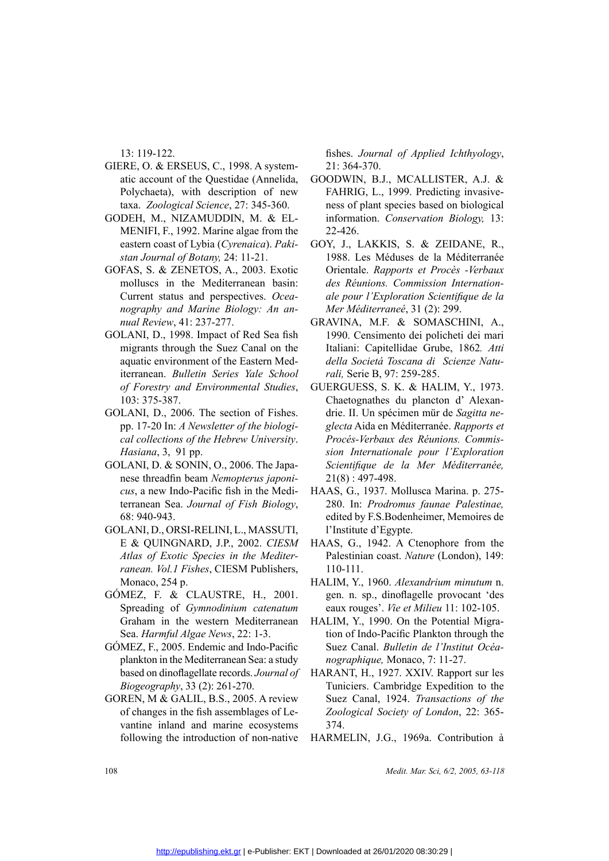13: 119-122.

- GIERE, O. & ERSEUS, C., 1998. A system-<br>atic account of the Questidae (Annelida,<br>Polychaeta), with description of new<br>taxa. Zoological Science, 27: 345-360.<br>GODEH, M., NIZAMUDDIN, M. & EL-<br>MENIFI, F., 1992. Marine algae fr atic account of the Questidae (Annelida, Polychaeta), with description of new taxa. *Zoological Science*, 27: 345-360.
- GODEH, M., NIZAMUDDIN, M. & EL-<br>
MENIFI, F., 1992. Marine algae from the<br>
eastern coast of Lybia (Cyrenaica). Paki-<br>
stan Journal of Botany, 24: 11-21.<br>
GOFAS, S. & ZENETOS, A., 2003. Exotic<br>
molluscs in the Mediterranean eastern coast of Lybia (*Cyrenaica*). *Pakistan Journal of Botany,* 24: 11-21. Polychaeta), with description of new<br>taxa. Zoological Science, 27: 345-360. These of plant species based on biological<br>GODEH, M., NIZAMUDDIN, M. & EL-<br>information. Conservation Biology, 13:<br>MENIFI, F., 1992. Marine algae f
- MENIFI, F., 1992. Marine algae from the<br>eastern coast of Lybia (*Cyrenaica*). *Paki-*<br>*stan Journal of Botany*, 24: 11-21.<br>GOFAS, S. & ZENETOS, A., 2003. Exotic<br>molluscs in the Mediterranean basin:<br>Current status and persp GOFAS, S. & ZENETOS, A., 2003. Exotic<br>molluscs in the Mediterranean basin:<br>Current status and perspectives. *Ocea-*<br>nography and Marine Biology: An an-<br>nual Review, 41: 237-277.<br>GOLANI, D., 1998. Impact of Red Sea fish<br>mig molluscs in the Mediterranean basin: Current status and perspectives. *Oceanography and Marine Biology: An annual Review*, 41: 237-277.
	- GOLANI, D., 1998. Impact of Red Sea fish migrants through the Suez Canal on the aquatic environment of the Eastern Mediterranean. *Bulletin Series Yale School of Forestry and Environmental Studies*, 103: 375-387.
	- GOLANI, D., 2006. The section of Fishes. pp. 17-20 In: *A Newsletter of the biological collections of the Hebrew University*. *Hasiana*, 3, 91 pp.
	- GOLANI, D. & SONIN, O., 2006. The Japanese threadfin beam *Nemopterus japonicus*, a new Indo-Pacific fish in the Mediterranean Sea. *Journal of Fish Biology*, 68: 940-943.
- GOLANI, D., ORSI-RELINI, L., MASSUTI,<br>E & QUINGNARD, J.P., 2002. *CIESM<br>Atlas of Exotic Species in the Mediter-<br>ranean. Vol.1 Fishes, CIESM Publishers,<br>Monaco, 254 p.<br>GÓMEZ, F. & CLAUSTRE, H., 2001.* E & QUINGNARD, J.P., 2002. *CIESM*<br>Atlas of Exotic Species in the Mediter-<br>ranean. Vol.1 Fishes, CIESM Publishers,<br>Monaco, 254 p.<br>GÓMEZ, F. & CLAUSTRE, H., 2001.<br>Spreading of *Gymnodinium catenatum Atlas of Exotic Species in the Mediterranean. Vol.1 Fishes*, CIESM Publishers, Monaco, 254 p.
	- GÓMEZ, F. & CLAUSTRE, H., 2001.<br>Spreading of *Gymnodinium catenatum*<br>Graham in the western Mediterranean<br>Sea. *Harmful Algae News*, 22: 1-3.<br>GÓMEZ, F., 2005. Endemic and Indo-Pacific<br>plankton in the Mediterranean Sea: a st Spreading of *Gymnodinium catenatum* Graham in the western Mediterranean Sea. *Harmful Algae News*, 22: 1-3. Monaco, 254 p.<br>
	GÓMEZ, F. & CLAUSTRE, H., 2001. gen. n. sp., dinoflagelle provocant 'des<br>
	Spreading of *Gymnodinium catenatum*<br>
	Graham in the western Mediterranean HALIM, Y., 1990. On the Potential Migra-<br>
	Sea. *Harmful Al*
	- GÓMEZ, F., 2005. Endemic and Indo-Pacific<br>plankton in the Mediterranean Sea: a study<br>based on dinoflagellate records. Journal of<br> $Biogeography$ , 33 (2): 261-270.<br>GOREN, M & GALIL, B.S., 2005. A review<br>of changes in the fish assemb plankton in the Mediterranean Sea: a study based on dinoflagellate records. *Journal of Biogeography*, 33 (2): 261-270.
		- GOREN, M & GALIL, B.S., 2005. A review of changes in the fish assemblages of Levantine inland and marine ecosystems following the introduction of non-native

fishes. *Journal of Applied Ichthyology*, 21: 364-370.

- Annelida, GOODWIN, B.J., MCALLISTER, A.J. &<br>
of new FAHRIG, L., 1999. Predicting invasive-<br>
15-360. ness of plant species based on biological<br>
. & EL- information. Conservation Biology, 13:<br>
from the 22-426.<br>
a). *Paki* G ness of plant species based on biological information. *Conservation Biology,* 13: 22-426.
- *Calieral* Corporation Corporation Calieral Andream Mass. Exotic University orientale. Rapports et Procès -Verbaux<br>
1. S. Exotic University orientale. Rapports et Procès -Verbaux<br>
1. S. Ocea-ale pour l'Exploration Scientif 1988. Les Méduses de la Méditerranée Orientale. *Rapports et Procès -Verbaux des Réunions. Commission Internationale pour l'Exploration Scientifique de la Mer Méditerraneé*, 31 (2): 299.
	- GRAVINA, M.F. & SOMASCHINI, A., 1990. Censimento dei policheti dei mari Italiani: Capitellidae Grube, 1862*. Atti della Societá Toscana di Scienze Naturali,* Serie B, 97: 259-285.
	- GUERGUESS, S. K. & HALIM, Y., 1973. Chaetognathes du plancton d' Alexandrie. II. Un spécimen mür de *Sagitta neglecta* Aida en Méditerranée. *Rapports et Procés-Verbaux des Réunions. Commission Internationale pour l'Exploration Scientifique de la Mer Méditerranée,*  21(8) : 497-498.
- mediate HAAS, G., 1937. Mollusca Marina. p. 275-<br> *Biology*, 280. In: *Prodromus faunae Palestinae*,<br>
edited by F.S.Bodenheimer, Memoires de<br>
ASSUTI, l'Institute d'Egypte.<br>
. *CIESM* HAAS, G., 1942. A Ctenophore from the<br> 280. In: *Prodromus faunae Palestinae,* edited by F.S.Bodenheimer, Memoires de l'Institute d'Egypte.
	- Palestinian coast. *Nature* (London), 149: 110-111.
- CHESM HAAS, G., 1942. A Ctenophore from the *Mediter*-<br>Palestinian coast. *Nature* (London), 149:<br>philishers, 110-111.<br>HALIM, Y., 1960. *Alexandrium minutum* n.<br>L., 2001. gen. n. sp., dinoflagelle provocant 'des<br>atenatum e gen. n. sp., dinoflagelle provocant 'des eaux rouges'. *Vie et Milieu* 11: 102-105.
	- tion of Indo-Pacific Plankton through the Suez Canal. *Bulletin de l'Institut Océanographique,* Monaco, 7: 11-27.
- HARANT, H., 1927. XXIV. Rapport sur les France of HARANT, H., 1927. XXIV. Rapport sur les<br>
Tuniciers. Cambridge Expedition to the<br>
A review Suez Canal, 1924. *Transactions of the*<br>
es of Le- Zoological Society of London, 22: 365-<br>
osystems 374. Tuniciers. Cambridge Expedition to the Suez Canal, 1924. *Transactions of the Zoological Society of London*, 22: 365- 374.
	- HARMELIN, J.G., 1969a. Contribution à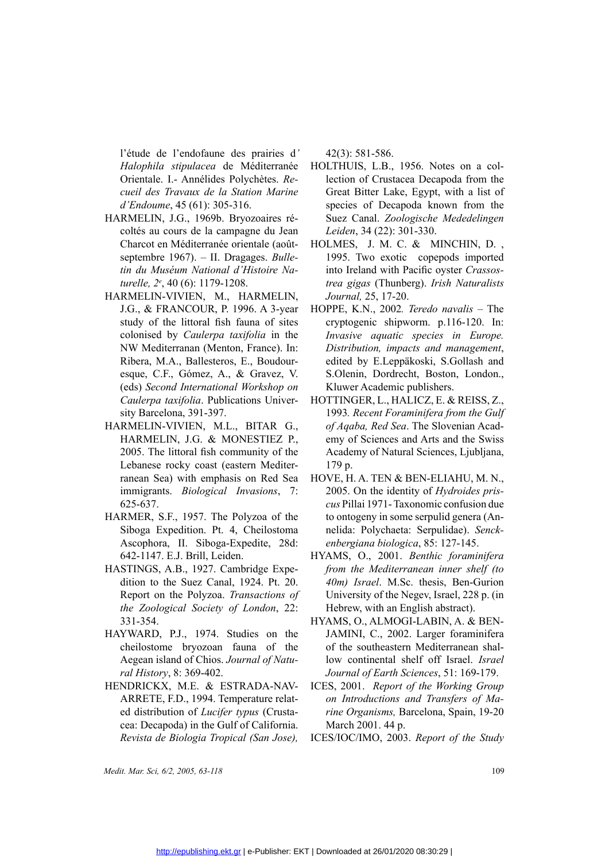l'étude de l'endofaune des prairies d*' Halophila stipulacea* de Méditerranée Orientale. I.- Annélides Polychètes. *Recueil des Travaux de la Station Marine d'Endoume*, 45 (61): 305-316.

- HARMELIN, J.G., 1969b. Bryozoaires récoltés au cours de la campagne du Jean<br>Charcot en Méditerranée orientale (août-<br>septembre 1967). II. Dragages. *Bulle-<br>tin du Muséum National d'Histoire Na-<br>turelle, 2<sup>e</sup>, 40 (6): 117* coltés au cours de la campagne du Jean Charcot en Méditerranée orientale (aoûtseptembre 1967). – II. Dragages. *Bulletin du Muséum National d'Histoire Naturelle, 2e* , 40 (6): 1179-1208.
	- HARMELIN-VIVIEN, M., HARMELIN, J.G., & FRANCOUR, P. 1996. A 3-year study of the littoral fish fauna of sites colonised by *Caulerpa taxifolia* in the NW Mediterranan (Menton, France). In: Ribera, M.A., Ballesteros, E., Boudouresque, C.F., Gómez, A., & Gravez, V. (eds) *Second International Workshop on Caulerpa taxifolia*. Publications University Barcelona, 391-397.
	- HARMELIN-VIVIEN, M.L., BITAR G., HARMELIN, J.G. & MONESTIEZ P., 2005. The littoral fish community of the Lebanese rocky coast (eastern Mediterranean Sea) with emphasis on Red Sea immigrants. *Biological Invasions*, 7: 625-637.
- HARMER, S.F., 1957. The Polyzoa of the<br>Siboga Expedition. Pt. 4, Cheilostoma<br>Ascophora, II. Siboga-Expedite, 28d:<br>642-1147. E.J. Brill, Leiden.<br>HASTINGS, A.B., 1927. Cambridge Expedition to the Suez Canal, 1924. Pt. 20. Siboga Expedition. Pt. 4, Cheilostoma Ascophora, II. Siboga-Expedite, 28d: 642-1147. E.J. Brill, Leiden.
- HASTINGS, A.B., 1927. Cambridge Expedition to the Suez Canal, 1924. Pt. 20.<br>Report on the Polyzoa. *Transactions of*<br>*the Zoological Society of London*, 22:<br>331-354.<br>HAYWARD, P.J., 1974. Studies on the dition to the Suez Canal, 1924. Pt. 20. Report on the Polyzoa. *Transactions of the Zoological Society of London*, 22: 331-354.
- HAYWARD, P.J., 1974. Studies on the<br>cheilostome bryozoan fauna of the<br>Aegean island of Chios. Journal of Natu-<br>ral History, 8: 369-402.<br>HENDRICKX, M.E. & ESTRADA-NAV-<br>ARRETE FD 1994 Temperature relatcheilostome bryozoan fauna of the Aegean island of Chios. *Journal of Natural History*, 8: 369-402.
	- HENDRICKX, M.E. & ESTRADA-NAV-ARRETE, F.D., 1994. Temperature related distribution of *Lucifer typus* (Crustacea: Decapoda) in the Gulf of California. *Revista de Biologia Tropical (San Jose),*

42(3): 581-586.

- literranée HOLTHUIS, L.B., 1956. Notes on a col-<br>
ettes. *Re* lection of Crustacea Decapoda from the<br> *n Marine* Great Bitter Lake, Egypt, with a list of<br>
species of Decapoda known from the<br>
vaires ré- Suez Canal. Zoologi lection of Crustacea Decapoda from the Great Bitter Lake, Egypt, with a list of species of Decapoda known from the Suez Canal. *Zoologische Mededelingen Leiden*, 34 (22): 301-330.
	- HOLMES, J. M. C. & MINCHIN, D. , 1995. Two exotic copepods imported into Ireland with Pacific oyster *Crassostrea gigas* (Thunberg). *Irish Naturalists Journal,* 25, 17-20.
- A 3-year HOPPE, K.N., 2002. *Teredo navalis* The<br>
of sites cryptogenic shipworm. p.116-120. In:<br> *ia* in the *Invasive aquatic species in Europe*.<br>
nnce). In: *Distribution, impacts and management*,<br>
Boudour-edited by E. cryptogenic shipworm. p.116-120. In: *Invasive aquatic species in Europe. Distribution, impacts and management*, edited by E.Leppäkoski, S.Gollash and S.Olenin, Dordrecht, Boston, London., Kluwer Academic publishers.
- For HOTTINGER, L., HALICZ, E. & REISS, Z.,<br>
1993. *Recent Foraminifera from the Gulf*<br>
FAR G., *of Aqaba, Red Sea*. The Slovenian Acad-<br>
TIEZ P., emy of Sciences and Arts and the Swiss<br>
ity of the Academy of Natural Scien 1993*. Recent Foraminifera from the Gulf of Aqaba, Red Sea*. The Slovenian Academy of Sciences and Arts and the Swiss Academy of Natural Sciences, Ljubljana, 179 p.
	- HOVE, H. A. TEN & BEN-ELIAHU, M. N., 2005. On the identity of *Hydroides priscus* Pillai 1971- Taxonomic confusion due to ontogeny in some serpulid genera (Annelida: Polychaeta: Serpulidae). *Senckenbergiana biologica*, 85: 127-145.
- HYAMS, O., 2001. *Benthic foraminifera*<br>
ge Expe-<br> *from the Mediterranean inner shelf (to*<br> *H*. 20. 40*m) Israel*. M.Sc. thesis, Ben-Gurion<br> *ctions of* University of the Negev, Israel, 228 p. (in<br> *don*, 22: Hebrew, wit *from the Mediterranean inner shelf (to 40m) Israel*. M.Sc. thesis, Ben-Gurion University of the Negev, Israel, 228 p. (in Hebrew, with an English abstract).
	- JAMINI, C., 2002. Larger foraminifera of the southeastern Mediterranean shallow continental shelf off Israel. *Israel Journal of Earth Sciences*, 51: 169-179.
	- ICES, 2001. *Report of the Working Group on Introductions and Transfers of Marine Organisms,* Barcelona, Spain, 19-20 March 2001. 44 p.
	- ICES/IOC/IMO, 2003. *Report of the Study*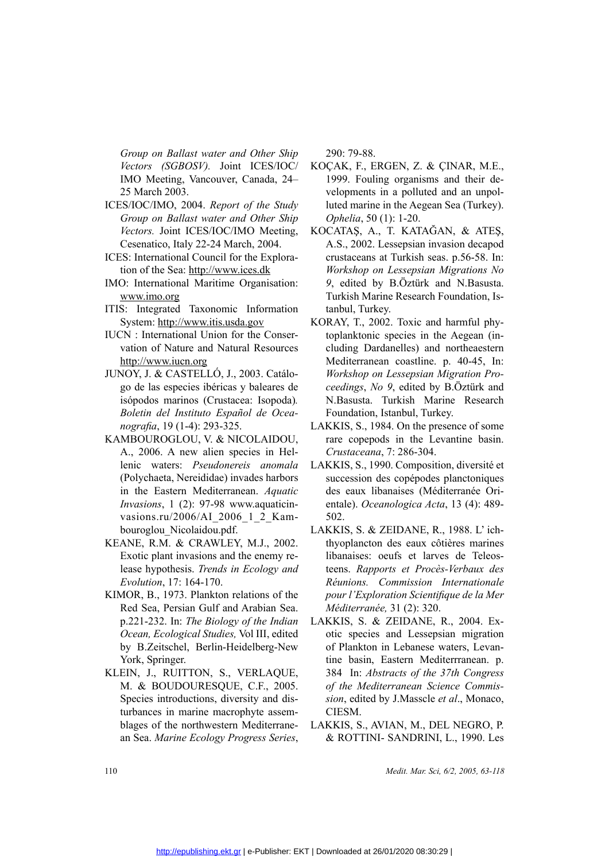*Group on Ballast water and Other Ship Vectors (SGBOSV).* Joint ICES/IOC/ IMO Meeting, Vancouver, Canada, 24– 25 March 2003.

- ICES/IOC/IMO, 2004. *Report of the Study Group on Ballast water and Other Ship Vectors.* Joint ICES/IOC/IMO Meeting, Cesenatico, Italy 22-24 March, 2004.
- ICES: International Council for the Exploration of the Sea: http://www.ices.dk
- IMO: International Maritime Organisation: www.imo.org
- ITIS: Integrated Taxonomic Information System: http://www.itis.usda.gov
- IUCN : International Union for the Conservation of Nature and Natural Resources http://www.iucn.org
- JUNOY, J. & CASTELLÓ, J., 2003. Catálogo de las especies ibéricas y baleares de isópodos marinos (Crustacea: Isopoda).<br>Boletin del Instituto Español de Oceanografia, 19 (1-4): 293-325.<br>KAMBOUROGLOU, V. & NICOLAIDOU, A., 20 go de las especies ibéricas y baleares de isópodos marinos (Crustacea: Isopoda)*. Boletin del Instituto Español de Oceanografia*, 19 (1-4): 293-325.
	- KAMBOUROGLOU, V. & NICOLAIDOU, A., 2006. A new alien species in Hellenic waters: *Pseudonereis anomala* (Polychaeta, Nereididae) invades harbors in the Eastern Mediterranean. *Aquatic Invasions*, 1 (2): 97-98 www.aquaticinvasions.ru/2006/AI\_2006\_1\_2\_Kambouroglou\_Nicolaidou.pdf.
- KEANE, R.M. & CRAWLEY, M.J., 2002.<br>Exotic plant invasions and the enemy re-<br>lease hypothesis. *Trends in Ecology and*<br>Evolution, 17: 164-170.<br>KIMOR, B., 1973. Plankton relations of the<br>Red Sea, Persian Gulf and Arabian Sea Exotic plant invasions and the enemy release hypothesis. *Trends in Ecology and Evolution*, 17: 164-170.
- KIMOR, B., 1973. Plankton relations of the<br>Red Sea, Persian Gulf and Arabian Sea.<br>p.221-232. In: *The Biology of the Indian<br>Ocean, Ecological Studies*, Vol III, edited<br>by B.Zeitschel, Berlin-Heidelberg-New<br>York, Springer. Red Sea, Persian Gulf and Arabian Sea. p.221-232. In: *The Biology of the Indian Ocean, Ecological Studies,* Vol III, edited by B.Zeitschel, Berlin-Heidelberg-New York, Springer.
	- KLEIN, J., RUITTON, S., VERLAQUE,<br>M. & BOUDOURESQUE, C.F., 2005. M. & BOUDOURESQUE, C.F., 2005.<br>Species introductions, diversity and disturbances in marine macrophyte assemblages of the northwestern Mediterrane-<br>an Sea. *Marine Ecology Progress Series*, Species introductions, diversity and disturbances in marine macrophyte assemblages of the northwestern Mediterranean Sea. *Marine Ecology Progress Series*,

 $290 \cdot 79 - 88$ 

- ES/IOC/ KOÇAK, F., ERGEN, Z. & ÇINAR, M.E.,<br>ada, 24– 1999. Fouling organisms and their de-<br>velopments in a polluted and an unpol-<br>*he Study* luted marine in the Aegean Sea (Turkey).<br>*ther Ship Ophelia*, 50 (1): 1-20.<br>Meet 1999. Fouling organisms and their developments in a polluted and an unpolluted marine in the Aegean Sea (Turkey). *Ophelia*, 50 (1): 1-20.
	- KOCATAŞ, A., T. KATAĞAN, & ATEŞ, A.S., 2002. Lessepsian invasion decapod crustaceans at Turkish seas. p.56-58. In: *Workshop on Lessepsian Migrations No 9*, edited by B.Öztürk and N.Basusta. Turkish Marine Research Foundation, Istanbul, Turkey.
	- KORAY, T., 2002. Toxic and harmful phytoplanktonic species in the Aegean (including Dardanelles) and northeaestern Mediterranean coastline. p. 40-45, In: *Workshop on Lessepsian Migration Proceedings*, *No 9*, edited by B.Öztürk and N.Basusta. Turkish Marine Research Foundation, Istanbul, Turkey.
	- rare copepods in the Levantine basin. *Crustaceana*, 7: 286-304.
- LAKKIS, S., 1984. On the presence of some<br>AIDOU, rare copepods in the Levantine basin.<br>
in Hel-<br> *Crustaceana*, 7: 286-304.<br> *anomala* LAKKIS, S., 1990. Composition, diversité et<br>
sharbors succession des copépodes plancton anomala LAKKIS, S., 1990. Composition, diversité et<br>s harbors succession des copépodes planctoniques<br>des eaux libanaises (Méditerranée Ori-<br>quaticin-<br>entale). Oceanologica Acta, 13 (4): 489-<br>2\_Kam-<br>LAKKIS, S. & ZEIDANE, R. succession des copépodes planctoniques des eaux libanaises (Méditerranée Orientale). *Oceanologica Acta*, 13 (4): 489- 502.
- LAKKIS, S. & ZEIDANE, R., 1988. L'ich-<br>J., 2002. thyoplancton des eaux côtières marines<br>nemy re-<br>libanaises: oeufs et larves de Teleos-<br>logy and teens. Rapports et Procès-Verbaux des<br>Réunions. Commission Internationale<br>pou thyoplancton des eaux côtières marines libanaises: oeufs et larves de Teleosteens. *Rapports et Procès-Verbaux des Réunions. Commission Internationale pour l'Exploration Scientifique de la Mer Méditerranée,* 31 (2): 320.
	- Lakkis, S. & Zeidane, R., 2004. Exotic species and Lessepsian migration of Plankton in Lebanese waters, Levantine basin, Eastern Mediterrranean. p. 384 In: *Abstracts of the 37th Congress of the Mediterranean Science Commission*, edited by J.Masscle *et al*., Monaco, CIESM.
- diterrane- LAKKIS, S., AVIAN, M., DEL NEGRO, P.<br>ss Series, & ROTTINI- SANDRINI, L., 1990. Les<br>Medit. Mar. Sci, 6/2, 2005, 63-118 ies, & ROTTINI- SANDRINI, L., 1990. Les<br> *Medit. Mar. Sci, 6/2, 2005, 63-118*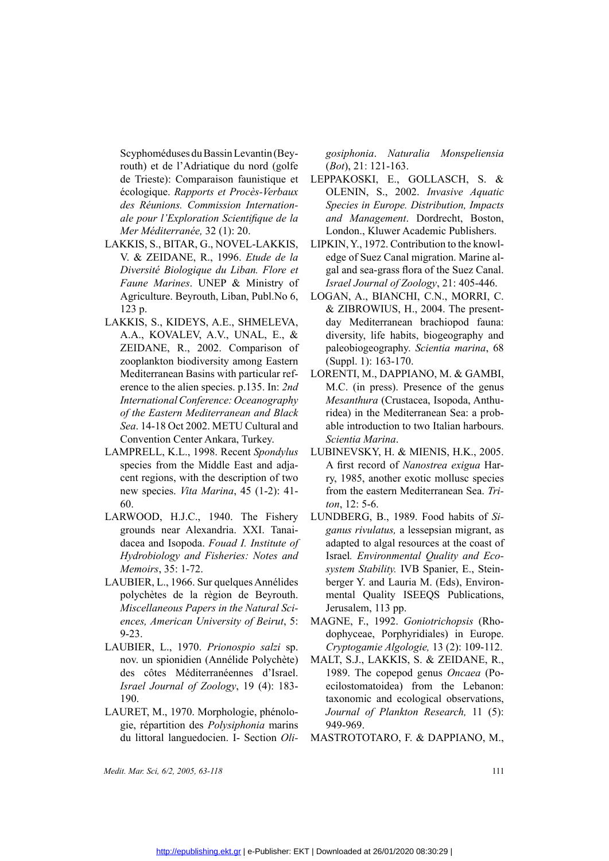Scyphoméduses du Bassin Levantin (Beyrouth) et de l'Adriatique du nord (golfe de Trieste): Comparaison faunistique et écologique. *Rapports et Procès-Verbaux des Réunions. Commission Internationale pour l'Exploration Scientifique de la Mer Méditerranée,* 32 (1): 20.

- LAKKIS, S., BITAR, G., NOVEL-LAKKIS,<br>V. & ZEIDANE, R., 1996. *Etude de la<br>Diversité Biologique du Liban. Flore et<br>Faune Marines.* UNEP & Ministry of<br>Agriculture. Beyrouth, Liban, Publ.No 6,<br>123 p.<br>LAKKIS, S., KIDEYS, A.E., V. & ZEIDANE, R., 1996. *Etude de la Diversité Biologique du Liban. Flore et Faune Marines.* UNEP & Ministry of Agriculture. Beyrouth, Liban, Publ.No 6, 123 p.<br>LAKKIS, S., KIDEYS, A.E., SHMELEVA, *Diversité Biologique du Liban. Flore et Faune Marines*. UNEP & Ministry of Agriculture. Beyrouth, Liban, Publ.No 6, 123 p.
- LAKKIS, S., KIDEYS, A.E., SHMELEVA,<br>A.A., KOVALEV, A.V., UNAL, E., &<br>ZEIDANE, R., 2002. Comparison of<br>zooplankton biodiversity among Eastern<br>Mediterranean Basins with particular ref-<br>erence to the alien species. p.135. In: A.A., KOVALEV, A.V., UNAL, E., & ZEIDANE, R., 2002. Comparison of zooplankton biodiversity among Eastern Mediterranean Basins with particular reference to the alien species. p.135. In: *2nd International Conference: Oceanography of the Eastern Mediterranean and Black Sea*. 14-18 Oct 2002. METU Cultural and Convention Center Ankara, Turkey.
- LAMPRELL, K.L., 1998. Recent *Spondylus*<br>
species from the Middle East and adja-<br>
cent regions, with the description of two<br>
new species. *Vita Marina*, 45 (1-2): 41-<br>
60.<br>
LARWOOD, H.J.C., 1940. The Fishery species from the Middle East and adjacent regions, with the description of two new species. *Vita Marina*, 45 (1-2): 41- 60.
	- grounds near Alexandria. XXI. Tanaidacea and Isopoda. *Fouad I. Institute of Hydrobiology and Fisheries: Notes and Memoirs*, 35: 1-72.
- LAUBIER, L., 1966. Sur quelques Annélides<br>polychètes de la règion de Beyrouth.<br>*Miscellaneous Papers in the Natural Sci-*<br>ences, American University of Beirut, 5:<br>9-23.<br>LAUBIER, L., 1970. Prionospio salzi sp. polychètes de la règion de Beyrouth. *Miscellaneous Papers in the Natural Sciences, American University of Beirut*, 5: 9-23.
- LAUBIER, L., 1970. *Prionospio salzi* sp.<br>nov. un spionidien (Annélide Polychète)<br>des côtes Méditerranéennes d'Israel.<br>*Israel Journal of Zoology*, 19 (4): 183-<br>190.<br>LAURET M 1970 Morphologie phépolonov. un spionidien (Annélide Polychète) des côtes Méditerranéennes d'Israel. *Israel Journal of Zoology*, 19 (4): 183- 190.
- LAURET, M., 1970. Morphologie, phénologie, répartition des *Polysiphonia* marins<br>du littoral languedocien. I- Section Oli-<br>*Medit. Mar. Sci, 6/2, 2005, 63-118* gie, répartition des *Polysiphonia* marins du littoral languedocien. I- Section *Oli-*

*gosiphonia*. *Naturalia Monspeliensia* (*Bot*), 21: 121-163.

- istique et LEPPAKOSKI, E., GOLLASCH, S. &<br>
-Verbaux OLENIN, S., 2002. Invasive Aquatic<br>
ernation-<br>
Species in Europe. Distribution, Impacts<br>
que de la and Management. Dordrecht, Boston,<br>
LONDON., Kluwer Academic Publishers *rbaux* OLENIN, S., 2002. *Invasive Aquatic ation-* Species in Europe. Distribution, Impacts de la and Management. Dordrecht, Boston, London., Kluwer Academic Publishers.<br>
KKIS, LIPKIN, Y., 1972. Contribution to the knowl-*Species in Europe. Distribution, Impacts and Management*. Dordrecht, Boston, London., Kluwer Academic Publishers.
	- LIPKIN, Y., 1972. Contribution to the knowledge of Suez Canal migration. Marine algal and sea-grass flora of the Suez Canal. *Israel Journal of Zoology*, 21: 405-446.
	- LOGAN, A., BIANCHI, C.N., MORRI, C. & ZIBROWIUS, H., 2004. The presentday Mediterranean brachiopod fauna: diversity, life habits, biogeography and paleobiogeography. *Scientia marina*, 68 (Suppl. 1): 163-170.
	- LORENTI, M., DAPPIANO, M. & GAMBI, M.C. (in press). Presence of the genus *Mesanthura* (Crustacea, Isopoda, Anthuridea) in the Mediterranean Sea: a probable introduction to two Italian harbours. *Scientia Marina*.
- Metallytheset EUBINEVSKY, H. & MIENIS, H.K., 2005.<br>
A first record of *Nanostrea exigua* Har-<br>
on of two<br>
ry, 1985, another exotic mollusc species<br>
1-2): 41-<br>
from the eastern Mediterranean Sea. *Tri*-<br>
ton, 12: 5-6.<br>
Fish A first record of *Nanostrea exigua* Harry, 1985, another exotic mollusc species from the eastern Mediterranean Sea. *Triton*, 12: 5-6.
- Fishery LUNDBERG, B., 1989. Food habits of *Si-*<br>I. Tanai-<br>*ganus rivulatus*, a lessepsian migrant, as<br>*stitute of* adapted to algal resources at the coast of<br>*lotes and* Israel. *Environmental Quality and Eco-*<br>*system St ganus rivulatus,* a lessepsian migrant, as adapted to algal resources at the coast of Israel*. Environmental Quality and Ecosystem Stability.* IVB Spanier, E., Steinberger Y. and Lauria M. (Eds), Environmental Quality ISEEQS Publications, Jerusalem, 113 pp.
	- MAGNE, F., 1992. *Goniotrichopsis* (Rho-<br>dophyceae, Porphyridiales) in Europe.<br>*Cryptogamie Algologie*, 13 (2): 109-112.<br>MALT, S.J., LAKKIS, S. & ZEIDANE, R., dophyceae, Porphyridiales) in Europe. *Cryptogamie Algologie,* 13 (2): 109-112.
- blychète) MALT, S.J., LAKKIS, S. & ZEIDANE, R.,<br>d'Israel. 1989. The copepod genus *Oncaea* (Po-<br>4): 183- ecilostomatoidea) from the Lebanon:<br>taxonomic and ecological observations,<br>phénolo- *Journal of Plankton Research*, 1 1989. The copepod genus *Oncaea* (Poecilostomatoidea) from the Lebanon: taxonomic and ecological observations, *Journal of Plankton Research,* 11 (5): 949-969.
	- MASTROTOTARO, F. & DAPPIANO, M.,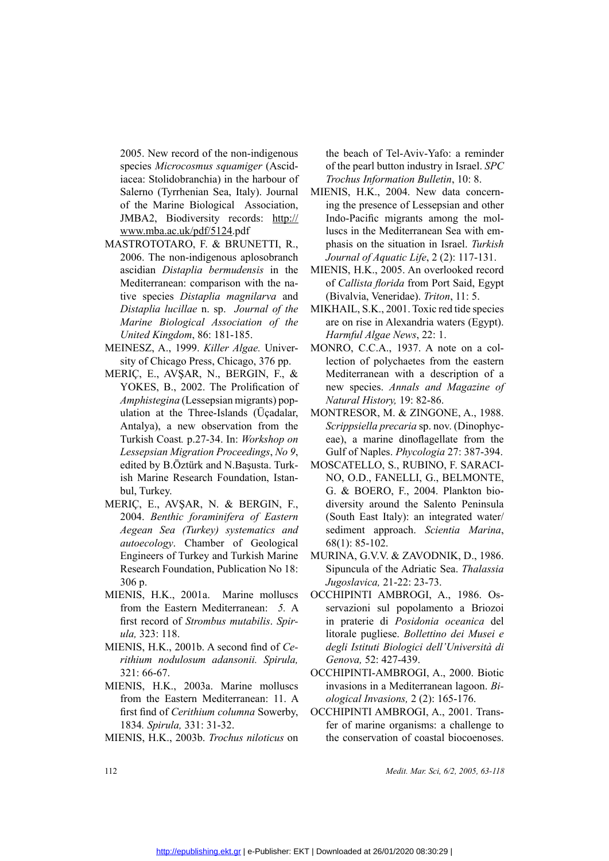2005. New record of the non-indigenous species *Microcosmus squamiger* (Ascidiacea: Stolidobranchia) in the harbour of Salerno (Tyrrhenian Sea, Italy). Journal of the Marine Biological Association, JMBA2, Biodiversity records: http:// www.mba.ac.uk/pdf/5124.pdf

- MASTROTOTARO, F. & BRUNETTI, R., 2006. The non-indigenous aplosobranch ascidian *Distaplia bermudensis* in the Mediterranean: comparison with the native species *Distaplia magnilarva* and *Distaplia lucillae* n. sp. *Journal of the Marine Biological Association of the United Kingdom*, 86: 181-185.
- MEINESZ, A., 1999. *Killer Algae*. Univer-<br>sity of Chicago Press, Chicago, 376 pp.<br>MERIÇ, E., AVŞAR, N., BERGIN, F., & sity of Chicago Press, Chicago, 376 pp.
- MERIÇ, E., AVŞAR, N., BERGIN, F., &<br>YOKES, B., 2002. The Prolification of<br>*Amphistegina* (Lessepsian migrants) pop-<br>ulation at the Three-Islands (Üçadalar,<br>Antalya), a new observation from the<br>Turkish Coast. p.27-34. In: YOKES, B., 2002. The Prolification of *Amphistegina* (Lessepsian migrants) population at the Three-Islands (Üçadalar, Antalya), a new observation from the Turkish Coast*.* p.27-34. In: *Workshop on Lessepsian Migration Proceedings*, *No 9*, edited by B.Öztürk and N.Başusta. Turkish Marine Research Foundation, Istanbul, Turkey.
	- Meriç, E., AVŞAR, N. & Bergin, F., 2004. *Benthic foraminifera of Eastern Aegean Sea (Turkey) systematics and autoecology*. Chamber of Geological Engineers of Turkey and Turkish Marine Research Foundation, Publication No 18: 306 p.
	- MIENIS, H.K., 2001a. Marine molluscs<br>from the Eastern Mediterranean: 5. A<br>first record of *Strombus mutabilis. Spir-*<br>*ula*, 323: 118.<br>MIENIS, H.K., 2001b. A second find of *Ce*from the Eastern Mediterranean: *5.* A first record of *Strombus mutabilis*. *Spirula,* 323: 118.
	- *rithium nodulosum adansonii. Spirula,*  321: 66-67.
- MIENIS, H.K., 2003a. Marine molluscs MIENIS, H.K., 2003a. Marine molluscs<br>from the Eastern Mediterranean: 11. A<br>first find of *Cerithium columna* Sowerby,<br>1834. Spirula, 331: 31-32.<br>MIENIS, H.K., 2003b. *Trochus niloticus* on from the Eastern Mediterranean: 11. A first find of *Cerithium columna* Sowerby, 1834*. Spirula,* 331: 31-32.
	- Mienis, H.K., 2003b. *Trochus niloticus* on

the beach of Tel-Aviv-Yafo: a reminder of the pearl button industry in Israel. *SPC Trochus Information Bulletin*, 10: 8.

- Journal MIENIS, H.K., 2004. New data concern-<br>ociation, ing the presence of Lessepsian and other<br>indo-Pacific migrants among the mol-<br>luscs in the Mediterranean Sea with em-<br>TTI, R., phasis on the situation in Israel. *Tu* ing the presence of Lessepsian and other Indo-Pacific migrants among the molluscs in the Mediterranean Sea with emphasis on the situation in Israel. *Turkish Journal of Aquatic Life*, 2 (2): 117-131.
	- MIENIS, H.K., 2005. An overlooked record of *Callista florida* from Port Said, Egypt (Bivalvia, Veneridae). *Triton*, 11: 5.
	- are on rise in Alexandria waters (Egypt). *Harmful Algae News*, 22: 1.
- al of the MIKHAIL, S.K., 2001. Toxic red tide species<br>
of the are on rise in Alexandria waters (Egypt).<br> *Harmful Algae News*, 22: 1.<br>
Univer-MONRO, C.C.A., 1937. A note on a col-<br>
376 pp. lection of polychaetes from the e Univer- MONRO, C.C.A., 1937. A note on a col-<br>376 pp. lection of polychaetes from the eastern<br>N, F., & Mediterranean with a description of a<br>cation of new species. Annals and Magazine of<br>nts) pop-<br>Natural History, 19: 82-8 lection of polychaetes from the eastern Mediterranean with a description of a new species. *Annals and Magazine of Natural History,* 19: 82-86.
- Jçadalar, MONTRESOR, M. & ZINGONE, A., 1988.<br>
From the *Scrippsiella precaria* sp. nov. (Dinophyc-<br>
kshop on eae), a marine dinoflagellate from the<br>
gs, No 9, Gulf of Naples. *Phycologia* 27: 387-394.<br>
ta. Turk- MOSCATELL *Scrippsiella precaria* sp. nov. (Dinophyceae), a marine dinoflagellate from the Gulf of Naples. *Phycologia* 27: 387-394.
	- MOSCATELLO, S., RUBINO, F. SARACI-NO, O.D., FANELLI, G., BELMONTE, G. & BOERO, F., 2004. Plankton biodiversity around the Salento Peninsula (South East Italy): an integrated water/ sediment approach. *Scientia Marina*, 68(1): 85-102.
	- Sipuncula of the Adriatic Sea. *Thalassia Jugoslavica,* 21-22: 23-73.
- MuRINA, G.V.V. & ZAVODNIK, D., 1986.<br>
n No 18: Sipuncula of the Adriatic Sea. *Thalassia<br>
Jugoslavica*, 21-22: 23-73.<br>
molluscs OCCHIPINTI AMBROGI, A., 1986. Os-<br>
n: 5. A servazioni sul popolamento a Briozoi<br> *lis. Spir* molluscs OCCHIPINTI AMBROGI, A., 1986. Os-<br>n: 5. A servazioni sul popolamento a Briozoi<br>lis. Spir-<br>in praterie di *Posidonia oceanica* del<br>litorale pugliese. *Bollettino dei Musei e*<br>nd of *Ce-* degli Istituti Biologici de servazioni sul popolamento a Briozoi in praterie di *Posidonia oceanica* del litorale pugliese. *Bollettino dei Musei e degli Istituti Biologici dell'Università di Genova,* 52: 427-439.
- OCCHIPINTI-AMBROGI, A., 2000. Biotic<br>molluscs invasions in a Mediterranean lagoon. *Bi*-<br>n: 11. A *ological Invasions*, 2 (2): 165-176.<br>Sowerby, OCCHIPINTI AMBROGI, A., 2001. Trans-<br>fer of marine organisms: a challenge to<br> invasions in a Mediterranean lagoon. *Biological Invasions,* 2 (2): 165-176.
	- OCCHIPINTI AMBROGI, A., 2001. Transfer of marine organisms: a challenge to the conservation of coastal biocoenoses.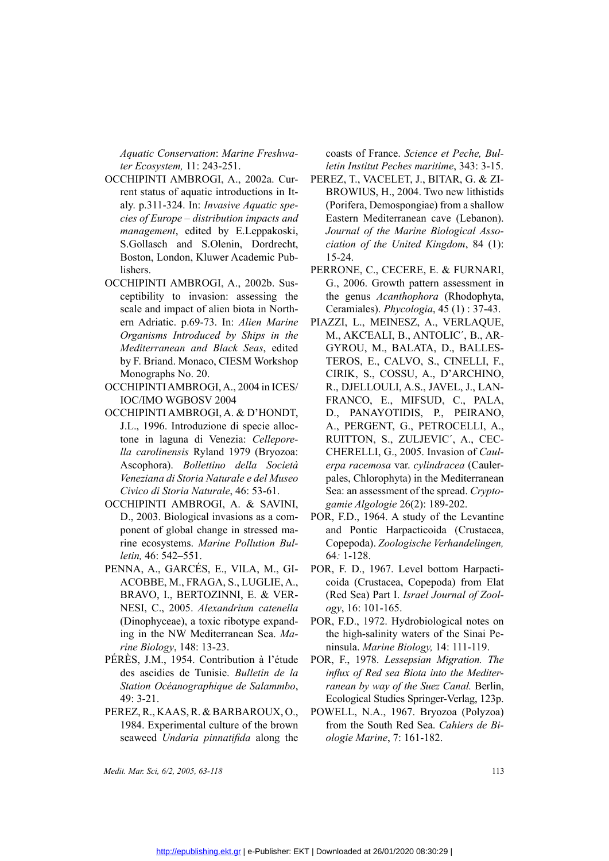*Aquatic Conservation*: *Marine Freshwater Ecosystem,* 11: 243-251.

- OCCHIPINTI AMBROGI, A., 2002a. Current status of aquatic introductions in It-<br>aly. p.311-324. In: *Invasive Aquatic spe-*<br>cies of Europe distribution impacts and<br>management, edited by E.Leppakoski,<br>S.Gollasch and S.Oleni rent status of aquatic introductions in Italy. p.311-324. In: *Invasive Aquatic species of Europe – distribution impacts and management*, edited by E.Leppakoski, S.Gollasch and S.Olenin, Dordrecht, Boston, London, Kluwer Academic Publishers.
- OCCHIPINTI AMBROGI, A., 2002b. Sus-<br>ceptibility to invasion: assessing the<br>scale and impact of alien biota in North-<br>ern Adriatic. p.69-73. In: *Alien Marine<br>Organisms Introduced by Ships in the<br>Mediterranean and Black Sea* ceptibility to invasion: assessing the scale and impact of alien biota in Northern Adriatic. p.69-73. In: *Alien Marine Organisms Introduced by Ships in the Mediterranean and Black Seas*, edited by F. Briand. Monaco, CIESM Workshop Monographs No. 20.
	- IOC/IMO WGBOSV 2004
- OCCHIPINTI AMBROGI, A., 2004 in ICES/<br>IOC/IMO WGBOSV 2004<br>OCCHIPINTI AMBROGI, A. & D'HONDT,<br>J.L., 1996. Introduzione di specie alloc-<br>tone in laguna di Venezia: *Cellepore-<br>lla carolinensis* Ryland 1979 (Bryozoa:<br>Ascophora OCCHIPINTI AMBROGI, A. & D'HONDT,<br>J.L., 1996. Introduzione di specie alloc-<br>tone in laguna di Venezia: *Cellepore-<br>lla carolinensis* Ryland 1979 (Bryozoa:<br>Ascophora). *Bollettino della Società*<br>Veneziana di Storia Naturale J.L., 1996. Introduzione di specie alloctone in laguna di Venezia: *Celleporella carolinensis* Ryland 1979 (Bryozoa: Ascophora). *Bollettino della Società Veneziana di Storia Naturale e del Museo Civico di Storia Naturale*, 46: 53-61.
- OCCHIPINTI AMBROGI, A. & SAVINI,<br>D., 2003. Biological invasions as a com-<br>ponent of global change in stressed ma-<br>rine ecosystems. *Marine Pollution Bul-*<br>*letin*, 46: 542–551.<br>PENNA, A., GARCÉS, E., VILA, M., GI-D., 2003. Biological invasions as a component of global change in stressed marine ecosystems. *Marine Pollution Bulletin,* 46: 542–551.
- PENNA, A., GARCÉS, E., VILA, M., GI-<br>ACOBBE, M., FRAGA, S., LUGLIE, A.,<br>BRAVO, I., BERTOZINNI, E. & VER-<br>NESI, C., 2005. Alexandrium catenella<br>(Dinophyceae), a toxic ribotype expand-<br>ing in the NW Mediterranean Sea. Ma-ACOBBE, M., FRAGA, S., LUGLIE, A.,<br>BRAVO, I., BERTOZINNI, E. & VER-<br>NESI, C., 2005. Alexandrium catenella<br>(Dinophyceae), a toxic ribotype expand-<br>ing in the NW Mediterranean Sea. Ma-<br>rine Biology, 148: 13-23. BRAVO, I., BERTOZINNI, E. & VER-<br>NESI, C., 2005. Alexandrium catenella<br>(Dinophyceae), a toxic ribotype expand-<br>ing in the NW Mediterranean Sea. Ma-<br>rine Biology, 148: 13-23.<br>PÉRÈS, J.M., 1954. Contribution à l'étude (Dinophyceae), a toxic ribotype expanding in the NW Mediterranean Sea. *Marine Biology*, 148: 13-23. NNA, A., GARCÉS, E., VILA, M., GI-<br>ACOBBE, M., FRAGA, S., LUGLIE, A., coida (Crustacea, Copepoda) from Elat<br>BRAVO, I., BERTOZINNI, E. & VER- (Red Sea) Part I. *Israel Journal of Zool-*<br>NESI, C., 2005. *Alexandrium catenell* 
	- PÉRÈS, J.M., 1954. Contribution à l'étude PÉRÉS, J.M., 1954. Contribution à l'étude<br>des ascidies de Tunisie. *Bulletin de la<br>Station Océanographique de Salammbo*,<br>49: 3-21.<br>PEREZ, R., KAAS, R. & BARBAROUX, O.,<br>1984. Experimental culture of the brown des ascidies de Tunisie. *Bulletin de la Station Océanographique de Salammbo*, 49: 3-21.
		- 1984. Experimental culture of the brown seaweed *Undaria pinnatifida* along the

coasts of France. *Science et Peche, Bulletin Institut Peches maritime*, 343: 3-15.

- 02a. Cur-<br>
PEREZ, T., VACELET, J., BITAR, G. & ZI-<br>
ons in It-<br>
BROWIUS, H., 2004. Two new lithistids<br> *pacts and*<br>
Eastern Mediterranean cave (Lebanon).<br>
ppakoski, *Journal of the Marine Biological Asso*-<br>
bordrecht, *cia* is in It-<br>
browius, H., 2004. Two new lithistids<br> *tic spe*<br>
(Porifera, Demospongiae) from a shallow<br> *cts and*<br>
Eastern Mediterranean cave (Lebanon).<br>
akoski, *Journal of the Marine Biological Asso-*<br>
rdrecht, *ciation of* (Porifera, Demospongiae) from a shallow Eastern Mediterranean cave (Lebanon). *Journal of the Marine Biological Association of the United Kingdom*, 84 (1): 15-24.
	- PERRONE, C., CECERE, E. & FURNARI, G., 2006. Growth pattern assessment in the genus *Acanthophora* (Rhodophyta, Ceramiales). *Phycologia*, 45 (1) : 37-43.
- m Marine PIAZZI, L., MEINESZ, A., VERLAQUE,<br>ps in the M., AKCEALI, B., ANTOLIC', B., AR-<br>ss, edited GYROU, M., BALATA, D., BALLES-<br>Workshop TEROS, E., CALVO, S., CINELLI, F.,<br>CIRIK, S., COSSU, A., D'ARCHINO,<br>in ICES/ R., D M., AKCEALI, B., ANTOLIC', B., AR-<br>ed GYROU, M., BALATA, D., BALLES-<br>TEROS, E., CALVO, S., CINELLI, F.,<br>CIRIK, S., COSSU, A., D'ARCHINO,<br>R., DJELLOULI, A.S., JAVEL, J., LAN-<br>FRANCO, E., MIFSUD, C., PALA,<br>T, D., PANAYOTIDIS edited GYROU, M., BALATA, D., BALLES-<br>orkshop TEROS, E., CALVO, S., CINELLI, F.,<br>CIRIK, S., COSSU, A., D'ARCHINO,<br>nICES/ R., DJELLOULI, A.S., JAVEL, J., LAN-<br>FRANCO, E., MIFSUD, C., PALA,<br>ONDT, D., PANAYOTIDIS, P., PEIRANO orkshop TEROS, E., CALVO, S., CINELLI, F.,<br>CIRIK, S., COSSU, A., D'ARCHINO,<br>n ICES/ R., DJELLOULI, A.S., JAVEL, J., LAN-<br>FRANCO, E., MIFSUD, C., PALA,<br>ONDT, D., PANAYOTIDIS, P., PEIRANO,<br>e alloc- A., PERGENT, G., PETROCELL CIRIK, S., COSSU, A., D'ARCHINO,<br>ICES/ R., DJELLOULI, A.S., JAVEL, J., LAN-<br>FRANCO, E., MIFSUD, C., PALA,<br>NDT, D., PANAYOTIDIS, P., PEIRANO,<br>alloc- A., PERGENT, G., PETROCELLI, A.,<br>*ppore*- RUITTON, S., ZULJEVIC', A., CEC-R., DJELLOULI, A.S., JAVEL, J., LAN-<br>FRANCO, E., MIFSUD, C., PALA,<br>D., PANAYOTIDIS, P., PEIRANO,<br>a., PERGENT, G., PETROCELLI, A.,<br>RUITTON, S., ZULJEVIC´, A., CEC-<br>CHERELLI, G., 2005. Invasion of *Caul-*<br>*erna racemosa* var FRANCO, E., MIFSUD, C., PALA,<br>
ONDT, D., PANAYOTIDIS, P., PEIRANO,<br>
e alloc- A., PERGENT, G., PETROCELLI, A.,<br> *RUITTON, S.*, ZULJEVIC', A., CEC-<br>
ryozoa: CHERELLI, G., 2005. Invasion of *Caul-*<br> *Società erpa racemosa* va F, D., PANAYOTIDIS, P., PEIRANO,<br>A., PERGENT, G., PETROCELLI, A.,<br>RUITTON, S., ZULJEVIC', A., CEC-<br>CHERELLI, G., 2005. Invasion of *Caul-*<br>*erpa racemosa var. cylindracea* (Cauler-<br>pales, Chlorophyta) in the Mediterranean<br> C-<br>
A., PERGENT, G., PETROCELLI, A.,<br>
re-<br>
RUITTON, S., ZULJEVIC', A., CEC-<br>
CHERELLI, G., 2005. Invasion of *Caul-*<br> *erpa racemosa var. cylindracea* (Cauler-<br>
pales, Chlorophyta) in the Mediterranean<br>
Sea: an assessment *Prove-* RUITTON, S., ZULJEVIC', A., CEC-<br> *Nozoa:* CHERELLI, G., 2005. Invasion of *Caul-*<br> *erpa racemosa* var. *cylindracea* (Cauler-<br> *Museo* pales, Chlorophyta) in the Mediterranean<br>
1. Sea: an assessment of the sprea ryozoa: CHERELLI, G., 2005. Invasion of *Caul-*<br> *Società* erpa racemosa var. cylindracea (Cauler-<br> *Museo* pales, Chlorophyta) in the Mediterranean<br>
61. Sea: an assessment of the spread. Crypto-<br>
AVINI, *gamie Algologie erpa racemosa* var. *cylindracea* (Caulerpales, Chlorophyta) in the Mediterranean Sea: an assessment of the spread. *Cryptogamie Algologie* 26(2): 189-202.
- as a com-<br>
POR, F.D., 1964. A study of the Levantine<br>
sssed ma-<br>
and Pontic Harpacticoida (Crustacea,<br>
Copepoda). Zoologische Verhandelingen,<br>
64: 1-128.<br>
M., GI-<br>
POR, F. D., 1967. Level bottom Harpacti-<br>
GLIE, A., coida and Pontic Harpacticoida (Crustacea, Copepoda). *Zoologische Verhandelingen,* 64*:* 1-128.
	- coida (Crustacea, Copepoda) from Elat (Red Sea) Part I. *Israel Journal of Zoology*, 16: 101-165.
	- the high-salinity waters of the Sinai Peninsula. *Marine Biology,* 14: 111-119.
- POR, F., 1978. Lessepsian Migration. The à l'étude POR, F., 1978. *Lessepsian Migration. The*<br> *tin de la influx of Red sea Biota into the Mediter-<br>
alammbo, ranean by way of the Suez Canal. Berlin,*<br> *Ecological Studies Springer-Verlag, 123p.*<br>
OUX, O., POWEL *influx of Red sea Biota into the Mediterranean by way of the Suez Canal.* Berlin, Ecological Studies Springer-Verlag, 123p.
- OUX, O., POWELL, N.A., 1967. Bryozoa (Polyzoa)<br>he brown from the South Red Sea. *Cahiers de Bi-*<br>along the *ologie Marine*, 7: 161-182. from the South Red Sea. *Cahiers de Biologie Marine*, 7: 161-182.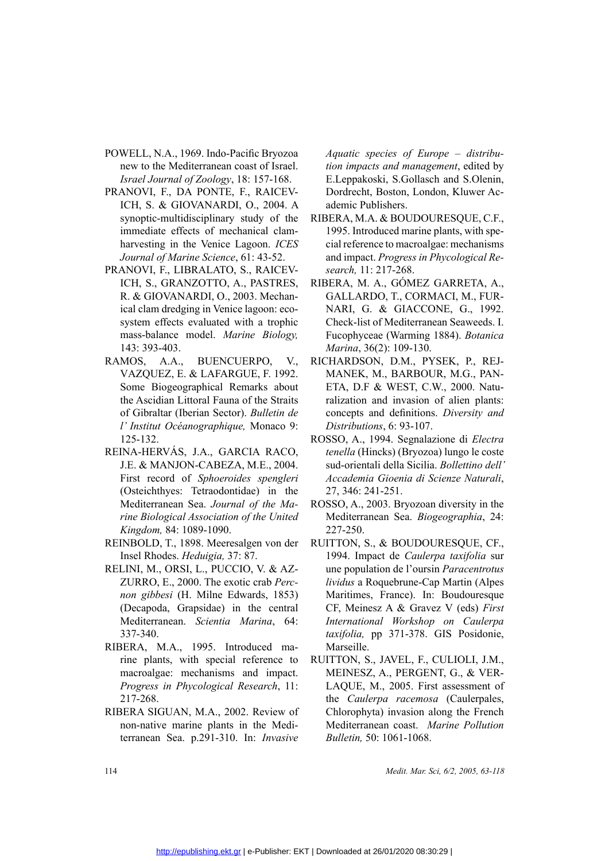- new to the Mediterranean coast of Israel. *Israel Journal of Zoology*, 18: 157-168.
- POWELL, N.A., 1969. Indo-Pacific Bryozoa<br>new to the Mediterranean coast of Israel.<br>*Israel Journal of Zoology*, 18: 157-168.<br>PRANOVI, F., DA PONTE, F., RAICEV-<br>ICH, S. & GIOVANARDI, O., 2004. A<br>synoptic-multidisciplinary s PRANOVI, F., DA PONTE, F., RAICEVICH, S. & GIOVANARDI, O., 2004. A<br>synoptic-multidisciplinary study of the<br>immediate effects of mechanical clam-<br>harvesting in the Venice Lagoon. *ICES*<br>Journal of Marine Science, 61: 43-52. ICH, S. & GIOVANARDI, O., 2004. A<br>synoptic-multidisciplinary study of the<br>immediate effects of mechanical clam-<br>harvesting in the Venice Lagoon. *ICES*<br>*Journal of Marine Science*, 61: 43-52.<br>PRANOVI, F., LIBRALATO, S., RA synoptic-multidisciplinary study of the immediate effects of mechanical clamharvesting in the Venice Lagoon. *ICES Journal of Marine Science*, 61: 43-52.
- PRANOVI, F., LIBRALATO, S., RAICEVICH, S., GRANZOTTO, A., PASTRES,<br>R. & GIOVANARDI, O., 2003. Mechanical clam dredging in Venice lagoon: eco-<br>system effects evaluated with a trophic<br>mass-balance model. *Marine Biology*,<br>14 ICH, S., GRANZOTTO, A., PASTRES,<br>R. & GIOVANARDI, O., 2003. Mechan-<br>ical clam dredging in Venice lagoon: eco-<br>system effects evaluated with a trophic<br>mass-balance model. *Marine Biology*,<br>143: 393-403.<br>RAMOS, A.A., BUENCUE R. & GIOVANARDI, O., 2003. Mechanical clam dredging in Venice lagoon: ecosystem effects evaluated with a trophic mass-balance model. *Marine Biology*, 143: 393-403.<br>RAMOS, A.A., BUENCUERPO, V., VAZQUEZ, E. & LAFARGUE, F. 1 ical clam dredging in Venice lagoon: ecosystem effects evaluated with a trophic mass-balance model. *Marine Biology,* 143: 393-403.
	- RAMOS, A.A., BUENCUERPO, V., Some Biogeographical Remarks about the Ascidian Littoral Fauna of the Straits of Gibraltar (Iberian Sector). *Bulletin de l' Institut Océanographique,* Monaco 9: 125-132.
- REINA-HERVÁS, J.A., GARCIA RACO,<br>J.E. & MANJON-CABEZA, M.E., 2004.<br>First record of *Sphoeroides spengleri*<br>(Osteichthyes: Tetraodontidae) in the<br>Mediterranean Sea. Journal of the Ma-<br>rine Biological Association of the Unit J.E. & MANJON-CABEZA, M.E., 2004.<br>First record of *Sphoeroides spengleri*<br>(Osteichthyes: Tetraodontidae) in the<br>Mediterranean Sea. Journal of the Ma-<br>rine Biological Association of the United<br>Kingdom, 84: 1089-1090. First record of *Sphoeroides spengleri* (Osteichthyes: Tetraodontidae) in the Mediterranean Sea. *Journal of the Marine Biological Association of the United Kingdom,* 84: 1089-1090.
	- REINBOLD, T., 1898. Meeresalgen von der Insel Rhodes. *Heduigia,* 37: 87.
	- RELINI, M., ORSI, L., PUCCIO, V. & AZ-ZURRO, E., 2000. The exotic crab *Percnon gibbesi* (H. Milne Edwards, 1853) (Decapoda, Grapsidae) in the central Mediterranean. *Scientia Marina*, 64: 337-340.
	- RIBERA, M.A., 1995. Introduced marine plants, with special reference to macroalgae: mechanisms and impact. *Progress in Phycological Research*, 11: 217-268.
	- Ribera Siguan, M.A., 2002. Review of non-native marine plants in the Mediterranean Sea. p.291-310. In: *Invasive*

*Aquatic species of Europe – distribution impacts and management*, edited by E.Leppakoski, S.Gollasch and S.Olenin, Dordrecht, Boston, London, Kluwer Academic Publishers.

- y of the RIBERA, M.A. & BOUDOURESQUE, C.F.,<br>
cal clam-<br>
1995. Introduced marine plants, with spe-<br>
cial reference to macroalgae: mechanisms<br>
43-52. and impact. *Progress in Phycological Re-*<br>
RAICEV-<br> *search*, 11: 217-268 1995. Introduced marine plants, with special reference to macroalgae: mechanisms and impact. *Progress in Phycological Research,* 11: 217-268.
- XITRES, RIBERA, M. A., GÒMEZ GARRETA, A.,<br>
Mechan- GALLARDO, T., CORMACI, M., FUR-<br>
oon: eco- NARI, G. & GIACCONE, G., 1992.<br>
a trophic Check-list of Mediterranean Seaweeds. I.<br> *Biology,* Fucophyceae (Warming 1884). *Bota* chan-<br>
GALLARDO, T., CORMACI, M., FUR-<br>
eco-<br>
NARI, G. & GIACCONE, G., 1992.<br>
ophic Check-list of Mediterranean Seaweeds. I.<br> *ology,* Fucophyceae (Warming 1884). *Botanica<br>
Marina*, 36(2): 109-130.<br>
V., RICHARDSON, D.M., nn: eco-<br>
MARI, G. & GIACCONE, G., 1992.<br>
trophic Check-list of Mediterranean Seaweeds. I.<br> *Biology,* Fucophyceae (Warming 1884). *Botanica<br>
Marina*, 36(2): 109-130.<br>
D., V., RICHARDSON, D.M., PYSEK, P., REJ-<br>
7. 1992. MA Check-list of Mediterranean Seaweeds. I. Fucophyceae (Warming 1884). *Botanica Marina*, 36(2): 109-130.
	- RICHARDSON, D.M., PYSEK, P., REJ-MANEK, M., BARBOUR, M.G., PAN-ETA, D.F & WEST, C.W., 2000. Naturalization and invasion of alien plants: concepts and definitions. *Diversity and Distributions*, 6: 93-107.
- ROSSO, A., 1994. Segnalazione di *Electra*<br>
RACO, *tenella* (Hincks) (Bryozoa) lungo le coste<br>
E., 2004. sud-orientali della Sicilia. *Bollettino dell'*<br> *spengleri Accademia Gioenia di Scienze Naturali*,<br> *i* the Ma-ROSSO *tenella* (Hincks) (Bryozoa) lungo le coste sud-orientali della Sicilia. *Bollettino dell' Accademia Gioenia di Scienze Naturali*, 27, 346: 241-251.
	- ROSSO, A., 2003. Bryozoan diversity in the Mediterranean Sea. *Biogeographia*, 24: 227-250.
	- Ruitton, S., & Boudouresque, CF., 1994. Impact de *Caulerpa taxifolia* sur une population de l'oursin *Paracentrotus lividus* a Roquebrune-Cap Martin (Alpes Maritimes, France). In: Boudouresque CF, Meinesz A & Gravez V (eds) *First International Workshop on Caulerpa taxifolia,* pp 371-378. GIS Posidonie, Marseille.
	- RUITTON, S., JAVEL, F., CULIOLI, J.M., MEINESZ, A., PERGENT, G., & VER-LAQUE, M., 2005. First assessment of the *Caulerpa racemosa* (Caulerpales, Chlorophyta) invasion along the French Mediterranean coast. *Marine Pollution Bulletin,* 50: 1061-1068.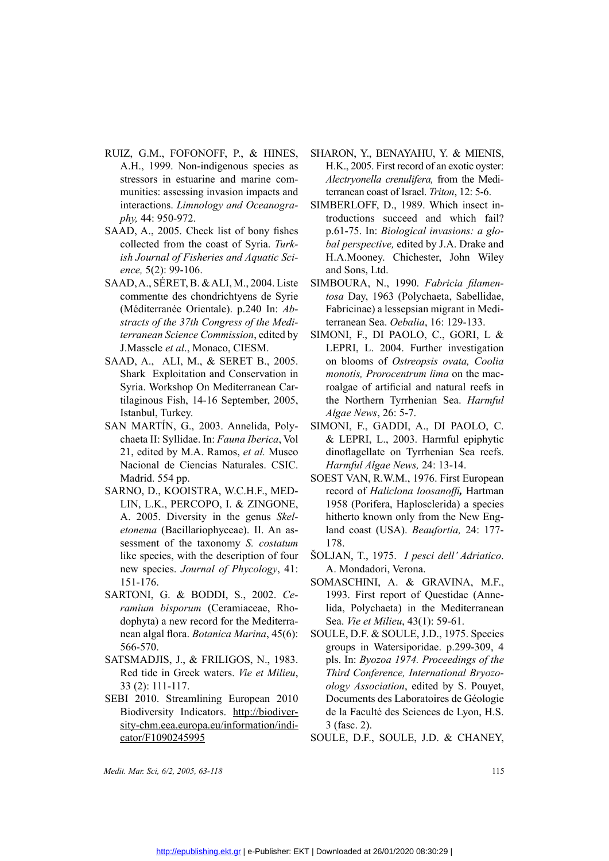- RUIZ, G.M., FOFONOFF, P., & HINES,<br>A.H., 1999. Non-indigenous species as<br>stressors in estuarine and marine com-<br>munities: assessing invasion impacts and<br>interactions. *Limnology and Oceanogra-*<br>phy, 44: 950-972.<br>SAAD, A., A.H., 1999. Non-indigenous species as stressors in estuarine and marine communities: assessing invasion impacts and interactions. *Limnology and Oceanography,* 44: 950-972.
	- SAAD, A., 2005. Check list of bony fishes collected from the coast of Syria. *Turkish Journal of Fisheries and Aquatic Science,* 5(2): 99-106.
- SAAD, A., SERET, B. & ALI, M., 2004. Liste<br>commentte des chondrichtyens de Syrie<br>(Méditerranée Orientale). p.240 In: Ab-<br>stracts of the 37th Congress of the Medi-<br>terranean Science Commission, edited by<br>J.Masscle et al., M commentιe des chondrichtyens de Syrie (Méditerranée Orientale). p.240 In: *Abstracts of the 37th Congress of the Mediterranean Science Commission*, edited by J.Masscle *et al*., Monaco, CIESM.
	- SAAD, A., ALI, M., & SERET B., 2005. Shark Exploitation and Conservation in Syria. Workshop On Mediterranean Cartilaginous Fish, 14-16 September, 2005, Istanbul, Turkey.
	- SAN MARTÍN, G., 2003. Annelida, Polychaeta II: Syllidae. In: *Fauna Iberica*, Vol 21, edited by M.A. Ramos, *et al.* Museo Nacional de Ciencias Naturales. CSIC. Madrid. 554 pp.
	- SARNO, D., KOOISTRA, W.C.H.F., MED-LIN, L.K., PERCOPO, I. & ZINGONE, A. 2005. Diversity in the genus *Skeletonema* (Bacillariophyceae). II. An assessment of the taxonomy *S. costatum*  like species, with the description of four new species. *Journal of Phycology*, 41: 151-176.
	- SARTONI, G. & BODDI, S., 2002. *Ce-*<br> *ramium bisporum* (Ceramiaceae, Rho-<br>
	dophyta) a new record for the Mediterra-<br>
	nean algal flora. *Botanica Marina*, 45(6):<br>
	566-570.<br>
	SATSMADJIS. J.. & FRILIGOS. N., 1983. *ramium bisporum* (Ceramiaceae, Rhodophyta) a new record for the Mediterranean algal flora. *Botanica Marina*, 45(6): 566-570.
- SATSMADJIS, J., & FRILIGOS, N., 1983.<br>
Red tide in Greek waters. *Vie et Milieu*,<br>
33 (2): 111-117.<br>
SEBI 2010. Streamlining European 2010<br>
Biodiversity Indicators. http://biodiver-<br>
sity-chm eea europa eu/information/indi Red tide in Greek waters. *Vie et Milieu*, 33 (2): 111-117.
	- SEBI 2010. Streamlining European 2010 sity-chm.eea.europa.eu/information/indicator/F1090245995
- SHARON, Y., BENAYAHU, Y. & MIENIS, H.K., 2005. First record of an exotic oyster: *Alectryonella crenulifera,* from the Mediterranean coast of Israel. *Triton*, 12: 5-6.
- Examples and SIMBERLOFF, D., 1989. Which insect in-<br>troductions succeed and which fail?<br>p.61-75. In: *Biological invasions: a glo-*<br>tria. Turk-bal perspective, edited by J.A. Drake and<br>uatic Sci-<br>H.A.Mooney. Chichester, Jo troductions succeed and which fail? p.61-75. In: *Biological invasions: a global perspective,* edited by J.A. Drake and H.A.Mooney. Chichester, John Wiley and Sons, Ltd.
- 004. Liste SIMBOURA, N., 1990. *Fabricia filamen-*<br>
de Syrie tosa Day, 1963 (Polychaeta, Sabellidae,<br>
0 In: Ab-<br>
Fabricinae) a lessepsian migrant in Medi-<br>
terranean Sea. *Oebalia*, 16: 129-133.<br>
edited by SIMONI, F., DI P *tosa* Day, 1963 (Polychaeta, Sabellidae, Fabricinae) a lessepsian migrant in Mediterranean Sea. *Oebalia*, 16: 129-133.
- edited by SIMONI, F., DI PAOLO, C., GORI, L &<br>M. LEPRI, L. 2004. Further investigation<br>B., 2005. on blooms of *Ostreopsis ovata*, *Coolia*<br>rvation in *monotis, Prorocentrum lima* on the mac-<br>nean Car-<br>roalgae of artificial LEPRI, L. 2004. Further investigation<br>
2005. In blooms of *Ostreopsis ovata*, *Coolia*<br>
ion in *monotis, Prorocentrum lima* on the mac-<br>
1 Car-<br>
1 car-<br>
2005, the Northern Tyrrhenian Sea. *Harmful*<br> *Algae News*, 26: 5-7.<br> on blooms of *Ostreopsis ovata, Coolia monotis, Prorocentrum lima* on the macroalgae of artificial and natural reefs in the Northern Tyrrhenian Sea. *Harmful Algae News*, 26: 5-7.
- da, Poly-<br>
SIMONI, F., GADDI, A., DI PAOLO, C.<br>
erica, Vol<br>
& LEPRI, L., 2003. Harmful epiphytic<br>
lul. Museo dinoflagellate on Tyrrhenian Sea reefs.<br>
so. CSIC. Harmful Algae News, 24: 13-14.<br>
SOEST VAN, R.W.M., 1976. First & LEPRI, L., 2003. Harmful epiphytic<br>dinoflagellate on Tyrrhenian Sea reefs.<br>*Harmful Algae News*, 24: 13-14.<br>SOEST VAN, R.W.M., 1976. First European dinoflagellate on Tyrrhenian Sea reefs. *Harmful Algae News,* 24: 13-14.
- SOEST VAN, R.W.M., 1976. First European<br>
F., MED-<br>
record of *Haliclona loosanoffi*, Hartman<br>
NGONE, 1958 (Porifera, Haplosclerida) a species<br>
hitherto known only from the New Eng-<br>
I. An as-<br>
land coast (USA). *Beaufortia* record of *Haliclona loosanoffi,* Hartman 1958 (Porifera, Haplosclerida) a species hitherto known only from the New England coast (USA). *Beaufortia,* 24: 177- 178.
	- ŠOLJAN, T., 1975. *I pesci dell' Adriatico*. A. Mondadori, Verona.
	- SOMASCHINI, A. & GRAVINA, M.F., 1993. First report of Questidae (Annelida, Polychaeta) in the Mediterranean Sea. *Vie et Milieu*, 43(1): 59-61.
	- Soule, D.F. & Soule, J.D., 1975. Species groups in Watersiporidae. p.299-309, 4 pls. In: *Byozoa 1974. Proceedings of the Third Conference, International Bryozoology Association*, edited by S. Pouyet, Documents des Laboratoires de Géologie de la Faculté des Sciences de Lyon, H.S. 3 (fasc. 2).
	- Soule, D.F., Soule, J.D. & Chaney,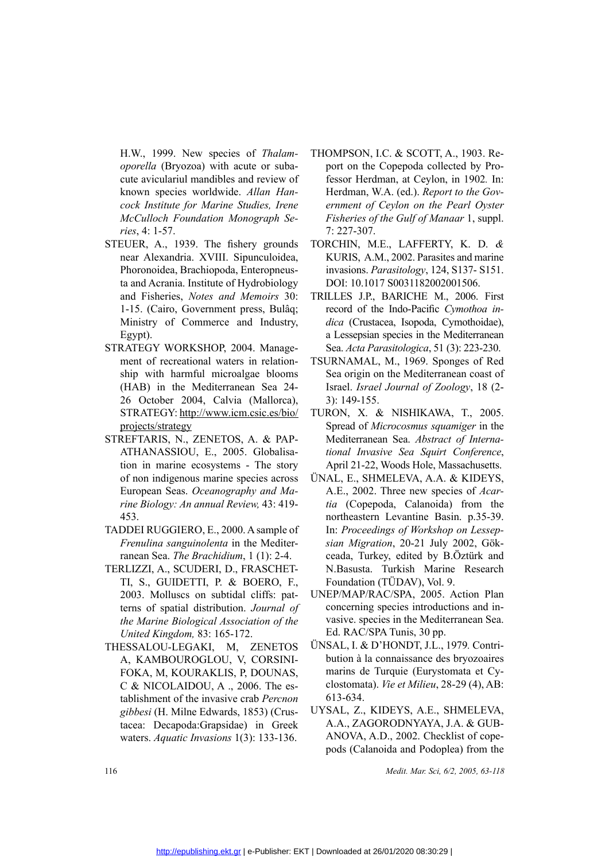H.W., 1999. New species of *Thalamoporella* (Bryozoa) with acute or subacute aviculariul mandibles and review of known species worldwide. *Allan Hancock Institute for Marine Studies, Irene McCulloch Foundation Monograph Series*, 4: 1-57.

- STEUER, A., 1939. The fishery grounds<br>near Alexandria. XVIII. Sipunculoidea,<br>Phoronoidea, Brachiopoda, Enteropneus-<br>ta and Acrania. Institute of Hydrobiology<br>and Fisheries, *Notes and Memoirs* 30:<br>1-15. (Cairo, Government near Alexandria. XVIII. Sipunculoidea, Phoronoidea, Brachiopoda, Enteropneusta and Acrania. Institute of Hydrobiology and Fisheries, *Notes and Memoirs* 30: 1-15. (Cairo, Government press, Bulâq; Ministry of Commerce and Industry, Egypt).
	- STRATEGY WORKSHOP, 2004. Management of recreational waters in relationship with harmful microalgae blooms (HAB) in the Mediterranean Sea 24- 26 October 2004, Calvia (Mallorca), STRATEGY: http://www.icm.csic.es/bio/ projects/strategy
- STREFTARIS, N., ZENETOS, A. & PAP-<br>ATHANASSIOU, E., 2005. Globalisa-<br>tion in marine ecosystems The story<br>of non indigenous marine species across<br>European Seas. *Oceanography and Ma-*<br>*rine Biology: An annual Review*, 43: ATHANASSIOU, E., 2005. Globalisation in marine ecosystems - The story<br>of non indigenous marine species across<br>European Seas. *Oceanography and Ma-*<br>*rine Biology: An annual Review*, 43: 419-<br>453.<br>TADDELPHCCUPO E. 2000. A s tion in marine ecosystems - The story of non indigenous marine species across European Seas. *Oceanography and Marine Biology: An annual Review,* 43: 419- 453.
	- TADDEI RUGGIERO, E., 2000. A sample of *Frenulina sanguinolenta* in the Mediterranean Sea. *The Brachidium*, 1 (1): 2-4.
	- TERLIZZI, A., SCUDERI, D., FRASCHET-<br>TI, S., GUIDETTI, P. & BOERO, F., TI, S., GUIDETTI, P. & BOERO, F.,<br>
	2003. Molluscs on subtidal cliffs: pat-<br>
	terns of spatial distribution. *Journal of*<br> *the Marine Biological Association of the*<br> *United Kingdom*, 83: 165-172.<br>
	THESSALOU-LEGAKI, M, ZENE 2003. Molluscs on subtidal cliffs: patterns of spatial distribution. *Journal of the Marine Biological Association of the United Kingdom,* 83: 165-172.
		- A, KAMBOUROGLOU, V, CORSINI-FOKA, M, KOURAKLIS, P, DOUNAS, C & NICOLAIDOU, A ., 2006. The establishment of the invasive crab *Percnon gibbesi* (H. Milne Edwards, 1853) (Crustacea: Decapoda:Grapsidae) in Greek waters. *Aquatic Invasions* 1(3): 133-136.
- Thompson, I.C. & SCOTT, A., 1903. Re-<br>
or suba-<br>
port on the Copepoda collected by Pro-<br>
review of fessor Herdman, at Ceylon, in 1902. In:<br>
lan Han-<br>
Herdman, W.A. (ed.). Report to the Gov-<br>
ernment of Ceylon on the Pearl port on the Copepoda collected by Professor Herdman, at Ceylon, in 1902*.* In: Herdman, W.A. (ed.). *Report to the Government of Ceylon on the Pearl Oyster Fisheries of the Gulf of Manaar* 1, suppl. 7: 227-307.
	- TORCHIN, M.E., LAFFERTY, K. D. *&*  KURIS, A.M., 2002. Parasites and marine invasions. *Parasitology*, 124, S137- S151. DOI: 10.1017 S0031182002001506.
	- TRILLES J.P., BARICHE M., 2006. First record of the Indo-Pacific *Cymothoa indica* (Crustacea, Isopoda, Cymothoidae), a Lessepsian species in the Mediterranean Sea. *Acta Parasitologica*, 51 (3): 223-230.
- relation-TSURNAMAL, M., 1969. Sponges of Red<br>
blooms Sea origin on the Mediterranean coast of<br>
Sea 24- Israel *Israel Journal of Zoology*, 18 (2-<br> *Aallorca*), 3): 149-155.<br>
<u>ic.es/bio/</u> TURON, X. & NISHIKAWA, T., 2005.<br>
S Sea origin on the Mediterranean coast of Israel. *Israel Journal of Zoology*, 18 (2- 3): 149-155.
	- TURON, X. & NISHIKAWA, T., 2005. Spread of *Microcosmus squamiger* in the Mediterranean Sea. *Abstract of International Invasive Sea Squirt Conference*, April 21-22, Woods Hole, Massachusetts.
- es across UNAL, E., SHMELEVA, A.A. & KIDEYS, and Ma-<br>A.E., 2002. Three new species of Acar-<br>43: 419- tia (Copepoda, Calanoida) from the<br>northeastern Levantine Basin. p.35-39.<br>sample of In: Proceedings of Workshop on Lessep A.E., 2002. Three new species of *Acartia* (Copepoda, Calanoida) from the northeastern Levantine Basin. p.35-39. In: *Proceedings of Workshop on Lessepsian Migration*, 20-21 July 2002, Gökceada, Turkey, edited by B.Öztürk and N.Basusta. Turkish Marine Research Foundation (TÜDAV), Vol. 9.
	- UNEP/MAP/RAC/SPA, 2005. Action Plan concerning species introductions and invasive. species in the Mediterranean Sea. Ed. RAC/SPA Tunis, 30 pp.
- ENETOS UNSAL, I. & D'HONDT, J.L., 1979. Contri-<br>ORSINI-<br>OUNAS, marins de Turquie (Eurystomata et Cy-<br>The es-<br>*Percnon* 613-634.<br>2) Crus, UNSAL Z KIDEYS A E SHMELEVA bution à la connaissance des bryozoaires marins de Turquie (Eurystomata et Cyclostomata). *Vie et Milieu*, 28-29 (4), AB: 613-634.
	- UYSAL, Z., KIDEYS, A.E., SHMELEVA, A.A., ZAGORODNYAYA, J.A. & GUB-ANOVA, A.D., 2002. Checklist of copepods (Calanoida and Podoplea) from the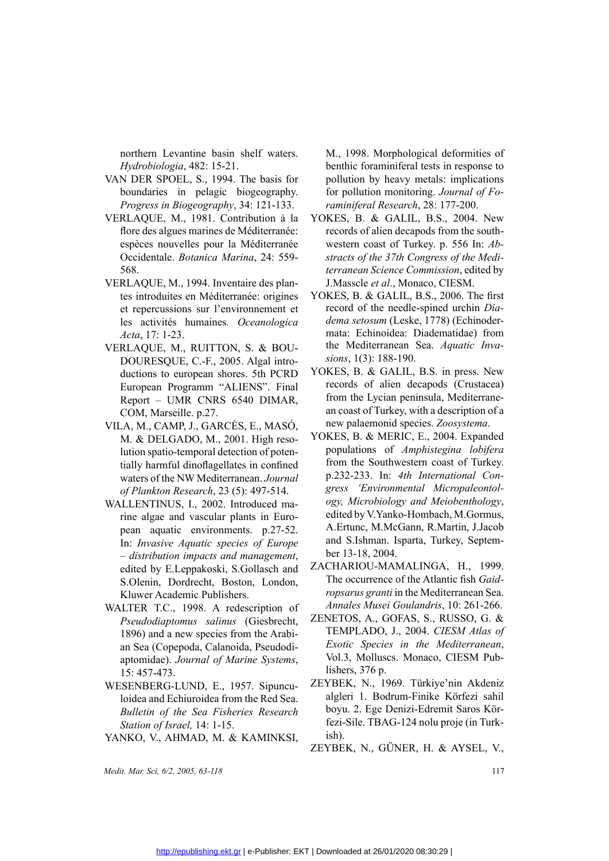northern Levantine basin shelf waters. *Hydrobiologia*, 482: 15-21.

- VAN DER SPOEL, S., 1994. The basis for boundaries in pelagic biogeography. *Progress in Biogeography*, 34: 121-133.
- VERLAQUE, M., 1981. Contribution à la<br>flore des algues marines de Méditerranée:<br>espèces nouvelles pour la Méditerranée<br>Occidentale. *Botanica Marina*, 24: 559-<br>568.<br>VERLAQUE, M., 1994. Inventaire des plan-<br>tes introduites flore des algues marines de Méditerranée: espèces nouvelles pour la Méditerranée Occidentale. *Botanica Marina*, 24: 559- 568.
- VERLAQUE, M., 1994. Inventaire des plantes introduites en Méditerranée: origines<br>et repercussions sur l'environnement et<br>les activités humaines. *Oceanologica<br>Acta*, 17: 1-23.<br>VERLAQUE, M., RUITTON, S. & BOU-<br>DOURESQUE, C. tes introduites en Méditerranée: origines et repercussions sur l'environnement et les activités humaines*. Oceanologica Acta*, 17: 1-23.
	- VERLAQUE, M., RUITTON, S. & BOU-<br>DOURESQUE, C.-F., 2005. Algal intro-<br>ductions to european shores. 5th PCRD<br>European Programm "ALIENS". Final<br>Report UMR CNRS 6540 DIMAR,<br>COM, Marseille. p.27.<br>VILA, M., CAMP, J., GARCÉS, DOURESQUE, C.-F., 2005. Algal intro-<br>ductions to european shores. 5th PCRD<br>European Programm "ALIENS". Final<br>Report – UMR CNRS 6540 DIMAR,<br>COM, Marseille. p.27.<br>VILA, M., CAMP, J., GARCÉS, E., MASÓ,<br>M. & DELGADO, M., 2001. ductions to european shores. 5th PCRD Report – UMR CNRS 6540 DIMAR, COM, Marseille. p.27.
- European Programm "ALIENS". Final<br>Report UMR CNRS 6540 DIMAR,<br>COM, Marseille. p.27.<br>.A, M., CAMP, J., GARCÉS, E., MASÓ,<br>M. & DELGADO, M., 2001. High reso-<br>lution spatio-temporal detection of poten-<br>tially harmful dinofla VILA, M., CAMP, J., GARCÉS, E., MASO,<br>M. & DELGADO, M., 2001. High reso-<br>lution spatio-temporal detection of poten-<br>tially harmful dinoflagellates in confined<br>waters of the NW Mediterranean. Journal<br>of Plankton Research, 2 M. & DELGADO, M., 2001. High reso-<br>lution spatio-temporal detection of poten-<br>tially harmful dinoflagellates in confined<br>waters of the NW Mediterranean. Journal<br>of Plankton Research, 23 (5): 497-514.<br>WALLENTINUS, I., 2002. lution spatio-temporal detection of potentially harmful dinoflagellates in confined waters of the NW Mediterranean. *Journal of Plankton Research*, 23 (5): 497-514.
- WALLENTINUS, I., 2002. Introduced marine algae and vascular plants in Euro-<br>pean aquatic environments. p.27-52.<br>In: *Invasive Aquatic species of Europe*<br>– *distribution impacts and management*,<br>edited by E.Leppakoski, S.Go rine algae and vascular plants in European aquatic environments. p.27-52. In: *Invasive Aquatic species of Europe – distribution impacts and management*, edited by E.Leppakoski, S.Gollasch and S.Olenin, Dordrecht, Boston, London, Kluwer Academic Publishers.
	- WALTER T.C., 1998. A redescription of *Pseudodiaptomus salinus* (Giesbrecht, 1896) and a new species from the Arabian Sea (Copepoda, Calanoida, Pseudodiaptomidae). *Journal of Marine Systems*, 15: 457-473. *Pseudodiaptomus salinus* (Giesbrecht, ZENETOS, A., GOFAS, S., RUSSO, G. & 1896) and a new species from the Arabi-<br>
	an Sea (Copepoda, Calanoida, Pseudodi-<br>
	aptomidae). Journal of Marine Systems, Vol.3, Molluscs. Monaco, CI
- WESENBERG-LUND, E., 1957. Sipuncu-<br>
loidea and Echiuroidea from the Red Sea.<br> *Bulletin of the Sea Fisheries Research*<br> *Station of Israel*, 14: 1-15.<br>
YANKO, V., AHMAD, M. & KAMINKSI, loidea and Echiuroidea from the Red Sea. *Bulletin of the Sea Fisheries Research Station of Israel,* 14: 1-15.
	-

*Medit. Mar. Sci, 6/2, 2005, 63-118* 117

M., 1998. Morphological deformities of benthic foraminiferal tests in response to pollution by heavy metals: implications for pollution monitoring. *Journal of Foraminiferal Research*, 28: 177-200.

- tion à la YOKES, B. & GALIL, B.S., 2004. New<br>terranée: records of alien decapods from the south-<br>interranée western coast of Turkey. p. 556 In: *Ab-*<br>24: 559-<br>*stracts of the 37th Congress of the Medi-*<br>*terranean Science* records of alien decapods from the southwestern coast of Turkey. p. 556 In: *Abstracts of the 37th Congress of the Mediterranean Science Commission*, edited by J.Masscle *et al*., Monaco, CIESM.
- origines YOKES, B. & GALIL, B.S., 2006. The first<br>
ement et record of the needle-spined urchin Dia-<br> *dema setosum* (Leske, 1778) (Echinoder-<br>
mata: Echinoidea: Diadematidae) from<br>
& BOU-<br>
the Mediterranean Sea. *Aquatic I* record of the needle-spined urchin *Diadema setosum* (Leske, 1778) (Echinodermata: Echinoidea: Diadematidae) from the Mediterranean Sea. *Aquatic Invasions*, 1(3): 188-190.
- The PCRD YOKES, B. & GALIL, B.S. in press. New<br>
S". Final records of alien decapods (Crustacea)<br>
DIMAR, from the Lycian peninsula, Mediterrane-<br>
an coast of Turkey, with a description of a<br>
, MASÓ, new palaemonid species. records of alien decapods (Crustacea) from the Lycian peninsula, Mediterranean coast of Turkey, with a description of a new palaemonid species. *Zoosystema*.
	- YOKES, B. & MERIC, E., 2004. Expanded populations of *Amphistegina lobifera* from the Southwestern coast of Turkey. p.232-233. In: *4th International Congress 'Environmental Micropaleontology, Microbiology and Meiobenthology*, edited by V.Yanko-Hombach, M.Gormus, A.Ertunc, M.McGann, R.Martin, J.Jacob and S.Ishman. Isparta, Turkey, September 13-18, 2004.
	- ZACHARIOU-MAMALINGA, H., 1999. The occurrence of the Atlantic fish *Gaidropsarus granti* in the Mediterranean Sea. *Annales Musei Goulandris*, 10: 261-266.
	- Arabi-<br>
	TEMPLADO, J., 2004. *CIESM Atlas of*<br> *CRON* Exotic Species in the Mediterranean,<br>
	vol.3, Molluscs. Monaco, CIESM Pub-<br>
	lishers, 376 p.<br>
	uncu-<br> *CEYBEK*, N., 1969. Türkiye'nin Akdeniz<br>
	d See algleri 1 Bodrum-Finike *Exotic Species in the Mediterranean*, Vol.3, Molluscs. Monaco, CIESM Publishers, 376 p.
		- ZEYBEK, N., 1969. Türkiye'nin Akdeniz algleri 1. Bodrum-Finike Körfezi sahil boyu. 2. Ege Denizi-Edremit Saros Körfezi-Sile. TBAG-124 nolu proje (in Turkish).
		- ZEYBEK, N., GÜNER, H. & AYSEL, V.,